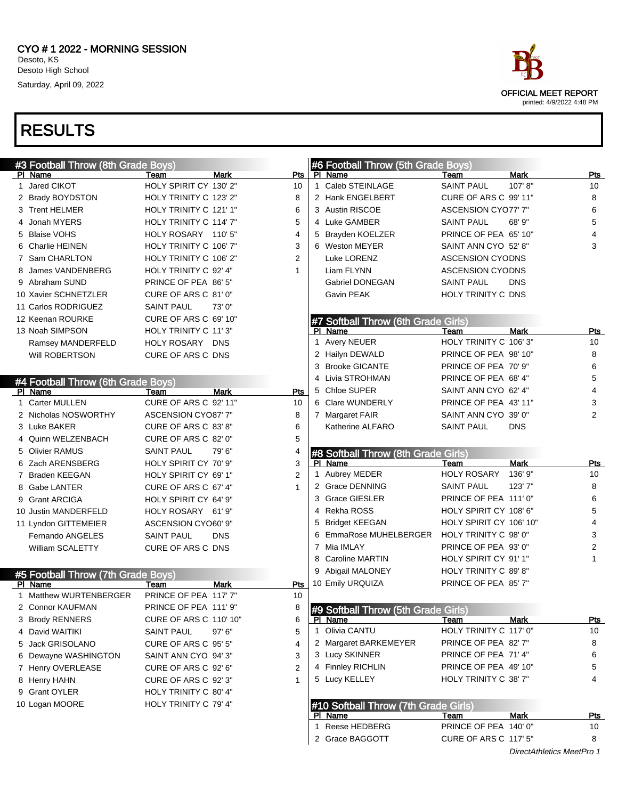| <b>#3 Football Throw (8th Grade Boys)</b> |                            |                    |    | #6 Football Throw (5th Grade Boys)   |                                                |             |                |
|-------------------------------------------|----------------------------|--------------------|----|--------------------------------------|------------------------------------------------|-------------|----------------|
| PI Name                                   | Team                       | <b>Mark</b><br>Pts |    | PI Name                              | Team                                           | Mark        | Pts            |
| 1 Jared CIKOT                             | HOLY SPIRIT CY 130' 2"     | 10                 |    | 1 Caleb STEINLAGE                    | <b>SAINT PAUL</b>                              | 107' 8"     | 10             |
| 2 Brady BOYDSTON                          | HOLY TRINITY C 123' 2"     | 8                  |    | 2 Hank ENGELBERT                     | <b>CURE OF ARS C 99' 11"</b>                   |             | 8              |
| 3 Trent HELMER                            | HOLY TRINITY C 121' 1"     | 6                  |    | 3 Austin RISCOE                      | <b>ASCENSION CYO77' 7"</b>                     |             | 6              |
| 4 Jonah MYERS                             | HOLY TRINITY C 114' 7"     | 5                  |    | 4 Luke GAMBER                        | <b>SAINT PAUL</b>                              | 68' 9"      | 5              |
| 5 Blaise VOHS                             | HOLY ROSARY 110' 5"        | 4                  | 5. | Brayden KOELZER                      | PRINCE OF PEA 65' 10"                          |             | 4              |
| 6 Charlie HEINEN                          | HOLY TRINITY C 106' 7"     | 3                  | 6. | <b>Weston MEYER</b>                  | SAINT ANN CYO 52' 8"                           |             | 3              |
| 7 Sam CHARLTON                            | HOLY TRINITY C 106' 2"     | 2                  |    | Luke LORENZ                          | <b>ASCENSION CYODNS</b>                        |             |                |
| 8 James VANDENBERG                        | HOLY TRINITY C 92' 4"      | 1                  |    | Liam FLYNN                           | <b>ASCENSION CYODNS</b>                        |             |                |
| 9 Abraham SUND                            | PRINCE OF PEA 86' 5"       |                    |    | <b>Gabriel DONEGAN</b>               | <b>SAINT PAUL</b>                              | <b>DNS</b>  |                |
| 10 Xavier SCHNETZLER                      | CURE OF ARS C 81' 0"       |                    |    | Gavin PEAK                           | HOLY TRINITY C DNS                             |             |                |
| 11 Carlos RODRIGUEZ                       | <b>SAINT PAUL</b>          | 73'0"              |    |                                      |                                                |             |                |
| 12 Keenan ROURKE                          | CURE OF ARS C 69' 10"      |                    |    | #7 Softball Throw (6th Grade Girls)  |                                                |             |                |
| 13 Noah SIMPSON                           | HOLY TRINITY C 11'3"       |                    |    | PI Name                              | Team                                           | <b>Mark</b> | Pts            |
| Ramsey MANDERFELD                         | HOLY ROSARY DNS            |                    |    | 1 Avery NEUER                        | HOLY TRINITY C 106'3"                          |             | 10             |
| Will ROBERTSON                            | CURE OF ARS C DNS          |                    |    | 2 Hailyn DEWALD                      | PRINCE OF PEA 98' 10"                          |             | 8              |
|                                           |                            |                    |    | <b>Brooke GICANTE</b>                | PRINCE OF PEA 70' 9"                           |             | 6              |
| #4 Football Throw (6th Grade Boys)        |                            |                    |    | 4 Livia STROHMAN                     | PRINCE OF PEA 68' 4"                           |             | 5              |
| PI Name                                   | Team                       | <b>Mark</b><br>Pts | 5  | Chloe SUPER                          | SAINT ANN CYO 62' 4"                           |             | 4              |
| 1 Carter MULLEN                           | CURE OF ARS C 92' 11"      | 10                 |    | 6 Clare WUNDERLY                     | PRINCE OF PEA 43' 11"                          |             | 3              |
| 2 Nicholas NOSWORTHY                      | <b>ASCENSION CYO87' 7"</b> | 8                  |    | 7 Margaret FAIR                      | SAINT ANN CYO 39' 0"                           |             | $\overline{2}$ |
| 3 Luke BAKER                              | CURE OF ARS C 83' 8"       | 6                  |    | Katherine ALFARO                     | <b>SAINT PAUL</b>                              | <b>DNS</b>  |                |
| 4 Quinn WELZENBACH                        | CURE OF ARS C 82' 0"       | 5                  |    |                                      |                                                |             |                |
| 5 Olivier RAMUS                           | <b>SAINT PAUL</b>          | 79'6"<br>4         |    | #8 Softball Throw (8th Grade Girls)  |                                                |             |                |
|                                           |                            |                    |    |                                      |                                                |             |                |
|                                           |                            |                    |    |                                      |                                                |             |                |
| 6 Zach ARENSBERG                          | HOLY SPIRIT CY 70' 9"      | 3                  |    | PI Name                              | Team                                           | Mark        | Pts            |
| 7 Braden KEEGAN                           | HOLY SPIRIT CY 69' 1"      | 2                  |    | 1 Aubrey MEDER                       | <b>HOLY ROSARY</b>                             | 136' 9"     | 10             |
| 8 Gabe LANTER                             | CURE OF ARS C 67' 4"       | $\mathbf{1}$       |    | 2 Grace DENNING                      | <b>SAINT PAUL</b>                              | 123'7"      | 8              |
| 9 Grant ARCIGA                            | HOLY SPIRIT CY 64' 9"      |                    | 3  | <b>Grace GIESLER</b>                 | PRINCE OF PEA 111' 0"                          |             | 6              |
| 10 Justin MANDERFELD                      | HOLY ROSARY 61' 9"         |                    |    | 4 Rekha ROSS                         | HOLY SPIRIT CY 108' 6"                         |             | 5              |
| 11 Lyndon GITTEMEIER                      | ASCENSION CYO60' 9"        |                    | 5. | <b>Bridget KEEGAN</b>                | HOLY SPIRIT CY 106' 10"                        |             | 4              |
| <b>Fernando ANGELES</b>                   | <b>SAINT PAUL</b>          | <b>DNS</b>         | 6  | EmmaRose MUHELBERGER                 | HOLY TRINITY C 98' 0"                          |             | 3              |
| William SCALETTY                          | CURE OF ARS C DNS          |                    |    | 7 Mia IMLAY                          | PRINCE OF PEA 93' 0"                           |             | $\overline{c}$ |
|                                           |                            |                    | 8  | <b>Caroline MARTIN</b>               | HOLY SPIRIT CY 91' 1"                          |             | 1              |
| #5 Football Throw (7th Grade Boys)        |                            |                    |    | Abigail MALONEY                      | HOLY TRINITY C 89' 8"                          |             |                |
| PI Name                                   | Team                       | Mark<br>Pts        |    | 10 Emily URQUIZA                     | PRINCE OF PEA 85' 7"                           |             |                |
| 1 Matthew WURTENBERGER                    | PRINCE OF PEA 117' 7"      | 10                 |    |                                      |                                                |             |                |
| 2 Connor KAUFMAN                          | PRINCE OF PEA 111' 9"      | 8                  |    | #9 Softball Throw (5th Grade Girls)  |                                                |             |                |
| 3 Brody RENNERS                           | CURE OF ARS C 110' 10"     | 6                  |    | PI Name                              | Team                                           | Mark        | <b>Pts</b>     |
| 4 David WAITIKI                           | <b>SAINT PAUL</b>          | 5<br>97'6''        |    | 1 Olivia CANTU                       | HOLY TRINITY C 117' 0"                         |             | 10             |
| 5 Jack GRISOLANO                          | CURE OF ARS C 95' 5"       | 4                  |    | 2 Margaret BARKEMEYER                | PRINCE OF PEA 82' 7"                           |             | 8              |
| 6 Dewayne WASHINGTON                      | SAINT ANN CYO 94'3"        | 3                  |    | 3 Lucy SKINNER                       | PRINCE OF PEA 71'4"                            |             | 6              |
| 7 Henry OVERLEASE                         | CURE OF ARS C 92' 6"       | 2                  |    | 4 Finnley RICHLIN                    | PRINCE OF PEA 49' 10"                          |             | 5              |
| 8 Henry HAHN                              | CURE OF ARS C 92' 3"       | 1                  |    | 5 Lucy KELLEY                        | HOLY TRINITY C 38' 7"                          |             | 4              |
| 9 Grant OYLER                             | HOLY TRINITY C 80' 4"      |                    |    |                                      |                                                |             |                |
| 10 Logan MOORE                            | HOLY TRINITY C 79' 4"      |                    |    | #10 Softball Throw (7th Grade Girls) |                                                |             |                |
|                                           |                            |                    |    | PI Name                              | Team                                           | Mark        | <u>Pts</u>     |
|                                           |                            |                    |    | 1 Reese HEDBERG<br>2 Grace BAGGOTT   | PRINCE OF PEA 140' 0"<br>CURE OF ARS C 117' 5" |             | 10<br>8        |

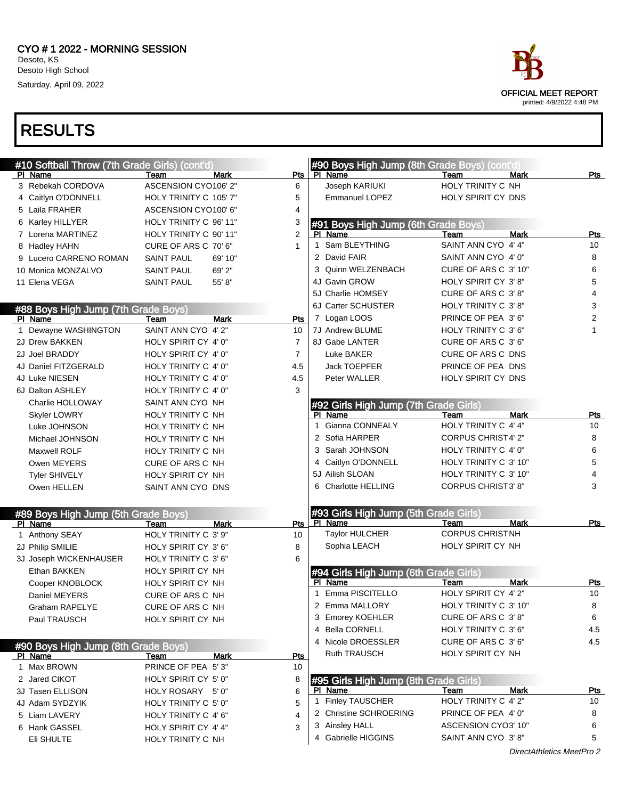

| #10 Softball Throw (7th Grade Girls) (cont'd)<br>PI Name | Team<br>Mark                 | <b>Pts</b>     | #90 Boys High Jump (8th Grade Boys) (cont'd)<br>PI Name | Team                                        | <b>Mark</b>               | Pts              |
|----------------------------------------------------------|------------------------------|----------------|---------------------------------------------------------|---------------------------------------------|---------------------------|------------------|
| 3 Rebekah CORDOVA                                        | ASCENSION CYO106' 2"         | 6              | Joseph KARIUKI                                          | HOLY TRINITY C NH                           |                           |                  |
| 4 Caitlyn O'DONNELL                                      | HOLY TRINITY C 105' 7"       | 5              | Emmanuel LOPEZ                                          | HOLY SPIRIT CY DNS                          |                           |                  |
| 5 Laila FRAHER                                           | ASCENSION CYO100' 6"         | 4              |                                                         |                                             |                           |                  |
| 6 Karley HILLYER                                         | HOLY TRINITY C 96' 11"       | 3              | #91 Boys High Jump (6th Grade Boys)                     |                                             |                           |                  |
| 7 Lorena MARTINEZ                                        | HOLY TRINITY C 90' 11"       | 2              | PI Name                                                 | Team                                        | Mark                      | <u>Pts</u>       |
| 8 Hadley HAHN                                            | CURE OF ARS C 70' 6"         | $\mathbf{1}$   | 1 Sam BLEYTHING                                         | SAINT ANN CYO 4' 4"                         |                           | 10               |
| 9 Lucero CARRENO ROMAN                                   | <b>SAINT PAUL</b><br>69' 10" |                | 2 David FAIR                                            | SAINT ANN CYO 4' 0"                         |                           | 8                |
| 10 Monica MONZALVO                                       | 69' 2"<br><b>SAINT PAUL</b>  |                | 3 Quinn WELZENBACH                                      | CURE OF ARS C 3'10"                         |                           | 6                |
| 11 Elena VEGA                                            | 55' 8"<br><b>SAINT PAUL</b>  |                | 4J Gavin GROW                                           | HOLY SPIRIT CY 3'8"                         |                           | 5                |
|                                                          |                              |                | 5J Charlie HOMSEY                                       | CURE OF ARS C 3'8"                          |                           | $\overline{4}$   |
| #88 Boys High Jump (7th Grade Boys)                      |                              |                | 6J Carter SCHUSTER                                      | <b>HOLY TRINITY C 3'8"</b>                  |                           | 3                |
| PI Name                                                  | <b>Mark</b><br>Team          | Pts            | 7 Logan LOOS                                            | PRINCE OF PEA 3' 6"                         |                           | 2                |
| 1 Dewayne WASHINGTON                                     | SAINT ANN CYO 4' 2"          | 10             | 7J Andrew BLUME                                         | HOLY TRINITY C 3' 6"                        |                           | 1                |
| 2J Drew BAKKEN                                           | HOLY SPIRIT CY 4' 0"         | $\overline{7}$ | 8J Gabe LANTER                                          | CURE OF ARS C 3'6"                          |                           |                  |
| 2J Joel BRADDY                                           | HOLY SPIRIT CY 4'0"          | $\overline{7}$ | Luke BAKER                                              | CURE OF ARS C DNS                           |                           |                  |
| 4J Daniel FITZGERALD                                     | HOLY TRINITY C 4' 0"         | 4.5            | Jack TOEPFER                                            | PRINCE OF PEA DNS                           |                           |                  |
| 4J Luke NIESEN                                           | HOLY TRINITY C 4' 0"         | 4.5            | Peter WALLER                                            | HOLY SPIRIT CY DNS                          |                           |                  |
| 6J Dalton ASHLEY                                         | HOLY TRINITY C 4' 0"         | 3              |                                                         |                                             |                           |                  |
| Charlie HOLLOWAY                                         | SAINT ANN CYO NH             |                | #92 Girls High Jump (7th Grade Girls)                   |                                             |                           |                  |
| <b>Skyler LOWRY</b>                                      | HOLY TRINITY C NH            |                | PI Name                                                 | Team                                        | Mark                      | Pts              |
| Luke JOHNSON                                             | <b>HOLY TRINITY C NH</b>     |                | Gianna CONNEALY                                         | HOLY TRINITY C 4' 4"                        |                           | 10               |
| Michael JOHNSON                                          | <b>HOLY TRINITY C NH</b>     |                | 2 Sofia HARPER                                          | <b>CORPUS CHRIST4' 2"</b>                   |                           | 8                |
| Maxwell ROLF                                             | HOLY TRINITY C NH            |                | 3 Sarah JOHNSON                                         | HOLY TRINITY C 4' 0"                        |                           | 6                |
| Owen MEYERS                                              | CURE OF ARS C NH             |                | 4 Caitlyn O'DONNELL                                     | HOLY TRINITY C 3' 10"                       |                           | 5                |
| <b>Tyler SHIVELY</b>                                     | HOLY SPIRIT CY NH            |                | 5J Ailish SLOAN                                         | HOLY TRINITY C 3' 10"                       |                           | 4                |
| Owen HELLEN                                              | SAINT ANN CYO DNS            |                | 6 Charlotte HELLING                                     | <b>CORPUS CHRIST3' 8"</b>                   |                           | 3                |
|                                                          |                              |                |                                                         |                                             |                           |                  |
| #89 Boys High Jump (5th Grade Boys)                      |                              |                | #93 Girls High Jump (5th Grade Girls)                   |                                             |                           |                  |
| PI Name                                                  | Mark<br>Team                 | Pts            | PI Name                                                 | Team                                        | <b>Mark</b>               | Pts              |
| 1 Anthony SEAY                                           | HOLY TRINITY C 3' 9"         | 10             | Taylor HULCHER                                          | <b>CORPUS CHRISTNH</b>                      |                           |                  |
| 2J Philip SMILIE                                         | HOLY SPIRIT CY 3' 6"         | 8              | Sophia LEACH                                            | HOLY SPIRIT CY NH                           |                           |                  |
| 3J Joseph WICKENHAUSER                                   | HOLY TRINITY C 3' 6"         | 6              |                                                         |                                             |                           |                  |
| Ethan BAKKEN                                             | HOLY SPIRIT CY NH            |                | #94 Girls High Jump (6th Grade Girls)                   |                                             |                           |                  |
| Cooper KNOBLOCK                                          | HOLY SPIRIT CY NH            |                | PI Name<br>Emma PISCITELLO<br>1                         | Team<br>HOLY SPIRIT CY 4' 2"                | Mark                      | <b>Pts</b><br>10 |
| Daniel MEYERS                                            | CURE OF ARS C NH             |                | 2 Emma MALLORY                                          | HOLY TRINITY C 3' 10"                       |                           | 8                |
| <b>Graham RAPELYE</b>                                    | CURE OF ARS C NH             |                |                                                         |                                             |                           |                  |
| Paul TRAUSCH                                             | HOLY SPIRIT CY NH            |                | 3 Emorey KOEHLER                                        | CURE OF ARS C 3'8"                          |                           | 6                |
|                                                          |                              |                | 4 Bella CORNELL<br>4 Nicole DROESSLER                   | HOLY TRINITY C 3' 6"<br>CURE OF ARS C 3' 6" |                           | 4.5<br>4.5       |
| #90 Boys High Jump (8th Grade Boys)                      |                              |                | Ruth TRAUSCH                                            | HOLY SPIRIT CY NH                           |                           |                  |
| <u>PI Name</u>                                           | Mark<br>Team                 | <u>Pts</u>     |                                                         |                                             |                           |                  |
| 1 Max BROWN                                              | PRINCE OF PEA 5'3"           | 10             |                                                         |                                             |                           |                  |
| 2 Jared CIKOT                                            | HOLY SPIRIT CY 5' 0"         | 8              | #95 Girls High Jump (8th Grade Girls)                   |                                             |                           |                  |
| 3J Tasen ELLISON                                         | HOLY ROSARY 5'0"             | 6              | PI Name<br><b>Finley TAUSCHER</b><br>1                  | Team<br>HOLY TRINITY C 4' 2"                | Mark                      | <u>Pts</u><br>10 |
| 4J Adam SYDZYIK                                          | HOLY TRINITY C 5' 0"         | 5              | 2 Christine SCHROERING                                  | PRINCE OF PEA 4' 0"                         |                           | 8                |
| 5 Liam LAVERY                                            | HOLY TRINITY C 4' 6"         | 4              | 3 Ainsley HALL                                          | ASCENSION CYO3' 10"                         |                           | 6                |
| 6 Hank GASSEL                                            | HOLY SPIRIT CY 4' 4"         | 3              | 4 Gabrielle HIGGINS                                     | SAINT ANN CYO 3'8"                          |                           | 5                |
| Eli SHULTE                                               | HOLY TRINITY C NH            |                |                                                         |                                             |                           |                  |
|                                                          |                              |                |                                                         |                                             | DirectAthletics MeetPro 2 |                  |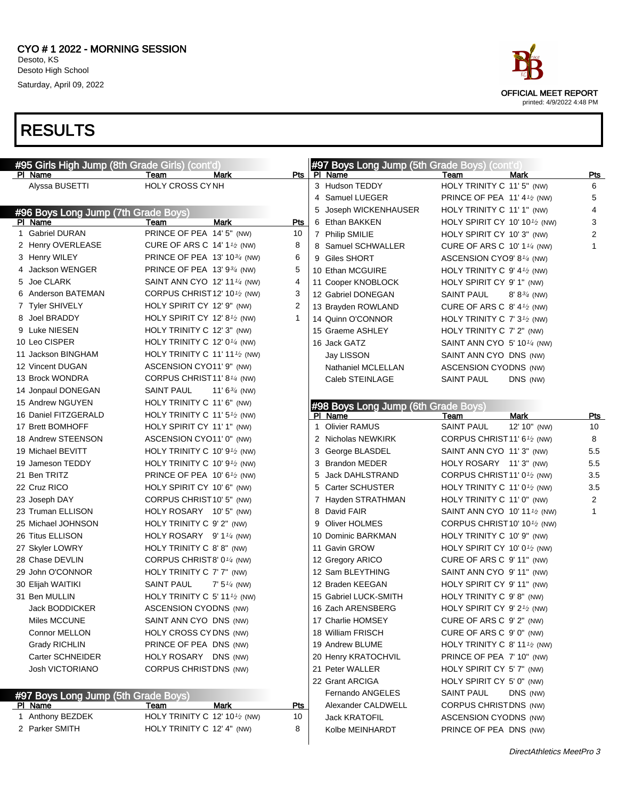| #95 Girls High Jump (8th Grade Girls) (cont'd) |                                              |             | #97 Boys Long Jump (5th Grade Boys) (cont'd) |                                                        |                |
|------------------------------------------------|----------------------------------------------|-------------|----------------------------------------------|--------------------------------------------------------|----------------|
| PI Name                                        | Team<br>Mark                                 | Pts         | PI Name                                      | Team<br>Mark                                           | Pts            |
| Alyssa BUSETTI                                 | <b>HOLY CROSS CYNH</b>                       |             | 3 Hudson TEDDY                               | HOLY TRINITY C 11' 5" (NW)                             | 6              |
|                                                |                                              |             | 4 Samuel LUEGER                              | PRINCE OF PEA 11' 4 $\frac{1}{2}$ (NW)                 | 5              |
| #96 Boys Long Jump (7th Grade Boys)            |                                              |             | 5 Joseph WICKENHAUSER                        | HOLY TRINITY C 11' 1" (NW)                             | 4              |
| PI Name                                        | Mark<br>Team                                 | Pts         | 6 Ethan BAKKEN                               | HOLY SPIRIT CY 10' 10 $\frac{1}{2}$ (NW)               | 3              |
| 1 Gabriel DURAN                                | PRINCE OF PEA 14' 5" (NW)                    | 10          | 7 Philip SMILIE                              | HOLY SPIRIT CY 10' 3" (NW)                             | $\overline{2}$ |
| 2 Henry OVERLEASE                              | CURE OF ARS C 14' $1\frac{1}{2}$ (NW)        | 8           | 8 Samuel SCHWALLER                           | CURE OF ARS C 10' 1 $\frac{1}{4}$ (NW)                 | $\mathbf{1}$   |
| 3 Henry WILEY                                  | PRINCE OF PEA 13' 10 <sup>3/4</sup> (NW)     | 6           | 9 Giles SHORT                                | ASCENSION CYO9' 8 <sup>1/4</sup> (NW)                  |                |
| 4 Jackson WENGER                               | PRINCE OF PEA 13' $9\frac{3}{4}$ (NW)        | 5           | 10 Ethan MCGUIRE                             | HOLY TRINITY C $9'$ 4 <sup>1</sup> / <sub>2</sub> (NW) |                |
| 5 Joe CLARK                                    | SAINT ANN CYO 12' 11 <sup>1/4</sup> (NW)     | 4           | 11 Cooper KNOBLOCK                           | HOLY SPIRIT CY 9' 1" (NW)                              |                |
| 6 Anderson BATEMAN                             | CORPUS CHRIST 12' 10 $\frac{1}{2}$ (NW)      | 3           | 12 Gabriel DONEGAN                           | <b>SAINT PAUL</b><br>$8' 8^{3/4}$ (NW)                 |                |
| 7 Tyler SHIVELY                                | HOLY SPIRIT CY 12' 9" (NW)                   | 2           | 13 Brayden ROWLAND                           | CURE OF ARS C $8'$ 4 <sup>1</sup> / <sub>2</sub> (NW)  |                |
| 8 Joel BRADDY                                  | HOLY SPIRIT CY 12' 8 $1/2$ (NW)              | $\mathbf 1$ | 14 Quinn O'CONNOR                            | HOLY TRINITY C $7'3'$ (NW)                             |                |
| 9 Luke NIESEN                                  | HOLY TRINITY C 12' 3" (NW)                   |             | 15 Graeme ASHLEY                             | HOLY TRINITY C 7' 2" (NW)                              |                |
| 10 Leo CISPER                                  | HOLY TRINITY C 12' $0\frac{1}{4}$ (NW)       |             | 16 Jack GATZ                                 | SAINT ANN CYO 5' 10 $\frac{1}{4}$ (NW)                 |                |
| 11 Jackson BINGHAM                             | HOLY TRINITY C 11' 11 <sup>1/2</sup> (NW)    |             | Jay LISSON                                   | SAINT ANN CYO DNS (NW)                                 |                |
| 12 Vincent DUGAN                               | ASCENSION CYO11' 9" (NW)                     |             | Nathaniel MCLELLAN                           | ASCENSION CYODNS (NW)                                  |                |
| 13 Brock WONDRA                                | CORPUS CHRIST11' 8 <sup>1/4</sup> (NW)       |             | Caleb STEINLAGE                              | <b>SAINT PAUL</b><br>DNS (NW)                          |                |
| 14 Jonpaul DONEGAN                             | <b>SAINT PAUL</b><br>11' $6\frac{3}{4}$ (NW) |             |                                              |                                                        |                |
| 15 Andrew NGUYEN                               | HOLY TRINITY C 11' 6" (NW)                   |             | #98 Boys Long Jump (6th Grade Boys)          |                                                        |                |
| 16 Daniel FITZGERALD                           | HOLY TRINITY C 11' $5\frac{1}{2}$ (NW)       |             | PI Name                                      | <b>Mark</b><br>Team                                    | <u>Pts</u>     |
| 17 Brett BOMHOFF                               | HOLY SPIRIT CY 11' 1" (NW)                   |             | <b>Olivier RAMUS</b><br>1                    | <b>SAINT PAUL</b><br>12' 10" (NW)                      | 10             |
| 18 Andrew STEENSON                             | ASCENSION CYO11' 0" (NW)                     |             | 2 Nicholas NEWKIRK                           | CORPUS CHRIST 11' 6 $\frac{1}{2}$ (NW)                 | 8              |
| 19 Michael BEVITT                              | HOLY TRINITY C 10' $9t_{2}$ (NW)             |             | 3 George BLASDEL                             | SAINT ANN CYO 11' 3" (NW)                              | 5.5            |
| 19 Jameson TEDDY                               | HOLY TRINITY C 10' $9t_{2}$ (NW)             |             | 3 Brandon MEDER                              | HOLY ROSARY 11'3" (NW)                                 | 5.5            |
| 21 Ben TRITZ                                   | PRINCE OF PEA 10' 6 $\frac{1}{2}$ (NW)       |             | 5 Jack DAHLSTRAND                            | CORPUS CHRIST 11' 0 <sup>1</sup> /2 (NW)               | 3.5            |
| 22 Cruz RICO                                   | HOLY SPIRIT CY 10' 6" (NW)                   |             | 5 Carter SCHUSTER                            | HOLY TRINITY C 11' 0 <sup>1</sup> / <sub>2</sub> (NW)  | 3.5            |
| 23 Joseph DAY                                  | CORPUS CHRIST10' 5" (NW)                     |             | 7 Hayden STRATHMAN                           | HOLY TRINITY C 11' 0" (NW)                             | $\overline{2}$ |
| 23 Truman ELLISON                              | HOLY ROSARY 10'5" (NW)                       |             | 8 David FAIR                                 | SAINT ANN CYO 10' 11 <sup>1</sup> / <sub>2</sub> (NW)  | $\mathbf{1}$   |
| 25 Michael JOHNSON                             | HOLY TRINITY C 9' 2" (NW)                    |             | 9 Oliver HOLMES                              | CORPUS CHRIST 10' 10 $\frac{1}{2}$ (NW)                |                |
| 26 Titus ELLISON                               | HOLY ROSARY $9' 11/4$ (NW)                   |             | 10 Dominic BARKMAN                           | HOLY TRINITY C 10' 9" (NW)                             |                |
| 27 Skyler LOWRY                                | HOLY TRINITY C 8'8" (NW)                     |             | 11 Gavin GROW                                | HOLY SPIRIT CY 10' 0 <sup>1</sup> /2 (NW)              |                |
| 28 Chase DEVLIN                                | CORPUS CHRIST8' 0 <sup>1/4</sup> (NW)        |             | 12 Gregory ARICO                             | CURE OF ARS C 9' 11" (NW)                              |                |
| 29 John O'CONNOR                               | HOLY TRINITY C 7' 7" (NW)                    |             | 12 Sam BLEYTHING                             | SAINT ANN CYO 9' 11" (NW)                              |                |
| 30 Elijah WAITIKI                              | <b>SAINT PAUL</b><br>$7' 5''$ (NW)           |             | 12 Braden KEEGAN                             | HOLY SPIRIT CY 9' 11" (NW)                             |                |
| 31 Ben MULLIN                                  | HOLY TRINITY C 5' 11 $\frac{1}{2}$ (NW)      |             | 15 Gabriel LUCK-SMITH                        | HOLY TRINITY C 9'8" (NW)                               |                |
| Jack BODDICKER                                 | ASCENSION CYODNS (NW)                        |             | 16 Zach ARENSBERG                            | HOLY SPIRIT CY 9' 2 <sup>1/2</sup> (NW)                |                |
| Miles MCCUNE                                   | SAINT ANN CYO DNS (NW)                       |             | 17 Charlie HOMSEY                            | CURE OF ARS C 9' 2" (NW)                               |                |
| Connor MELLON                                  | HOLY CROSS CYDNS (NW)                        |             | 18 William FRISCH                            | CURE OF ARS C 9' 0" (NW)                               |                |
| <b>Grady RICHLIN</b>                           | PRINCE OF PEA DNS (NW)                       |             | 19 Andrew BLUME                              | HOLY TRINITY C 8' 11 $\frac{1}{2}$ (NW)                |                |
| Carter SCHNEIDER                               | HOLY ROSARY DNS (NW)                         |             | 20 Henry KRATOCHVIL                          | PRINCE OF PEA 7' 10" (NW)                              |                |
| <b>Josh VICTORIANO</b>                         | CORPUS CHRISTDNS (NW)                        |             | 21 Peter WALLER                              | HOLY SPIRIT CY 5'7" (NW)                               |                |
|                                                |                                              |             | 22 Grant ARCIGA                              | HOLY SPIRIT CY 5' 0" (NW)                              |                |
| #97 Boys Long Jump (5th Grade Boys)            |                                              |             | Fernando ANGELES                             | SAINT PAUL<br>DNS (NW)                                 |                |
| <u>PI Name</u>                                 | Mark<br>Team                                 | <u>Pts</u>  | Alexander CALDWELL                           | CORPUS CHRISTDNS (NW)                                  |                |
| 1 Anthony BEZDEK                               | HOLY TRINITY C 12' 10 <sup>1/2</sup> (NW)    | 10          | Jack KRATOFIL                                | ASCENSION CYODNS (NW)                                  |                |



2 Parker SMITH **HOLY TRINITY C 12' 4"** (NW) 8



Kolbe MEINHARDT PRINCE OF PEA DNS (NW)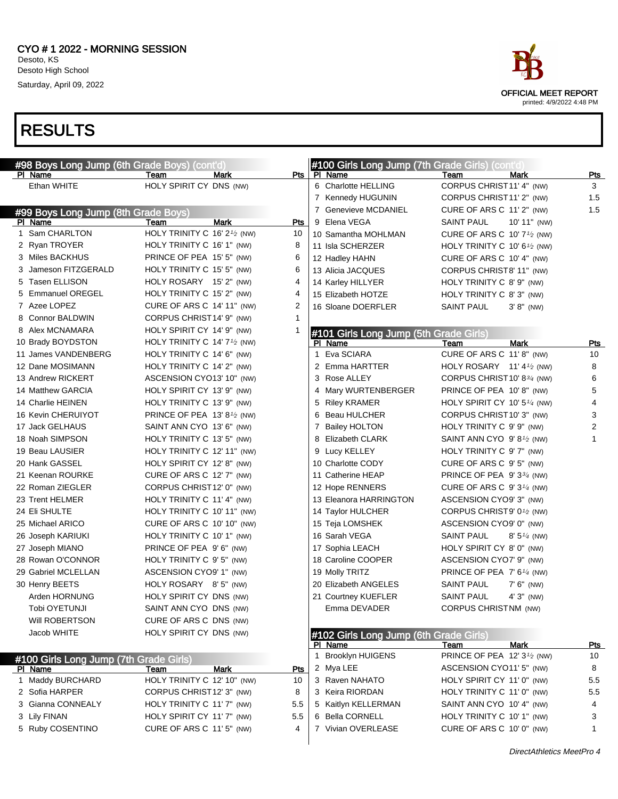

| #98 Boys Long Jump (6th Grade Boys) (cont'd) |                                                       |            | #100 Girls Long Jump (7th Grade Girls) (cont'd) |                                             |            |
|----------------------------------------------|-------------------------------------------------------|------------|-------------------------------------------------|---------------------------------------------|------------|
| PI Name                                      | Team<br>Mark                                          | Pts        | PI Name                                         | Team<br><b>Mark</b>                         | Pts        |
| Ethan WHITE                                  | HOLY SPIRIT CY DNS (NW)                               |            | 6 Charlotte HELLING                             | CORPUS CHRIST11' 4" (NW)                    | 3          |
|                                              |                                                       |            | 7 Kennedy HUGUNIN                               | CORPUS CHRIST11' 2" (NW)                    | 1.5        |
| #99 Boys Long Jump (8th Grade Boys)          |                                                       |            | 7 Genevieve MCDANIEL                            | CURE OF ARS C 11' 2" (NW)                   | 1.5        |
| PI Name                                      | <b>Mark</b><br>Team                                   | <b>Pts</b> | 9 Elena VEGA                                    | <b>SAINT PAUL</b><br>10' 11" (NW)           |            |
| 1 Sam CHARLTON                               | HOLY TRINITY C 16' 2 <sup>1/2</sup> (NW)              | 10         | 10 Samantha MOHLMAN                             | CURE OF ARS C $10'7'$ /2 (NW)               |            |
| 2 Ryan TROYER                                | HOLY TRINITY C 16' 1" (NW)                            | 8          | 11 Isla SCHERZER                                | HOLY TRINITY C 10' $6\frac{1}{2}$ (NW)      |            |
| 3 Miles BACKHUS                              | PRINCE OF PEA 15' 5" (NW)                             | 6          | 12 Hadley HAHN                                  | CURE OF ARS C 10' 4" (NW)                   |            |
| 3 Jameson FITZGERALD                         | HOLY TRINITY C 15' 5" (NW)                            | 6          | 13 Alicia JACQUES                               | CORPUS CHRIST8' 11" (NW)                    |            |
| 5 Tasen ELLISON                              | HOLY ROSARY 15' 2" (NW)                               | 4          | 14 Karley HILLYER                               | HOLY TRINITY C 8' 9" (NW)                   |            |
| 5 Emmanuel OREGEL                            | HOLY TRINITY C 15' 2" (NW)                            | 4          | 15 Elizabeth HOTZE                              | HOLY TRINITY C 8' 3" (NW)                   |            |
| 7 Azee LOPEZ                                 | CURE OF ARS C 14' 11" (NW)                            | 2          | 16 Sloane DOERFLER                              | <b>SAINT PAUL</b><br>$3' 8''$ (NW)          |            |
| 8 Connor BALDWIN                             | CORPUS CHRIST14' 9" (NW)                              | 1          |                                                 |                                             |            |
| 8 Alex MCNAMARA                              | HOLY SPIRIT CY 14' 9" (NW)                            | 1          | #101 Girls Long Jump (5th Grade Girls)          |                                             |            |
| 10 Brady BOYDSTON                            | HOLY TRINITY C 14' 7 <sup>1</sup> / <sub>2</sub> (NW) |            | PI Name                                         | <b>Mark</b><br>Team                         | Pts        |
| 11 James VANDENBERG                          | HOLY TRINITY C 14' 6" (NW)                            |            | Eva SCIARA<br>$\mathbf{1}$                      | CURE OF ARS C 11' 8" (NW)                   | 10         |
| 12 Dane MOSIMANN                             | HOLY TRINITY C 14' 2" (NW)                            |            | 2 Emma HARTTER                                  | HOLY ROSARY 11' 4 $\frac{1}{2}$ (NW)        | 8          |
| 13 Andrew RICKERT                            | ASCENSION CYO13' 10" (NW)                             |            | 3 Rose ALLEY                                    | CORPUS CHRIST 10' 83/4 (NW)                 | 6          |
| 14 Matthew GARCIA                            | HOLY SPIRIT CY 13' 9" (NW)                            |            | 4 Mary WURTENBERGER                             | PRINCE OF PEA 10'8" (NW)                    | 5          |
| 14 Charlie HEINEN                            | HOLY TRINITY C 13' 9" (NW)                            |            | <b>Riley KRAMER</b><br>5.                       | HOLY SPIRIT CY 10' 5 $\frac{1}{4}$ (NW)     | 4          |
| 16 Kevin CHERUIYOT                           | PRINCE OF PEA 13' 8 <sup>1/2</sup> (NW)               |            | Beau HULCHER<br>6                               | CORPUS CHRIST10' 3" (NW)                    | 3          |
| 17 Jack GELHAUS                              | SAINT ANN CYO 13' 6" (NW)                             |            | 7 Bailey HOLTON                                 | HOLY TRINITY C 9' 9" (NW)                   | 2          |
| 18 Noah SIMPSON                              | HOLY TRINITY C 13' 5" (NW)                            |            | 8 Elizabeth CLARK                               | SAINT ANN CYO 9'8 <sup>1/2</sup> (NW)       | 1          |
| 19 Beau LAUSIER                              | HOLY TRINITY C 12' 11" (NW)                           |            | Lucy KELLEY<br>9                                | HOLY TRINITY C 9' 7" (NW)                   |            |
| 20 Hank GASSEL                               | HOLY SPIRIT CY 12' 8" (NW)                            |            | 10 Charlotte CODY                               | CURE OF ARS C 9' 5" (NW)                    |            |
| 21 Keenan ROURKE                             | CURE OF ARS C 12' 7" (NW)                             |            | 11 Catherine HEAP                               | PRINCE OF PEA $9'3^{3/4}$ (NW)              |            |
| 22 Roman ZIEGLER                             | CORPUS CHRIST12' 0" (NW)                              |            | 12 Hope RENNERS                                 | CURE OF ARS C $9'3'4$ (NW)                  |            |
| 23 Trent HELMER                              | HOLY TRINITY C 11' 4" (NW)                            |            | 13 Eleanora HARRINGTON                          | ASCENSION CYO9' 3" (NW)                     |            |
| 24 EII SHULTE                                | HOLY TRINITY C 10' 11" (NW)                           |            | 14 Taylor HULCHER                               | CORPUS CHRIST9' 0 <sup>1</sup> /2 (NW)      |            |
| 25 Michael ARICO                             | CURE OF ARS C 10' 10" (NW)                            |            | 15 Teja LOMSHEK                                 | ASCENSION CYO9' 0" (NW)                     |            |
| 26 Joseph KARIUKI                            | HOLY TRINITY C 10' 1" (NW)                            |            | 16 Sarah VEGA                                   | <b>SAINT PAUL</b><br>$8' 5\frac{1}{4}$ (NW) |            |
| 27 Joseph MIANO                              | PRINCE OF PEA 9'6" (NW)                               |            | 17 Sophia LEACH                                 | HOLY SPIRIT CY 8' 0" (NW)                   |            |
| 28 Rowan O'CONNOR                            | HOLY TRINITY C 9' 5" (NW)                             |            | 18 Caroline COOPER                              | ASCENSION CYO7' 9" (NW)                     |            |
| 29 Gabriel MCLELLAN                          | ASCENSION CYO9' 1" (NW)                               |            | 19 Molly TRITZ                                  | PRINCE OF PEA 7' 6 <sup>1/4</sup> (NW)      |            |
| 30 Henry BEETS                               | HOLY ROSARY 8'5" (NW)                                 |            | 20 Elizabeth ANGELES                            | <b>SAINT PAUL</b><br>$7'$ 6" (NW)           |            |
| Arden HORNUNG                                | HOLY SPIRIT CY DNS (NW)                               |            | 21 Courtney KUEFLER                             | <b>SAINT PAUL</b><br>$4'3''$ (NW)           |            |
| Tobi OYETUNJI                                | SAINT ANN CYO DNS (NW)                                |            | Emma DEVADER                                    | CORPUS CHRISTNM (NW)                        |            |
| Will ROBERTSON                               | CURE OF ARS C DNS (NW)                                |            |                                                 |                                             |            |
| Jacob WHITE                                  | HOLY SPIRIT CY DNS (NW)                               |            | #102 Girls Long Jump (6th Grade Girls)          |                                             |            |
|                                              |                                                       |            | PI Name                                         | <b>Mark</b><br>Team                         | <u>Pts</u> |
| #100 Girls Long Jump (7th Grade Girls)       |                                                       |            | 1 Brooklyn HUIGENS                              | PRINCE OF PEA 12' 3 <sup>1/2</sup> (NW)     | 10         |
| PI Name                                      | Mark<br>Team                                          | Pts        | 2 Mya LEE                                       | ASCENSION CYO11' 5" (NW)                    | 8          |
| 1 Maddy BURCHARD                             | HOLY TRINITY C 12' 10" (NW)                           | 10         | 3 Raven NAHATO                                  | HOLY SPIRIT CY 11' 0" (NW)                  | 5.5        |
| 2 Sofia HARPER                               | CORPUS CHRIST12' 3" (NW)                              | 8          | 3 Keira RIORDAN                                 | HOLY TRINITY C 11' 0" (NW)                  | 5.5        |
| 3 Gianna CONNEALY                            | HOLY TRINITY C 11' 7" (NW)                            | 5.5        | 5 Kaitlyn KELLERMAN                             | SAINT ANN CYO 10' 4" (NW)                   | 4          |
| 3 Lily FINAN                                 | HOLY SPIRIT CY 11'7" (NW)                             | 5.5        | 6 Bella CORNELL                                 | HOLY TRINITY C 10' 1" (NW)                  | 3          |
| 5 Ruby COSENTINO                             | CURE OF ARS C 11'5" (NW)                              | 4          | 7 Vivian OVERLEASE                              | CURE OF ARS C 10' 0" (NW)                   | 1          |
|                                              |                                                       |            |                                                 |                                             |            |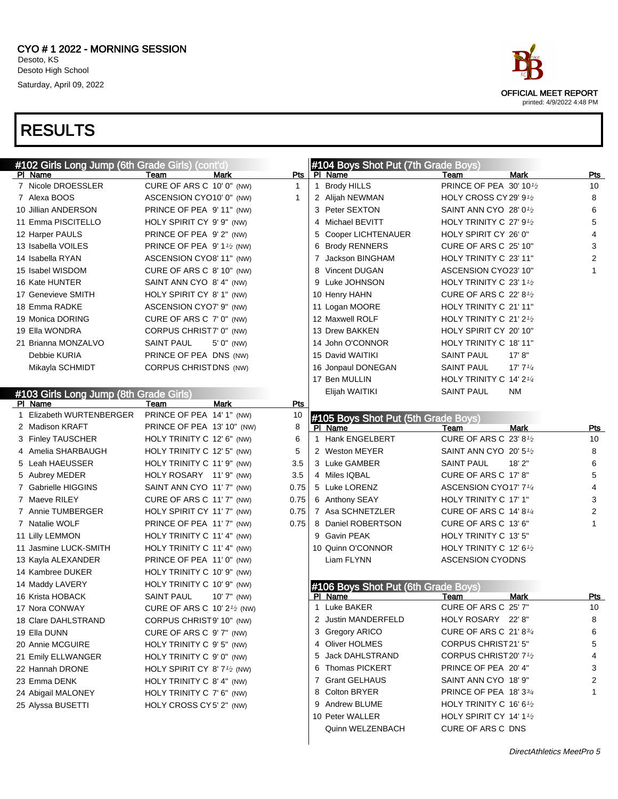

OFFICIAL MEET REPORT printed: 4/9/2022 4:48 PM

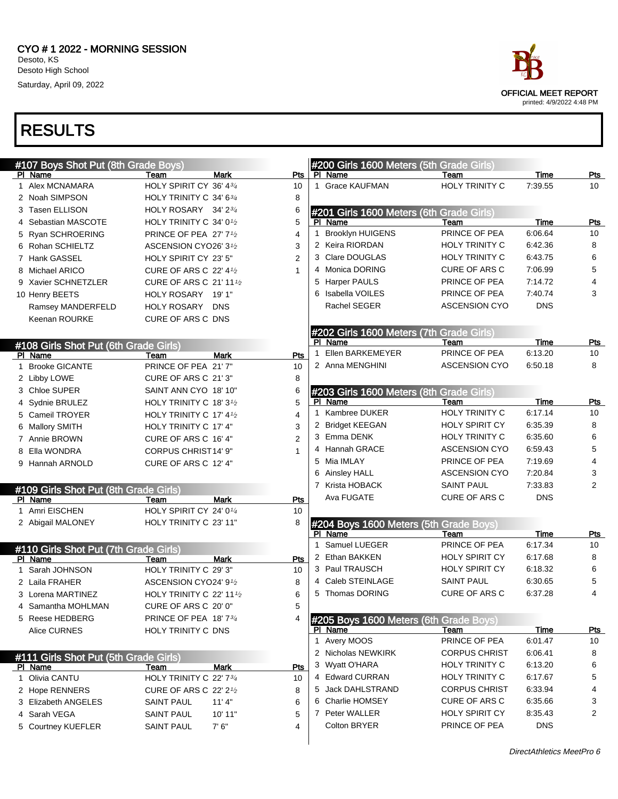

| #107 Boys Shot Put (8th Grade Boys)   |                                                  |             |                |    | #200 Girls 1600 Meters (5th Grade Girls) |                       |            |                 |
|---------------------------------------|--------------------------------------------------|-------------|----------------|----|------------------------------------------|-----------------------|------------|-----------------|
| PI Name                               | Team                                             | Mark        | Pts            |    | PI Name                                  | Team                  | Time       | <u>Pts</u>      |
| 1 Alex MCNAMARA                       | HOLY SPIRIT CY 36' 434                           |             | 10             |    | 1 Grace KAUFMAN                          | <b>HOLY TRINITY C</b> | 7:39.55    | 10 <sup>1</sup> |
| 2 Noah SIMPSON                        | HOLY TRINITY C 34' 6 <sup>3/4</sup>              |             | 8              |    |                                          |                       |            |                 |
| 3 Tasen ELLISON                       | HOLY ROSARY 34' 23/4                             |             | 6              |    | #201 Girls 1600 Meters (6th Grade Girls) |                       |            |                 |
| 4 Sebastian MASCOTE                   | HOLY TRINITY C 34' 0 <sup>1</sup> /2             |             | 5              |    | PI Name                                  | Team                  | Time       | <b>Pts</b>      |
| 5 Ryan SCHROERING                     | PRINCE OF PEA 27' 7 <sup>1</sup> / <sub>2</sub>  |             | $\overline{4}$ | 1  | <b>Brooklyn HUIGENS</b>                  | PRINCE OF PEA         | 6:06.64    | 10              |
| 6 Rohan SCHIELTZ                      | ASCENSION CYO26' 31/2                            |             | 3              |    | 2 Keira RIORDAN                          | <b>HOLY TRINITY C</b> | 6:42.36    | 8               |
| 7 Hank GASSEL                         | HOLY SPIRIT CY 23' 5"                            |             | $\overline{2}$ |    | 3 Clare DOUGLAS                          | <b>HOLY TRINITY C</b> | 6:43.75    | 6               |
| 8 Michael ARICO                       | <b>CURE OF ARS C 22' 41/2</b>                    |             | 1              |    | 4 Monica DORING                          | <b>CURE OF ARS C</b>  | 7:06.99    | 5               |
| 9 Xavier SCHNETZLER                   | <b>CURE OF ARS C 21' 111/2</b>                   |             |                | 5  | <b>Harper PAULS</b>                      | PRINCE OF PEA         | 7:14.72    | 4               |
| 10 Henry BEETS                        | <b>HOLY ROSARY</b>                               | 19' 1"      |                |    | 6 Isabella VOILES                        | PRINCE OF PEA         | 7:40.74    | 3               |
| Ramsey MANDERFELD                     | <b>HOLY ROSARY</b>                               | <b>DNS</b>  |                |    | Rachel SEGER                             | <b>ASCENSION CYO</b>  | <b>DNS</b> |                 |
| Keenan ROURKE                         | CURE OF ARS C DNS                                |             |                |    |                                          |                       |            |                 |
|                                       |                                                  |             |                |    | #202 Girls 1600 Meters (7th Grade Girls) |                       |            |                 |
| #108 Girls Shot Put (6th Grade Girls) |                                                  |             |                |    | PI Name                                  | Team                  | Time       | <u>Pts</u>      |
| PI Name                               | Team                                             | <b>Mark</b> | Pts            | 1  | Ellen BARKEMEYER                         | PRINCE OF PEA         | 6:13.20    | 10              |
| 1 Brooke GICANTE                      | PRINCE OF PEA 21' 7"                             |             | 10             |    | 2 Anna MENGHINI                          | <b>ASCENSION CYO</b>  | 6:50.18    | 8               |
| 2 Libby LOWE                          | CURE OF ARS C 21'3"                              |             | 8              |    |                                          |                       |            |                 |
| 3 Chloe SUPER                         | SAINT ANN CYO 18' 10"                            |             | 6              |    | #203 Girls 1600 Meters (8th Grade Girls) |                       |            |                 |
| 4 Sydnie BRULEZ                       | HOLY TRINITY C 18' 3 <sup>1</sup> / <sub>2</sub> |             | 5              |    | PI Name                                  | Team                  | Time       | <u>Pts</u>      |
| 5 Cameil TROYER                       | HOLY TRINITY C 17' $4\frac{1}{2}$                |             | 4              |    | 1 Kambree DUKER                          | HOLY TRINITY C        | 6:17.14    | 10              |
| 6 Mallory SMITH                       | HOLY TRINITY C 17' 4"                            |             | 3              |    | 2 Bridget KEEGAN                         | HOLY SPIRIT CY        | 6:35.39    | 8               |
| 7 Annie BROWN                         | CURE OF ARS C 16' 4"                             |             | $\overline{2}$ |    | 3 Emma DENK                              | <b>HOLY TRINITY C</b> | 6:35.60    | 6               |
| 8 Ella WONDRA                         | CORPUS CHRIST14' 9"                              |             | 1              |    | 4 Hannah GRACE                           | <b>ASCENSION CYO</b>  | 6:59.43    | 5               |
| 9 Hannah ARNOLD                       | CURE OF ARS C 12' 4"                             |             |                |    | 5 Mia IMLAY                              | PRINCE OF PEA         | 7:19.69    | 4               |
|                                       |                                                  |             |                |    | 6 Ainsley HALL                           | <b>ASCENSION CYO</b>  | 7:20.84    | 3               |
| #109 Girls Shot Put (8th Grade Girls) |                                                  |             |                |    | 7 Krista HOBACK                          | <b>SAINT PAUL</b>     | 7:33.83    | 2               |
| PI Name                               | Team                                             | <b>Mark</b> | Pts            |    | Ava FUGATE                               | <b>CURE OF ARS C</b>  | <b>DNS</b> |                 |
| 1 Amri EISCHEN                        | HOLY SPIRIT CY 24' 01/4                          |             | 10             |    |                                          |                       |            |                 |
| 2 Abigail MALONEY                     | HOLY TRINITY C 23' 11"                           |             | 8              |    | #204 Boys 1600 Meters (5th Grade Boys)   |                       |            |                 |
|                                       |                                                  |             |                |    | PI Name                                  | Team                  | Time       | <b>Pts</b>      |
| #110 Girls Shot Put (7th Grade Girls) |                                                  |             |                | 1. | Samuel LUEGER                            | PRINCE OF PEA         | 6:17.34    | 10              |
| PI Name                               | Team                                             | <b>Mark</b> | Pts            |    | 2 Ethan BAKKEN                           | HOLY SPIRIT CY        | 6:17.68    | 8               |
| 1 Sarah JOHNSON                       | HOLY TRINITY C 29' 3"                            |             | 10             |    | 3 Paul TRAUSCH                           | <b>HOLY SPIRIT CY</b> | 6:18.32    | 6               |
| 2 Laila FRAHER                        | ASCENSION CYO24' 91/2                            |             | 8              |    | 4 Caleb STEINLAGE                        | <b>SAINT PAUL</b>     | 6:30.65    | 5               |
| 3 Lorena MARTINEZ                     | HOLY TRINITY C 22' 11 $\frac{1}{2}$              |             | 6              |    | 5 Thomas DORING                          | <b>CURE OF ARS C</b>  | 6:37.28    | 4               |
| 4 Samantha MOHLMAN                    | CURE OF ARS C 20' 0"                             |             | 5              |    |                                          |                       |            |                 |
| 5 Reese HEDBERG                       | PRINCE OF PEA 18'734                             |             | 4              |    | #205 Boys 1600 Meters (6th Grade Boys)   |                       |            |                 |
| Alice CURNES                          | HOLY TRINITY C DNS                               |             |                |    | PI Name                                  | Team                  | Time       | <u>Pts</u>      |
|                                       |                                                  |             |                |    | 1 Avery MOOS                             | PRINCE OF PEA         | 6:01.47    | 10              |
| #111 Girls Shot Put (5th Grade Girls) |                                                  |             |                |    | 2 Nicholas NEWKIRK                       | <b>CORPUS CHRIST</b>  | 6:06.41    | 8               |
| PI Name                               | Team                                             | Mark        | <b>Pts</b>     |    | 3 Wyatt O'HARA                           | HOLY TRINITY C        | 6:13.20    | 6               |
| 1 Olivia CANTU                        | HOLY TRINITY C 22' 734                           |             | 10             |    | 4 Edward CURRAN                          | HOLY TRINITY C        | 6:17.67    | 5               |
| 2 Hope RENNERS                        | <b>CURE OF ARS C 22' 21/2</b>                    |             | 8              |    | 5 Jack DAHLSTRAND                        | <b>CORPUS CHRIST</b>  | 6:33.94    | 4               |
| 3 Elizabeth ANGELES                   | SAINT PAUL                                       | 11'4"       | 6              |    | 6 Charlie HOMSEY                         | CURE OF ARS C         | 6:35.66    | 3               |
| 4 Sarah VEGA                          | SAINT PAUL                                       | 10' 11"     | 5              |    | 7 Peter WALLER                           | <b>HOLY SPIRIT CY</b> | 8:35.43    | 2               |
| 5 Courtney KUEFLER                    | SAINT PAUL                                       | 7'6''       | 4              |    | Colton BRYER                             | PRINCE OF PEA         | <b>DNS</b> |                 |
|                                       |                                                  |             |                |    |                                          |                       |            |                 |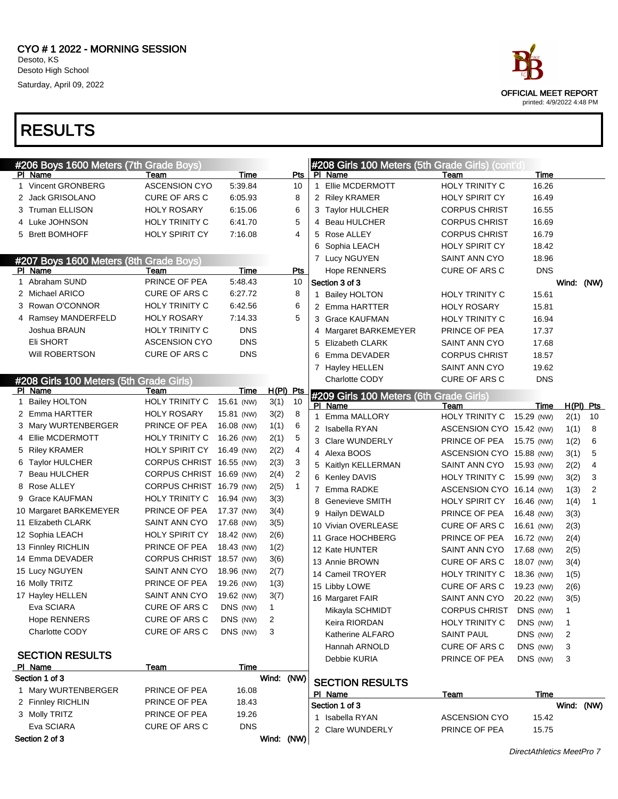

| #206 Boys 1600 Meters (7th Grade Boys)  |                                |            |              |                |              | #208 Girls 100 Meters (5th Grade Girls) (cont'd) |                          |            |              |                |
|-----------------------------------------|--------------------------------|------------|--------------|----------------|--------------|--------------------------------------------------|--------------------------|------------|--------------|----------------|
| PI Name                                 | Team                           | Time       |              | Pts            |              | PI Name                                          | Team                     | Time       |              |                |
| 1 Vincent GRONBERG                      | <b>ASCENSION CYO</b>           | 5:39.84    |              | 10             | $\mathbf{1}$ | Ellie MCDERMOTT                                  | <b>HOLY TRINITY C</b>    | 16.26      |              |                |
| 2 Jack GRISOLANO                        | CURE OF ARS C                  | 6:05.93    |              | 8              |              | 2 Riley KRAMER                                   | HOLY SPIRIT CY           | 16.49      |              |                |
| 3 Truman ELLISON                        | <b>HOLY ROSARY</b>             | 6:15.06    |              | 6              |              | 3 Taylor HULCHER                                 | <b>CORPUS CHRIST</b>     | 16.55      |              |                |
| 4 Luke JOHNSON                          | <b>HOLY TRINITY C</b>          | 6:41.70    |              | 5              | 4            | <b>Beau HULCHER</b>                              | <b>CORPUS CHRIST</b>     | 16.69      |              |                |
| 5 Brett BOMHOFF                         | <b>HOLY SPIRIT CY</b>          | 7:16.08    |              | 4              |              | 5 Rose ALLEY                                     | <b>CORPUS CHRIST</b>     | 16.79      |              |                |
|                                         |                                |            |              |                | 6            | Sophia LEACH                                     | <b>HOLY SPIRIT CY</b>    | 18.42      |              |                |
| #207 Boys 1600 Meters (8th Grade Boys)  |                                |            |              |                |              | 7 Lucy NGUYEN                                    | SAINT ANN CYO            | 18.96      |              |                |
| PI Name                                 | Team                           | Time       |              | Pts            |              | <b>Hope RENNERS</b>                              | CURE OF ARS C            | <b>DNS</b> |              |                |
| 1 Abraham SUND                          | PRINCE OF PEA                  | 5:48.43    |              | 10             |              | Section 3 of 3                                   |                          |            |              | Wind: (NW)     |
| 2 Michael ARICO                         | CURE OF ARS C                  | 6:27.72    |              | 8              |              | 1 Bailey HOLTON                                  | <b>HOLY TRINITY C</b>    | 15.61      |              |                |
| 3 Rowan O'CONNOR                        | HOLY TRINITY C                 | 6:42.56    |              | 6              |              | 2 Emma HARTTER                                   | <b>HOLY ROSARY</b>       | 15.81      |              |                |
| 4 Ramsey MANDERFELD                     | <b>HOLY ROSARY</b>             | 7:14.33    |              | 5              |              | 3 Grace KAUFMAN                                  | <b>HOLY TRINITY C</b>    | 16.94      |              |                |
| Joshua BRAUN                            | HOLY TRINITY C                 | <b>DNS</b> |              |                | 4            | Margaret BARKEMEYER                              | PRINCE OF PEA            | 17.37      |              |                |
| Eli SHORT                               | <b>ASCENSION CYO</b>           | <b>DNS</b> |              |                | 5            | Elizabeth CLARK                                  | SAINT ANN CYO            | 17.68      |              |                |
| Will ROBERTSON                          | <b>CURE OF ARS C</b>           | <b>DNS</b> |              |                | 6            | Emma DEVADER                                     | <b>CORPUS CHRIST</b>     | 18.57      |              |                |
|                                         |                                |            |              |                |              | 7 Hayley HELLEN                                  | SAINT ANN CYO            | 19.62      |              |                |
| #208 Girls 100 Meters (5th Grade Girls) |                                |            |              |                |              | <b>Charlotte CODY</b>                            | CURE OF ARS C            | <b>DNS</b> |              |                |
| PI Name                                 | Team                           | Time       | H(PI) Pts    |                |              | #209 Girls 100 Meters (6th Grade Girls)          |                          |            |              |                |
| 1 Bailey HOLTON                         | HOLY TRINITY C                 | 15.61 (NW) | 3(1)         | 10             |              | PI Name                                          | Team                     | Time       |              | $H(PI)$ Pts    |
| 2 Emma HARTTER                          | <b>HOLY ROSARY</b>             | 15.81 (NW) | 3(2)         | 8              | $\mathbf{1}$ | Emma MALLORY                                     | HOLY TRINITY C           | 15.29 (NW) | 2(1)         | 10             |
| 3 Mary WURTENBERGER                     | PRINCE OF PEA                  | 16.08 (NW) | 1(1)         | 6              |              | 2 Isabella RYAN                                  | ASCENSION CYO 15.42 (NW) |            | 1(1)         | 8              |
| 4 Ellie MCDERMOTT                       | <b>HOLY TRINITY C</b>          | 16.26 (NW) | 2(1)         | 5              |              | 3 Clare WUNDERLY                                 | PRINCE OF PEA            | 15.75 (NW) | 1(2)         | 6              |
| 5 Riley KRAMER                          | HOLY SPIRIT CY                 | 16.49 (NW) | 2(2)         | 4              |              | 4 Alexa BOOS                                     | ASCENSION CYO 15.88 (NW) |            | 3(1)         | 5              |
| Taylor HULCHER<br>6                     | CORPUS CHRIST 16.55 (NW)       |            | 2(3)         | 3              |              | 5 Kaitlyn KELLERMAN                              | SAINT ANN CYO            | 15.93 (NW) | 2(2)         | 4              |
| 7 Beau HULCHER                          | CORPUS CHRIST 16.69 (NW)       |            | 2(4)         | $\overline{2}$ |              | 6 Kenley DAVIS                                   | HOLY TRINITY C           | 15.99 (NW) | 3(2)         | 3              |
| 8 Rose ALLEY                            | CORPUS CHRIST 16.79 (NW)       |            | 2(5)         | $\mathbf{1}$   | 7            | Emma RADKE                                       | ASCENSION CYO 16.14 (NW) |            | 1(3)         | $\overline{2}$ |
| 9 Grace KAUFMAN                         | HOLY TRINITY C                 | 16.94 (NW) | 3(3)         |                | 8            | <b>Genevieve SMITH</b>                           | <b>HOLY SPIRIT CY</b>    | 16.46 (NW) | 1(4)         | 1              |
| 10 Margaret BARKEMEYER                  | PRINCE OF PEA                  | 17.37 (NW) | 3(4)         |                | 9            | Hailyn DEWALD                                    | PRINCE OF PEA            | 16.48 (NW) | 3(3)         |                |
| 11 Elizabeth CLARK                      | SAINT ANN CYO                  | 17.68 (NW) | 3(5)         |                |              | 10 Vivian OVERLEASE                              | CURE OF ARS C            | 16.61 (NW) | 2(3)         |                |
| 12 Sophia LEACH                         | HOLY SPIRIT CY                 | 18.42 (NW) | 2(6)         |                |              | 11 Grace HOCHBERG                                | PRINCE OF PEA            | 16.72 (NW) | 2(4)         |                |
| 13 Finnley RICHLIN                      | PRINCE OF PEA                  | 18.43 (NW) | 1(2)         |                |              | 12 Kate HUNTER                                   | SAINT ANN CYO            | 17.68 (NW) | 2(5)         |                |
| 14 Emma DEVADER                         | CORPUS CHRIST 18.57 (NW)       |            | 3(6)         |                |              | 13 Annie BROWN                                   | CURE OF ARS C            | 18.07 (NW) | 3(4)         |                |
| 15 Lucy NGUYEN                          | SAINT ANN CYO                  | 18.96 (NW) | 2(7)         |                |              | 14 Cameil TROYER                                 | HOLY TRINITY C           | 18.36 (NW) | 1(5)         |                |
| 16 Molly TRITZ                          | PRINCE OF PEA                  | 19.26 (NW) | 1(3)         |                |              | 15 Libby LOWE                                    | CURE OF ARS C            | 19.23 (NW) | 2(6)         |                |
| 17 Hayley HELLEN                        | SAINT ANN CYO                  | 19.62 (NW) | 3(7)         |                |              | 16 Margaret FAIR                                 | SAINT ANN CYO            | 20.22 (NW) | 3(5)         |                |
| Eva SCIARA                              | CURE OF ARS C                  | DNS (NW)   | 1            |                |              | Mikayla SCHMIDT                                  | CORPUS CHRIST DNS (NW)   |            | 1.           |                |
| <b>Hope RENNERS</b>                     | CURE OF ARS C                  | DNS (NW)   | 2            |                |              | Keira RIORDAN                                    | HOLY TRINITY C           | DNS (NW)   | $\mathbf{1}$ |                |
| Charlotte CODY                          | CURE OF ARS C                  | DNS (NW)   | 3            |                |              | Katherine ALFARO                                 | <b>SAINT PAUL</b>        | DNS (NW)   | 2            |                |
|                                         |                                |            |              |                |              | Hannah ARNOLD                                    | CURE OF ARS C            | DNS (NW)   | 3            |                |
| <b>SECTION RESULTS</b>                  |                                |            |              |                |              | Debbie KURIA                                     | PRINCE OF PEA            | DNS (NW)   | 3            |                |
| PI Name                                 | <b>Team</b>                    | Time       |              |                |              |                                                  |                          |            |              |                |
| Section 1 of 3                          |                                |            | Wind: (NW)   |                |              | <b>SECTION RESULTS</b>                           |                          |            |              |                |
| 1 Mary WURTENBERGER                     | PRINCE OF PEA                  | 16.08      |              |                |              | PI Name                                          | <b>Team</b>              | Time       |              |                |
| 2 Finnley RICHLIN                       | PRINCE OF PEA<br>PRINCE OF PEA | 18.43      |              |                |              | Section 1 of 3                                   |                          |            |              | Wind: (NW)     |
| 3 Molly TRITZ                           |                                | 19.26      |              |                |              | 1 Isabella RYAN                                  | <b>ASCENSION CYO</b>     | 15.42      |              |                |
| Eva SCIARA                              | CURE OF ARS C                  | <b>DNS</b> |              |                |              | 2 Clare WUNDERLY                                 | PRINCE OF PEA            | 15.75      |              |                |
| Section 2 of 3                          |                                |            | Wind: $(NW)$ |                |              |                                                  |                          |            |              |                |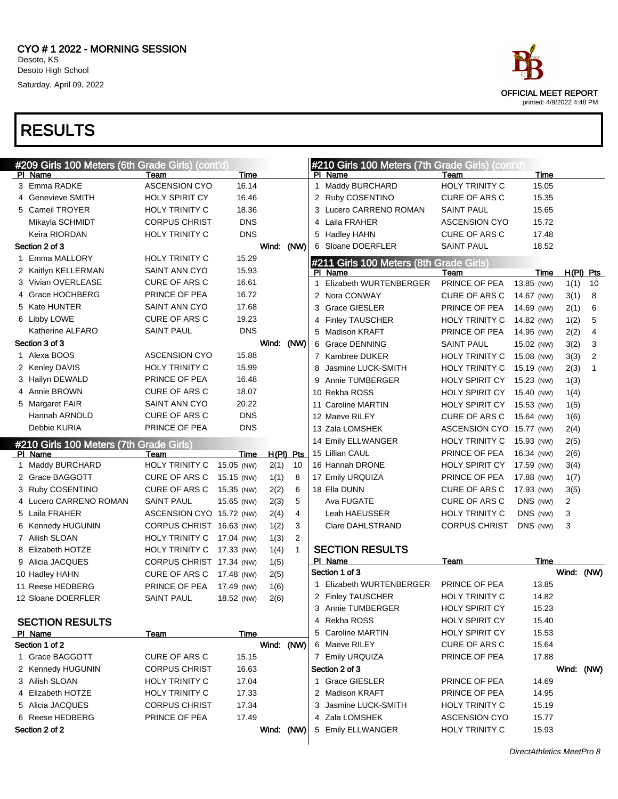

| #209 Girls 100 Meters (6th Grade Girls) (cont'd)   |                          |             |             |              |   | #210 Girls 100 Meters (7th Grade Girls) (cont'd) |                          |            |                |              |
|----------------------------------------------------|--------------------------|-------------|-------------|--------------|---|--------------------------------------------------|--------------------------|------------|----------------|--------------|
| PI Name                                            | Team                     | Time        |             |              |   | PI Name                                          | Team                     | Time       |                |              |
| 3 Emma RADKE                                       | <b>ASCENSION CYO</b>     | 16.14       |             |              |   | 1 Maddy BURCHARD                                 | HOLY TRINITY C           | 15.05      |                |              |
| 4 Genevieve SMITH                                  | HOLY SPIRIT CY           | 16.46       |             |              |   | 2 Ruby COSENTINO                                 | CURE OF ARS C            | 15.35      |                |              |
| 5 Cameil TROYER                                    | HOLY TRINITY C           | 18.36       |             |              |   | 3 Lucero CARRENO ROMAN                           | <b>SAINT PAUL</b>        | 15.65      |                |              |
| Mikayla SCHMIDT                                    | <b>CORPUS CHRIST</b>     | <b>DNS</b>  |             |              | 4 | Laila FRAHER                                     | <b>ASCENSION CYO</b>     | 15.72      |                |              |
| Keira RIORDAN                                      | HOLY TRINITY C           | <b>DNS</b>  |             |              |   | 5 Hadley HAHN                                    | CURE OF ARS C            | 17.48      |                |              |
| Section 2 of 3                                     |                          |             | Wind: (NW)  |              |   | 6 Sloane DOERFLER                                | <b>SAINT PAUL</b>        | 18.52      |                |              |
| 1 Emma MALLORY                                     | HOLY TRINITY C           | 15.29       |             |              |   | #211 Girls 100 Meters (8th Grade Girls)          |                          |            |                |              |
| 2 Kaitlyn KELLERMAN                                | SAINT ANN CYO            | 15.93       |             |              |   | PI Name                                          | Team                     | Time       |                | $H(PI)$ Pts  |
| 3 Vivian OVERLEASE                                 | <b>CURE OF ARS C</b>     | 16.61       |             |              | 1 | Elizabeth WURTENBERGER                           | PRINCE OF PEA            | 13.85 (NW) | 1(1)           | 10           |
| 4 Grace HOCHBERG                                   | PRINCE OF PEA            | 16.72       |             |              |   | 2 Nora CONWAY                                    | <b>CURE OF ARS C</b>     | 14.67 (NW) | 3(1)           | 8            |
| 5 Kate HUNTER                                      | <b>SAINT ANN CYO</b>     | 17.68       |             |              |   | 3 Grace GIESLER                                  | PRINCE OF PEA            | 14.69 (NW) | 2(1)           | 6            |
| 6 Libby LOWE                                       | <b>CURE OF ARS C</b>     | 19.23       |             |              | 4 | <b>Finley TAUSCHER</b>                           | <b>HOLY TRINITY C</b>    | 14.82 (NW) | 1(2)           | 5            |
| Katherine ALFARO                                   | <b>SAINT PAUL</b>        | <b>DNS</b>  |             |              |   | 5 Madison KRAFT                                  | PRINCE OF PEA            | 14.95 (NW) | 2(2)           | 4            |
| Section 3 of 3                                     |                          |             | Wind: (NW)  |              |   | 6 Grace DENNING                                  | <b>SAINT PAUL</b>        | 15.02 (NW) | 3(2)           | 3            |
| 1 Alexa BOOS                                       | <b>ASCENSION CYO</b>     | 15.88       |             |              |   | 7 Kambree DUKER                                  | <b>HOLY TRINITY C</b>    | 15.08 (NW) | 3(3)           | 2            |
| 2 Kenley DAVIS                                     | HOLY TRINITY C           | 15.99       |             |              | 8 | Jasmine LUCK-SMITH                               | <b>HOLY TRINITY C</b>    | 15.19 (NW) | 2(3)           | $\mathbf{1}$ |
| 3 Hailyn DEWALD                                    | PRINCE OF PEA            | 16.48       |             |              | 9 | Annie TUMBERGER                                  | HOLY SPIRIT CY           | 15.23 (NW) | 1(3)           |              |
| 4 Annie BROWN                                      | <b>CURE OF ARS C</b>     | 18.07       |             |              |   | 10 Rekha ROSS                                    | HOLY SPIRIT CY           | 15.40 (NW) | 1(4)           |              |
| 5 Margaret FAIR                                    | SAINT ANN CYO            | 20.22       |             |              |   | 11 Caroline MARTIN                               | HOLY SPIRIT CY           | 15.53 (NW) | 1(5)           |              |
| Hannah ARNOLD                                      | <b>CURE OF ARS C</b>     | <b>DNS</b>  |             |              |   | 12 Maeve RILEY                                   | <b>CURE OF ARS C</b>     | 15.64 (NW) | 1(6)           |              |
| Debbie KURIA                                       | PRINCE OF PEA            | <b>DNS</b>  |             |              |   | 13 Zala LOMSHEK                                  | ASCENSION CYO 15.77 (NW) |            | 2(4)           |              |
|                                                    |                          |             |             |              |   | 14 Emily ELLWANGER                               | HOLY TRINITY C           | 15.93 (NW) | 2(5)           |              |
| #210 Girls 100 Meters (7th Grade Girls)<br>PI Name | Team                     | Time        | $H(PI)$ Pts |              |   | 15 Lillian CAUL                                  | PRINCE OF PEA            | 16.34 (NW) | 2(6)           |              |
| 1 Maddy BURCHARD                                   | HOLY TRINITY C           | 15.05 (NW)  | 2(1)        | 10           |   | 16 Hannah DRONE                                  | HOLY SPIRIT CY           | 17.59 (NW) | 3(4)           |              |
| 2 Grace BAGGOTT                                    | <b>CURE OF ARS C</b>     | 15.15 (NW)  | 1(1)        | 8            |   | 17 Emily URQUIZA                                 | PRINCE OF PEA            | 17.88 (NW) | 1(7)           |              |
| 3 Ruby COSENTINO                                   | <b>CURE OF ARS C</b>     | 15.35 (NW)  | 2(2)        | 6            |   | 18 Ella DUNN                                     | <b>CURE OF ARS C</b>     | 17.93 (NW) | 3(5)           |              |
| 4 Lucero CARRENO ROMAN                             | <b>SAINT PAUL</b>        | 15.65 (NW)  | 2(3)        | 5            |   | Ava FUGATE                                       | <b>CURE OF ARS C</b>     | DNS (NW)   | $\overline{c}$ |              |
| 5 Laila FRAHER                                     | ASCENSION CYO 15.72 (NW) |             | 2(4)        | 4            |   | Leah HAEUSSER                                    | <b>HOLY TRINITY C</b>    | DNS (NW)   | 3              |              |
| 6 Kennedy HUGUNIN                                  | CORPUS CHRIST 16.63 (NW) |             | 1(2)        | 3            |   | Clare DAHLSTRAND                                 | <b>CORPUS CHRIST</b>     | DNS (NW)   | 3              |              |
| 7 Ailish SLOAN                                     | HOLY TRINITY C           | 17.04 (NW)  | 1(3)        | 2            |   |                                                  |                          |            |                |              |
| 8 Elizabeth HOTZE                                  | HOLY TRINITY C           | 17.33 (NW)  | 1(4)        | $\mathbf{1}$ |   | <b>SECTION RESULTS</b>                           |                          |            |                |              |
| 9 Alicia JACQUES                                   | CORPUS CHRIST 17.34 (NW) |             | 1(5)        |              |   | PI Name                                          | Team                     | Time       |                |              |
| 10 Hadley HAHN                                     | CURE OF ARS C            | 17.48 (NW)  | 2(5)        |              |   | Section 1 of 3                                   |                          |            | Wind: (NW)     |              |
| 11 Reese HEDBERG                                   | PRINCE OF PEA            | 17.49 (NW)  | 1(6)        |              |   | 1 Elizabeth WURTENBERGER                         | PRINCE OF PEA            | 13.85      |                |              |
| 12 Sloane DOERFLER                                 | <b>SAINT PAUL</b>        | 18.52 (NW)  | 2(6)        |              |   | 2 Finley TAUSCHER                                | <b>HOLY TRINITY C</b>    | 14.82      |                |              |
|                                                    |                          |             |             |              |   | 3 Annie TUMBERGER                                | HOLY SPIRIT CY           | 15.23      |                |              |
| <b>SECTION RESULTS</b>                             |                          |             |             |              |   | 4 Rekha ROSS                                     | <b>HOLY SPIRIT CY</b>    | 15.40      |                |              |
| PI Name                                            | <b>Team</b>              | <b>Time</b> |             |              |   | 5 Caroline MARTIN                                | <b>HOLY SPIRIT CY</b>    | 15.53      |                |              |
| Section 1 of 2                                     |                          |             | Wind: (NW)  |              |   | 6 Maeve RILEY                                    | <b>CURE OF ARS C</b>     | 15.64      |                |              |
| 1 Grace BAGGOTT                                    | <b>CURE OF ARS C</b>     | 15.15       |             |              |   | 7 Emily URQUIZA                                  | PRINCE OF PEA            | 17.88      |                |              |
| 2 Kennedy HUGUNIN                                  | <b>CORPUS CHRIST</b>     | 16.63       |             |              |   | Section 2 of 3                                   |                          |            | Wind: (NW)     |              |
| 3 Ailish SLOAN                                     | <b>HOLY TRINITY C</b>    | 17.04       |             |              |   | 1 Grace GIESLER                                  | PRINCE OF PEA            | 14.69      |                |              |
| 4 Elizabeth HOTZE                                  | <b>HOLY TRINITY C</b>    | 17.33       |             |              |   | 2 Madison KRAFT                                  | PRINCE OF PEA            | 14.95      |                |              |
| 5 Alicia JACQUES                                   | <b>CORPUS CHRIST</b>     | 17.34       |             |              |   | 3 Jasmine LUCK-SMITH                             | <b>HOLY TRINITY C</b>    | 15.19      |                |              |
| 6 Reese HEDBERG                                    | PRINCE OF PEA            | 17.49       |             |              |   | 4 Zala LOMSHEK                                   | <b>ASCENSION CYO</b>     | 15.77      |                |              |
| Section 2 of 2                                     |                          |             | Wind: (NW)  |              |   | 5 Emily ELLWANGER                                | <b>HOLY TRINITY C</b>    | 15.93      |                |              |
|                                                    |                          |             |             |              |   |                                                  |                          |            |                |              |

DirectAthletics MeetPro 8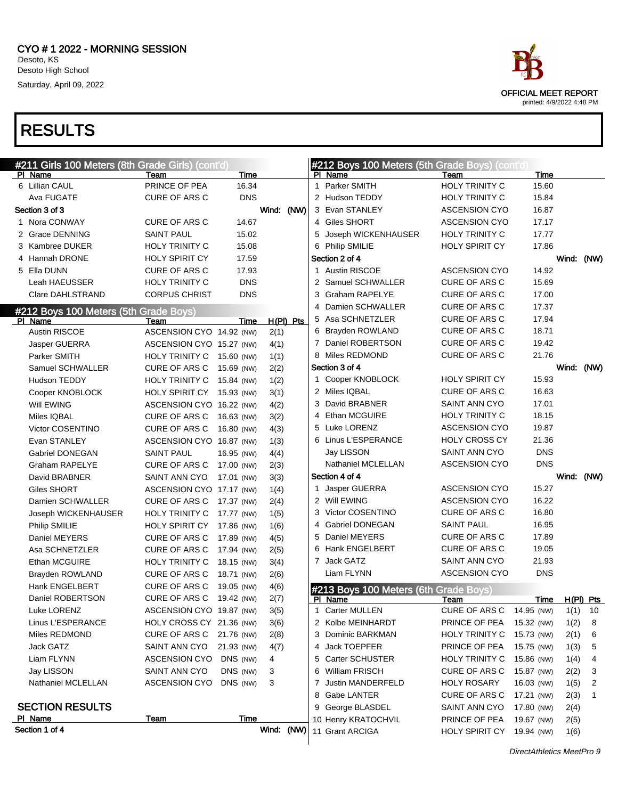#211 Girls 100 Meters (8th Grade Girls) (cont'd)

# RESULTS

| PI Name                               | Team                      | Time       |             | PI Name                               | Team                      | Time       |            |                |
|---------------------------------------|---------------------------|------------|-------------|---------------------------------------|---------------------------|------------|------------|----------------|
| 6 Lillian CAUL                        | PRINCE OF PEA             | 16.34      |             | 1 Parker SMITH                        | HOLY TRINITY C            | 15.60      |            |                |
| Ava FUGATE                            | <b>CURE OF ARS C</b>      | <b>DNS</b> |             | 2 Hudson TEDDY                        | HOLY TRINITY C            | 15.84      |            |                |
| Section 3 of 3                        |                           |            | Wind: (NW)  | 3 Evan STANLEY                        | <b>ASCENSION CYO</b>      | 16.87      |            |                |
| 1 Nora CONWAY                         | <b>CURE OF ARS C</b>      | 14.67      |             | 4 Giles SHORT                         | <b>ASCENSION CYO</b>      | 17.17      |            |                |
| 2 Grace DENNING                       | <b>SAINT PAUL</b>         | 15.02      |             | 5 Joseph WICKENHAUSER                 | HOLY TRINITY C            | 17.77      |            |                |
| 3 Kambree DUKER                       | <b>HOLY TRINITY C</b>     | 15.08      |             | 6 Philip SMILIE                       | <b>HOLY SPIRIT CY</b>     | 17.86      |            |                |
| 4 Hannah DRONE                        | HOLY SPIRIT CY            | 17.59      |             | Section 2 of 4                        |                           |            | Wind: (NW) |                |
| 5 Ella DUNN                           | <b>CURE OF ARS C</b>      | 17.93      |             | 1 Austin RISCOE                       | <b>ASCENSION CYO</b>      | 14.92      |            |                |
| Leah HAEUSSER                         | <b>HOLY TRINITY C</b>     | <b>DNS</b> |             | 2 Samuel SCHWALLER                    | <b>CURE OF ARS C</b>      | 15.69      |            |                |
| <b>Clare DAHLSTRAND</b>               | <b>CORPUS CHRIST</b>      | <b>DNS</b> |             | 3 Graham RAPELYE                      | <b>CURE OF ARS C</b>      | 17.00      |            |                |
| #212 Boys 100 Meters (5th Grade Boys) |                           |            |             | 4 Damien SCHWALLER                    | <b>CURE OF ARS C</b>      | 17.37      |            |                |
| PI Name                               | Team                      | Time       | $H(PI)$ Pts | 5 Asa SCHNETZLER                      | <b>CURE OF ARS C</b>      | 17.94      |            |                |
| Austin RISCOE                         | ASCENSION CYO 14.92 (NW)  |            | 2(1)        | 6 Brayden ROWLAND                     | <b>CURE OF ARS C</b>      | 18.71      |            |                |
| Jasper GUERRA                         | ASCENSION CYO 15.27 (NW)  |            | 4(1)        | 7 Daniel ROBERTSON                    | CURE OF ARS C             | 19.42      |            |                |
| Parker SMITH                          | HOLY TRINITY C 15.60 (NW) |            | 1(1)        | 8 Miles REDMOND                       | <b>CURE OF ARS C</b>      | 21.76      |            |                |
| Samuel SCHWALLER                      | <b>CURE OF ARS C</b>      | 15.69 (NW) | 2(2)        | Section 3 of 4                        |                           |            | Wind: (NW) |                |
| Hudson TEDDY                          | HOLY TRINITY C 15.84 (NW) |            | 1(2)        | 1 Cooper KNOBLOCK                     | <b>HOLY SPIRIT CY</b>     | 15.93      |            |                |
| Cooper KNOBLOCK                       | HOLY SPIRIT CY 15.93 (NW) |            | 3(1)        | 2 Miles IQBAL                         | <b>CURE OF ARS C</b>      | 16.63      |            |                |
| Will EWING                            | ASCENSION CYO 16.22 (NW)  |            | 4(2)        | 3 David BRABNER                       | SAINT ANN CYO             | 17.01      |            |                |
| Miles IQBAL                           | CURE OF ARS C             | 16.63 (NW) | 3(2)        | 4 Ethan MCGUIRE                       | <b>HOLY TRINITY C</b>     | 18.15      |            |                |
| <b>Victor COSENTINO</b>               | <b>CURE OF ARS C</b>      | 16.80 (NW) | 4(3)        | 5 Luke LORENZ                         | <b>ASCENSION CYO</b>      | 19.87      |            |                |
| Evan STANLEY                          | ASCENSION CYO 16.87 (NW)  |            | 1(3)        | 6 Linus L'ESPERANCE                   | <b>HOLY CROSS CY</b>      | 21.36      |            |                |
| Gabriel DONEGAN                       | <b>SAINT PAUL</b>         | 16.95 (NW) | 4(4)        | Jay LISSON                            | SAINT ANN CYO             | <b>DNS</b> |            |                |
| Graham RAPELYE                        | CURE OF ARS C             | 17.00 (NW) | 2(3)        | Nathaniel MCLELLAN                    | <b>ASCENSION CYO</b>      | <b>DNS</b> |            |                |
| David BRABNER                         | SAINT ANN CYO             | 17.01 (NW) | 3(3)        | Section 4 of 4                        |                           |            | Wind: (NW) |                |
| Giles SHORT                           | ASCENSION CYO 17.17 (NW)  |            | 1(4)        | 1 Jasper GUERRA                       | <b>ASCENSION CYO</b>      | 15.27      |            |                |
| Damien SCHWALLER                      | CURE OF ARS C             | 17.37 (NW) | 2(4)        | 2 Will EWING                          | <b>ASCENSION CYO</b>      | 16.22      |            |                |
| Joseph WICKENHAUSER                   | HOLY TRINITY C 17.77 (NW) |            | 1(5)        | 3 Victor COSENTINO                    | <b>CURE OF ARS C</b>      | 16.80      |            |                |
| Philip SMILIE                         | HOLY SPIRIT CY            | 17.86 (NW) | 1(6)        | 4 Gabriel DONEGAN                     | <b>SAINT PAUL</b>         | 16.95      |            |                |
| Daniel MEYERS                         | CURE OF ARS C             | 17.89 (NW) | 4(5)        | 5 Daniel MEYERS                       | CURE OF ARS C             | 17.89      |            |                |
| Asa SCHNETZLER                        | <b>CURE OF ARS C</b>      | 17.94 (NW) | 2(5)        | 6 Hank ENGELBERT                      | CURE OF ARS C             | 19.05      |            |                |
| Ethan MCGUIRE                         | <b>HOLY TRINITY C</b>     | 18.15 (NW) | 3(4)        | 7 Jack GATZ                           | SAINT ANN CYO             | 21.93      |            |                |
| Brayden ROWLAND                       | CURE OF ARS C             | 18.71 (NW) | 2(6)        | Liam FLYNN                            | <b>ASCENSION CYO</b>      | <b>DNS</b> |            |                |
| Hank ENGELBERT                        | CURE OF ARS C             | 19.05 (NW) | 4(6)        | #213 Boys 100 Meters (6th Grade Boys) |                           |            |            |                |
| Daniel ROBERTSON                      | CURE OF ARS C             | 19.42 (NW) | 2(7)        | PI Name                               | Team                      | Time       |            | H(PI) Pts      |
| Luke LORENZ                           | ASCENSION CYO 19.87 (NW)  |            | 3(5)        | 1 Carter MULLEN                       | CURE OF ARS C             | 14.95 (NW) | 1(1)       | - 10           |
| Linus L'ESPERANCE                     | HOLY CROSS CY 21.36 (NW)  |            | 3(6)        | 2 Kolbe MEINHARDT                     | PRINCE OF PEA 15.32 (NW)  |            | 1(2)       | 8              |
| Miles REDMOND                         | CURE OF ARS C 21.76 (NW)  |            | 2(8)        | 3 Dominic BARKMAN                     | HOLY TRINITY C            | 15.73 (NW) | 2(1)       | 6              |
| Jack GATZ                             | SAINT ANN CYO             | 21.93 (NW) | 4(7)        | 4 Jack TOEPFER                        | PRINCE OF PEA             | 15.75 (NW) | 1(3)       | 5              |
| Liam FLYNN                            | ASCENSION CYO             | DNS (NW)   | 4           | 5 Carter SCHUSTER                     | <b>HOLY TRINITY C</b>     | 15.86 (NW) | 1(4)       | 4              |
| Jay LISSON                            | SAINT ANN CYO             | DNS (NW)   | 3           | 6 William FRISCH                      | CURE OF ARS C             | 15.87 (NW) | 2(2)       | 3              |
| Nathaniel MCLELLAN                    | ASCENSION CYO DNS (NW)    |            | 3           | 7 Justin MANDERFELD                   | <b>HOLY ROSARY</b>        | 16.03 (NW) | 1(5)       | $\overline{2}$ |
|                                       |                           |            |             | 8 Gabe LANTER                         | CURE OF ARS C             | 17.21 (NW) | 2(3)       | $\mathbf{1}$   |
| <b>SECTION RESULTS</b>                |                           |            |             | 9 George BLASDEL                      | SAINT ANN CYO             | 17.80 (NW) | 2(4)       |                |
| PI Name                               | <u>Team</u>               | Time       |             | 10 Henry KRATOCHVIL                   | PRINCE OF PEA             | 19.67 (NW) | 2(5)       |                |
| Section 1 of 4                        |                           |            | Wind: (NW)  | 11 Grant ARCIGA                       | HOLY SPIRIT CY 19.94 (NW) |            | 1(6)       |                |
|                                       |                           |            |             |                                       |                           |            |            |                |



#212 Boys 100 Meters (5th Grade Boys) (cont'd)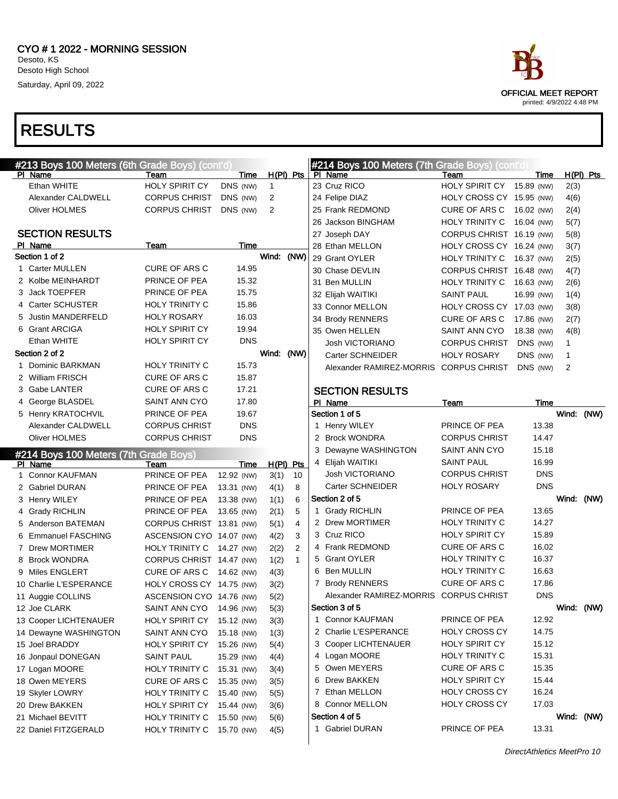

| #213 Boys 100 Meters (6th Grade Boys) (cont'd)   |                           |                          |              |              | #214 Boys 100 Meters (7th Grade Boys) (cont'd) |                           |            |      |             |
|--------------------------------------------------|---------------------------|--------------------------|--------------|--------------|------------------------------------------------|---------------------------|------------|------|-------------|
| PI Name                                          | Team                      | <u>Time</u>              |              | $H(PI)$ Pts  | PI Name                                        | Team                      | Time       |      | $H(PI)$ Pts |
| Ethan WHITE                                      | <b>HOLY SPIRIT CY</b>     | DNS (NW)                 | $\mathbf{1}$ |              | 23 Cruz RICO                                   | HOLY SPIRIT CY 15.89 (NW) |            | 2(3) |             |
| Alexander CALDWELL                               | <b>CORPUS CHRIST</b>      | DNS (NW)                 | 2            |              | 24 Felipe DIAZ                                 | HOLY CROSS CY 15.95 (NW)  |            | 4(6) |             |
| Oliver HOLMES                                    | <b>CORPUS CHRIST</b>      | DNS (NW)                 | 2            |              | 25 Frank REDMOND                               | CURE OF ARS C 16.02 (NW)  |            | 2(4) |             |
|                                                  |                           |                          |              |              | 26 Jackson BINGHAM                             | HOLY TRINITY C 16.04 (NW) |            | 5(7) |             |
| <b>SECTION RESULTS</b>                           |                           |                          |              |              | 27 Joseph DAY                                  | CORPUS CHRIST 16.19 (NW)  |            | 5(8) |             |
| PI Name                                          | Team                      | Time                     |              |              | 28 Ethan MELLON                                | HOLY CROSS CY 16.24 (NW)  |            | 3(7) |             |
| Section 1 of 2                                   |                           |                          | Wind: (NW)   |              | 29 Grant OYLER                                 | HOLY TRINITY C 16.37 (NW) |            | 2(5) |             |
| 1 Carter MULLEN                                  | <b>CURE OF ARS C</b>      | 14.95                    |              |              | 30 Chase DEVLIN                                | CORPUS CHRIST 16.48 (NW)  |            | 4(7) |             |
| 2 Kolbe MEINHARDT                                | PRINCE OF PEA             | 15.32                    |              |              | 31 Ben MULLIN                                  | HOLY TRINITY C 16.63 (NW) |            | 2(6) |             |
| 3 Jack TOEPFER                                   | PRINCE OF PEA             | 15.75                    |              |              | 32 Elijah WAITIKI                              | <b>SAINT PAUL</b>         | 16.99 (NW) | 1(4) |             |
| 4 Carter SCHUSTER                                | <b>HOLY TRINITY C</b>     | 15.86                    |              |              | 33 Connor MELLON                               | HOLY CROSS CY 17.03 (NW)  |            | 3(8) |             |
| Justin MANDERFELD<br>5                           | <b>HOLY ROSARY</b>        | 16.03                    |              |              | 34 Brody RENNERS                               | CURE OF ARS C 17.86 (NW)  |            | 2(7) |             |
| 6 Grant ARCIGA                                   | <b>HOLY SPIRIT CY</b>     | 19.94                    |              |              | 35 Owen HELLEN                                 | SAINT ANN CYO             | 18.38 (NW) | 4(8) |             |
| Ethan WHITE                                      | <b>HOLY SPIRIT CY</b>     | <b>DNS</b>               |              |              | <b>Josh VICTORIANO</b>                         | <b>CORPUS CHRIST</b>      | DNS (NW)   | 1    |             |
| Section 2 of 2                                   |                           |                          | Wind: (NW)   |              | Carter SCHNEIDER                               | <b>HOLY ROSARY</b>        | DNS (NW)   | 1    |             |
| 1 Dominic BARKMAN                                | <b>HOLY TRINITY C</b>     | 15.73                    |              |              | Alexander RAMIREZ-MORRIS CORPUS CHRIST         |                           | DNS (NW)   | 2    |             |
| 2 William FRISCH                                 | <b>CURE OF ARS C</b>      | 15.87                    |              |              |                                                |                           |            |      |             |
| 3 Gabe LANTER                                    | <b>CURE OF ARS C</b>      | 17.21                    |              |              | <b>SECTION RESULTS</b>                         |                           |            |      |             |
| 4 George BLASDEL                                 | <b>SAINT ANN CYO</b>      | 17.80                    |              |              | PI Name                                        | Team                      | Time       |      |             |
| 5 Henry KRATOCHVIL                               | PRINCE OF PEA             | 19.67                    |              |              | Section 1 of 5                                 |                           |            |      | Wind: (NW)  |
| Alexander CALDWELL                               | <b>CORPUS CHRIST</b>      | <b>DNS</b>               |              |              | 1 Henry WILEY                                  | PRINCE OF PEA             | 13.38      |      |             |
| Oliver HOLMES                                    | <b>CORPUS CHRIST</b>      | <b>DNS</b>               |              |              | 2 Brock WONDRA                                 | <b>CORPUS CHRIST</b>      | 14.47      |      |             |
|                                                  |                           |                          |              |              | 3 Dewayne WASHINGTON                           | SAINT ANN CYO             | 15.18      |      |             |
| #214 Boys 100 Meters (7th Grade Boys)<br>PI Name | Team                      | Time                     |              | $H(PI)$ Pts  | 4 Elijah WAITIKI                               | SAINT PAUL                | 16.99      |      |             |
| 1 Connor KAUFMAN                                 | PRINCE OF PEA             | 12.92 (NW)               | 3(1)         | 10           | <b>Josh VICTORIANO</b>                         | <b>CORPUS CHRIST</b>      | <b>DNS</b> |      |             |
| 2 Gabriel DURAN                                  | PRINCE OF PEA             | 13.31 (NW)               | 4(1)         | 8            | Carter SCHNEIDER                               | <b>HOLY ROSARY</b>        | <b>DNS</b> |      |             |
| 3 Henry WILEY                                    | PRINCE OF PEA             | 13.38 (NW)               | 1(1)         | 6            | Section 2 of 5                                 |                           |            |      | Wind: (NW)  |
| 4 Grady RICHLIN                                  | PRINCE OF PEA             | 13.65 (NW)               | 2(1)         | 5            | 1 Grady RICHLIN                                | PRINCE OF PEA             | 13.65      |      |             |
| 5 Anderson BATEMAN                               | CORPUS CHRIST 13.81 (NW)  |                          | 5(1)         | 4            | 2 Drew MORTIMER                                | <b>HOLY TRINITY C</b>     | 14.27      |      |             |
| 6 Emmanuel FASCHING                              | ASCENSION CYO 14.07 (NW)  |                          | 4(2)         | 3            | 3 Cruz RICO                                    | <b>HOLY SPIRIT CY</b>     | 15.89      |      |             |
| 7 Drew MORTIMER                                  | <b>HOLY TRINITY C</b>     | 14.27 (NW)               | 2(2)         | 2            | 4 Frank REDMOND                                | <b>CURE OF ARS C</b>      | 16.02      |      |             |
| 8 Brock WONDRA                                   | CORPUS CHRIST 14.47 (NW)  |                          | 1(2)         | $\mathbf{1}$ | 5 Grant OYLER                                  | <b>HOLY TRINITY C</b>     | 16.37      |      |             |
| 9 Miles ENGLERT                                  | CURE OF ARS C             | 14.62 (NW)               | 4(3)         |              | 6 Ben MULLIN                                   | <b>HOLY TRINITY C</b>     | 16.63      |      |             |
| 10 Charlie L'ESPERANCE                           | HOLY CROSS CY 14.75 (NW)  |                          | 3(2)         |              | 7 Brody RENNERS                                | <b>CURE OF ARS C</b>      | 17.86      |      |             |
| 11 Auggie COLLINS                                | ASCENSION CYO 14.76 (NW)  |                          | 5(2)         |              | Alexander RAMIREZ-MORRIS CORPUS CHRIST         |                           | <b>DNS</b> |      |             |
| 12 Joe CLARK                                     | SAINT ANN CYO 14.96 (NW)  |                          | 5(3)         |              | Section 3 of 5                                 |                           |            |      | Wind: (NW)  |
| 13 Cooper LICHTENAUER                            | HOLY SPIRIT CY 15.12 (NW) |                          | 3(3)         |              | 1 Connor KAUFMAN                               | PRINCE OF PEA             | 12.92      |      |             |
| 14 Dewayne WASHINGTON                            | SAINT ANN CYO             | 15.18 (NW)               | 1(3)         |              | 2 Charlie L'ESPERANCE                          | <b>HOLY CROSS CY</b>      | 14.75      |      |             |
| 15 Joel BRADDY                                   | HOLY SPIRIT CY            | 15.26 (NW)               | 5(4)         |              | 3 Cooper LICHTENAUER                           | <b>HOLY SPIRIT CY</b>     | 15.12      |      |             |
| 16 Jonpaul DONEGAN                               | <b>SAINT PAUL</b>         | 15.29 (NW)               | 4(4)         |              | 4 Logan MOORE                                  | HOLY TRINITY C            | 15.31      |      |             |
| 17 Logan MOORE                                   | HOLY TRINITY C            | 15.31 (NW)               | 3(4)         |              | 5 Owen MEYERS                                  | CURE OF ARS C             | 15.35      |      |             |
| 18 Owen MEYERS                                   | CURE OF ARS C             | 15.35 (NW)               | 3(5)         |              | 6 Drew BAKKEN                                  | <b>HOLY SPIRIT CY</b>     | 15.44      |      |             |
| 19 Skyler LOWRY                                  | HOLY TRINITY C            | 15.40 (NW)               |              |              | 7 Ethan MELLON                                 | <b>HOLY CROSS CY</b>      | 16.24      |      |             |
| 20 Drew BAKKEN                                   | <b>HOLY SPIRIT CY</b>     | 15.44 (NW)               | 5(5)         |              | 8 Connor MELLON                                | <b>HOLY CROSS CY</b>      | 17.03      |      |             |
| 21 Michael BEVITT                                | HOLY TRINITY C            |                          | 3(6)         |              | Section 4 of 5                                 |                           |            |      | Wind: (NW)  |
| 22 Daniel FITZGERALD                             | HOLY TRINITY C            | 15.50 (NW)<br>15.70 (NW) | 5(6)         |              | 1 Gabriel DURAN                                | PRINCE OF PEA             | 13.31      |      |             |
|                                                  |                           |                          | 4(5)         |              |                                                |                           |            |      |             |
|                                                  |                           |                          |              |              |                                                |                           |            |      |             |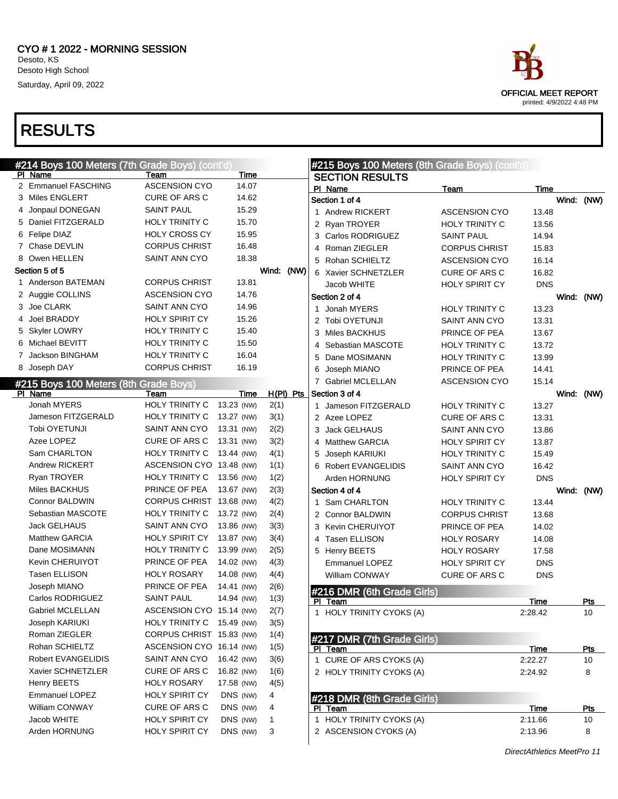



DirectAthletics MeetPro 11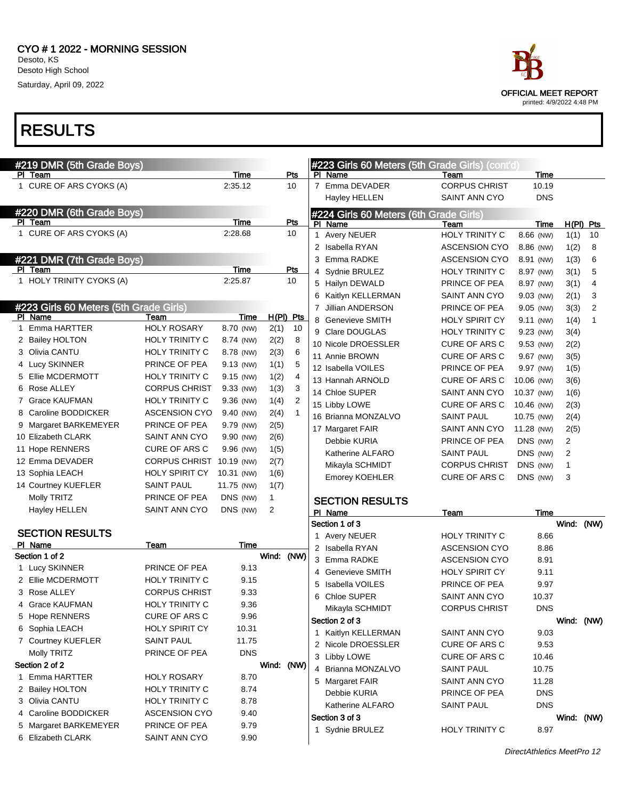

|   | #219 DMR (5th Grade Boys)              |                          |                 |              |                |                | #223 Girls 60 Meters (5th Grade Girls) (cont'd)   |                              |               |       |                |
|---|----------------------------------------|--------------------------|-----------------|--------------|----------------|----------------|---------------------------------------------------|------------------------------|---------------|-------|----------------|
|   | PI Team<br>1 CURE OF ARS CYOKS (A)     |                          | Time<br>2:35.12 |              | Pts<br>10      | <b>PI</b>      | Name<br>7 Emma DEVADER                            | Team<br><b>CORPUS CHRIST</b> | Time<br>10.19 |       |                |
|   |                                        |                          |                 |              |                |                | Hayley HELLEN                                     | SAINT ANN CYO                | <b>DNS</b>    |       |                |
|   | #220 DMR (6th Grade Boys)              |                          |                 |              |                |                |                                                   |                              |               |       |                |
|   | PI Team                                |                          | <b>Time</b>     |              | Pts            |                | #224 Girls 60 Meters (6th Grade Girls)<br>PI Name | Team                         | Time          |       | $H(PI)$ Pts    |
|   | 1 CURE OF ARS CYOKS (A)                |                          | 2:28.68         |              | 10             |                | 1 Avery NEUER                                     | HOLY TRINITY C               | 8.66 (NW)     | 1(1)  | 10             |
|   |                                        |                          |                 |              |                |                | 2 Isabella RYAN                                   | <b>ASCENSION CYO</b>         | 8.86 (NW)     | 1(2)  | 8              |
|   | #221 DMR (7th Grade Boys)              |                          |                 |              |                | 3              | Emma RADKE                                        | <b>ASCENSION CYO</b>         | 8.91 (NW)     | 1(3)  | 6              |
|   | PI Team                                |                          | <b>Time</b>     |              | Pts            | 4              | Sydnie BRULEZ                                     | HOLY TRINITY C               | 8.97 (NW)     | 3(1)  | 5              |
|   | 1 HOLY TRINITY CYOKS (A)               |                          | 2:25.87         |              | 10             | 5              | Hailyn DEWALD                                     | PRINCE OF PEA                | 8.97 (NW)     | 3(1)  | 4              |
|   |                                        |                          |                 |              |                | 6              | Kaitlyn KELLERMAN                                 | SAINT ANN CYO                | 9.03 (NW)     | 2(1)  | 3              |
|   | #223 Girls 60 Meters (5th Grade Girls) |                          |                 |              |                | $\overline{7}$ | Jillian ANDERSON                                  | PRINCE OF PEA                | 9.05 (NW)     | 3(3)  | $\overline{2}$ |
|   | PI Name                                | Team                     | Time            |              | H(PI) Pts      |                | 8 Genevieve SMITH                                 | <b>HOLY SPIRIT CY</b>        | 9.11 (NW)     | 1(4)  | 1              |
| 1 | <b>Emma HARTTER</b>                    | <b>HOLY ROSARY</b>       | 8.70 (NW)       | 2(1)         | 10             |                | 9 Clare DOUGLAS                                   | HOLY TRINITY C               | 9.23 (NW)     | 3(4)  |                |
|   | 2 Bailey HOLTON                        | HOLY TRINITY C           | 8.74 (NW)       | 2(2)         | 8              |                | 10 Nicole DROESSLER                               | CURE OF ARS C                | 9.53 (NW)     | 2(2)  |                |
|   | 3 Olivia CANTU                         | HOLY TRINITY C           | 8.78 (NW)       | 2(3)         | 6              |                | 11 Annie BROWN                                    | CURE OF ARS C                | 9.67 (NW)     | 3(5)  |                |
|   | 4 Lucy SKINNER                         | PRINCE OF PEA            | 9.13 (NW)       | 1(1)         | 5              |                | 12 Isabella VOILES                                | PRINCE OF PEA                | 9.97 (NW)     | 1(5)  |                |
| 5 | Ellie MCDERMOTT                        | HOLY TRINITY C           | 9.15 (NW)       | 1(2)         | 4              |                | 13 Hannah ARNOLD                                  | CURE OF ARS C                | 10.06 (NW)    | 3(6)  |                |
| 6 | Rose ALLEY                             | <b>CORPUS CHRIST</b>     | 9.33 (NW)       | 1(3)         | 3              |                | 14 Chloe SUPER                                    | <b>SAINT ANN CYO</b>         | 10.37 (NW)    | 1(6)  |                |
|   | 7 Grace KAUFMAN                        | <b>HOLY TRINITY C</b>    | 9.36 (NW)       | 1(4)         | $\overline{2}$ |                | 15 Libby LOWE                                     | CURE OF ARS C                | 10.46 (NW)    | 2(3)  |                |
| 8 | Caroline BODDICKER                     | <b>ASCENSION CYO</b>     | 9.40 (NW)       | 2(4)         | $\mathbf{1}$   |                | 16 Brianna MONZALVO                               | <b>SAINT PAUL</b>            | 10.75 (NW)    | 2(4)  |                |
|   | 9 Margaret BARKEMEYER                  | PRINCE OF PEA            | 9.79 (NW)       | 2(5)         |                |                | 17 Margaret FAIR                                  | <b>SAINT ANN CYO</b>         | 11.28 (NW)    | 2(5)  |                |
|   | 10 Elizabeth CLARK                     | SAINT ANN CYO            | 9.90 (NW)       | 2(6)         |                |                | Debbie KURIA                                      | PRINCE OF PEA                | DNS (NW)      | 2     |                |
|   | 11 Hope RENNERS                        | CURE OF ARS C            | 9.96 (NW)       | 1(5)         |                |                | Katherine ALFARO                                  | <b>SAINT PAUL</b>            | DNS (NW)      | 2     |                |
|   | 12 Emma DEVADER                        | CORPUS CHRIST 10.19 (NW) |                 | 2(7)         |                |                | Mikayla SCHMIDT                                   | <b>CORPUS CHRIST</b>         | DNS (NW)      | 1     |                |
|   | 13 Sophia LEACH                        | <b>HOLY SPIRIT CY</b>    | 10.31 (NW)      | 1(6)         |                |                | <b>Emorey KOEHLER</b>                             | CURE OF ARS C                | DNS (NW)      | 3     |                |
|   | 14 Courtney KUEFLER                    | <b>SAINT PAUL</b>        | 11.75 (NW)      | 1(7)         |                |                |                                                   |                              |               |       |                |
|   | Molly TRITZ                            | PRINCE OF PEA            | DNS (NW)        | $\mathbf{1}$ |                |                | <b>SECTION RESULTS</b>                            |                              |               |       |                |
|   | <b>Hayley HELLEN</b>                   | SAINT ANN CYO            | DNS (NW)        | 2            |                |                | PI Name                                           | Team                         | Time          |       |                |
|   |                                        |                          |                 |              |                |                | Section 1 of 3                                    |                              |               | Wind: | (NW)           |
|   | <b>SECTION RESULTS</b><br>PI Name      |                          |                 |              |                |                | 1 Avery NEUER                                     | <b>HOLY TRINITY C</b>        | 8.66          |       |                |
|   | Section 1 of 2                         | Team                     | Time            | Wind: (NW)   |                |                | 2 Isabella RYAN                                   | <b>ASCENSION CYO</b>         | 8.86          |       |                |
|   | 1 Lucy SKINNER                         | PRINCE OF PEA            | 9.13            |              |                |                | 3 Emma RADKE                                      | <b>ASCENSION CYO</b>         | 8.91          |       |                |
|   | 2 Ellie MCDERMOTT                      | HOLY TRINITY C           | 9.15            |              |                |                | 4 Genevieve SMITH                                 | <b>HOLY SPIRIT CY</b>        | 9.11          |       |                |
|   | 3 Rose ALLEY                           | <b>CORPUS CHRIST</b>     | 9.33            |              |                | 5              | <b>Isabella VOILES</b>                            | PRINCE OF PEA                | 9.97          |       |                |
| 4 | <b>Grace KAUFMAN</b>                   | HOLY TRINITY C           | 9.36            |              |                |                | 6 Chloe SUPER                                     | <b>SAINT ANN CYO</b>         | 10.37         |       |                |
|   | 5 Hope RENNERS                         | CURE OF ARS C            | 9.96            |              |                |                | Mikayla SCHMIDT                                   | <b>CORPUS CHRIST</b>         | <b>DNS</b>    |       |                |
|   | 6 Sophia LEACH                         | <b>HOLY SPIRIT CY</b>    | 10.31           |              |                |                | Section 2 of 3                                    |                              |               |       | Wind: (NW)     |
|   | 7 Courtney KUEFLER                     | <b>SAINT PAUL</b>        | 11.75           |              |                |                | 1 Kaitlyn KELLERMAN                               | SAINT ANN CYO                | 9.03          |       |                |
|   | Molly TRITZ                            | PRINCE OF PEA            | <b>DNS</b>      |              |                |                | 2 Nicole DROESSLER                                | CURE OF ARS C                | 9.53          |       |                |
|   | Section 2 of 2                         |                          |                 | Wind: (NW)   |                |                | 3 Libby LOWE                                      | CURE OF ARS C                | 10.46         |       |                |
|   | 1 Emma HARTTER                         | <b>HOLY ROSARY</b>       | 8.70            |              |                |                | 4 Brianna MONZALVO                                | <b>SAINT PAUL</b>            | 10.75         |       |                |
|   | 2 Bailey HOLTON                        | HOLY TRINITY C           | 8.74            |              |                |                | 5 Margaret FAIR                                   | SAINT ANN CYO                | 11.28         |       |                |
|   | 3 Olivia CANTU                         | HOLY TRINITY C           | 8.78            |              |                |                | Debbie KURIA                                      | PRINCE OF PEA                | <b>DNS</b>    |       |                |
| 4 | Caroline BODDICKER                     | <b>ASCENSION CYO</b>     | 9.40            |              |                |                | Katherine ALFARO                                  | <b>SAINT PAUL</b>            | <b>DNS</b>    |       |                |
|   | 5 Margaret BARKEMEYER                  | PRINCE OF PEA            | 9.79            |              |                |                | Section 3 of 3                                    |                              |               |       | Wind: (NW)     |
|   | 6 Elizabeth CLARK                      | SAINT ANN CYO            | 9.90            |              |                |                | 1 Sydnie BRULEZ                                   | HOLY TRINITY C               | 8.97          |       |                |
|   |                                        |                          |                 |              |                |                |                                                   |                              |               |       |                |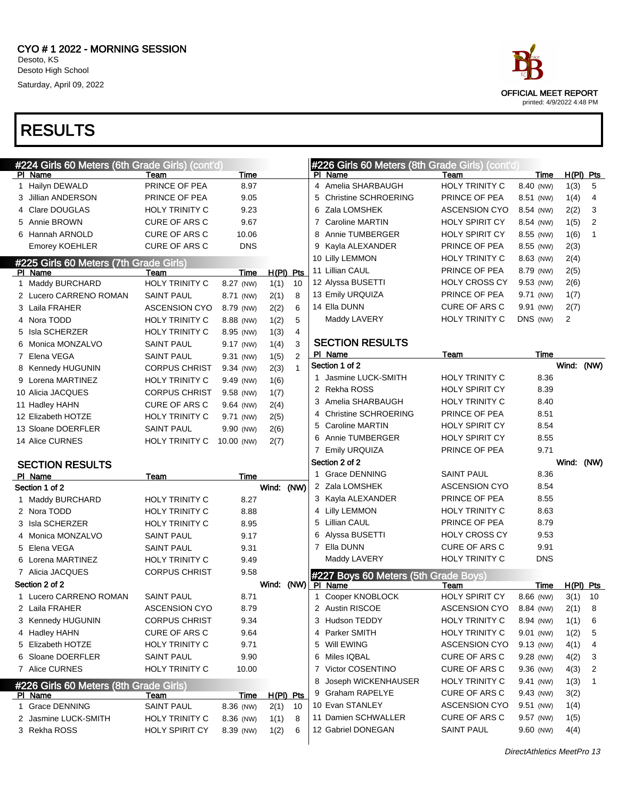

| #224 Girls 60 Meters (6th Grade Girls) (cont'd) |                                                |                        |              |              |    | #226 Girls 60 Meters (8th Grade Girls) (cont'd) |                       |             |             |                |
|-------------------------------------------------|------------------------------------------------|------------------------|--------------|--------------|----|-------------------------------------------------|-----------------------|-------------|-------------|----------------|
| PI Name                                         | Team                                           | Time                   |              |              |    | PI Name                                         | Team                  | Time        | $H(PI)$ Pts |                |
| 1 Hailyn DEWALD                                 | PRINCE OF PEA                                  | 8.97                   |              |              |    | 4 Amelia SHARBAUGH                              | <b>HOLY TRINITY C</b> | 8.40 (NW)   | 1(3)        | 5              |
| 3 Jillian ANDERSON                              | PRINCE OF PEA                                  | 9.05                   |              |              | 5  | <b>Christine SCHROERING</b>                     | PRINCE OF PEA         | 8.51 (NW)   | 1(4)        | $\overline{4}$ |
| 4 Clare DOUGLAS                                 | <b>HOLY TRINITY C</b>                          | 9.23                   |              |              | 6  | Zala LOMSHEK                                    | <b>ASCENSION CYO</b>  | 8.54 (NW)   | 2(2)        | 3              |
| 5 Annie BROWN                                   | <b>CURE OF ARS C</b>                           | 9.67                   |              |              | 7  | <b>Caroline MARTIN</b>                          | <b>HOLY SPIRIT CY</b> | 8.54 (NW)   | 1(5)        | 2              |
| 6 Hannah ARNOLD                                 | <b>CURE OF ARS C</b>                           | 10.06                  |              |              | 8  | Annie TUMBERGER                                 | <b>HOLY SPIRIT CY</b> | 8.55 (NW)   | 1(6)        | $\mathbf{1}$   |
| Emorey KOEHLER                                  | <b>CURE OF ARS C</b>                           | <b>DNS</b>             |              |              | 9  | Kayla ALEXANDER                                 | PRINCE OF PEA         | 8.55 (NW)   | 2(3)        |                |
| #225 Girls 60 Meters (7th Grade Girls)          |                                                |                        |              |              |    | 10 Lilly LEMMON                                 | HOLY TRINITY C        | 8.63 (NW)   | 2(4)        |                |
| PI Name                                         | Team                                           | Time                   | $H(PI)$ Pts  |              |    | 11 Lillian CAUL                                 | PRINCE OF PEA         | 8.79 (NW)   | 2(5)        |                |
| 1 Maddy BURCHARD                                | <b>HOLY TRINITY C</b>                          | 8.27 (NW)              | 1(1)         | 10           |    | 12 Alyssa BUSETTI                               | <b>HOLY CROSS CY</b>  | 9.53 (NW)   | 2(6)        |                |
| 2 Lucero CARRENO ROMAN                          | <b>SAINT PAUL</b>                              | 8.71 (NW)              | 2(1)         | 8            |    | 13 Emily URQUIZA                                | PRINCE OF PEA         | 9.71 (NW)   | 1(7)        |                |
| 3 Laila FRAHER                                  | <b>ASCENSION CYO</b>                           | 8.79 (NW)              | 2(2)         | 6            |    | 14 Ella DUNN                                    | <b>CURE OF ARS C</b>  | 9.91 (NW)   | 2(7)        |                |
| 4 Nora TODD                                     | HOLY TRINITY C                                 | 8.88 (NW)              | 1(2)         | 5            |    | Maddy LAVERY                                    | HOLY TRINITY C        | DNS (NW)    | 2           |                |
| 5 Isla SCHERZER                                 | <b>HOLY TRINITY C</b>                          | 8.95 (NW)              | 1(3)         | 4            |    |                                                 |                       |             |             |                |
| 6 Monica MONZALVO                               | <b>SAINT PAUL</b>                              | 9.17 (NW)              | 1(4)         | 3            |    | <b>SECTION RESULTS</b>                          |                       |             |             |                |
| 7 Elena VEGA                                    | <b>SAINT PAUL</b>                              | 9.31 (NW)              | 1(5)         | 2            |    | PI Name                                         | Team                  | Time        |             |                |
| 8 Kennedy HUGUNIN                               | <b>CORPUS CHRIST</b>                           | 9.34 (NW)              | 2(3)         | $\mathbf{1}$ |    | Section 1 of 2                                  |                       |             | Wind:       | (NW)           |
| 9 Lorena MARTINEZ                               | HOLY TRINITY C                                 | 9.49 (NW)              | 1(6)         |              |    | 1 Jasmine LUCK-SMITH                            | <b>HOLY TRINITY C</b> | 8.36        |             |                |
| 10 Alicia JACQUES                               | <b>CORPUS CHRIST</b>                           | 9.58 (NW)              | 1(7)         |              |    | 2 Rekha ROSS                                    | <b>HOLY SPIRIT CY</b> | 8.39        |             |                |
| 11 Hadley HAHN                                  | CURE OF ARS C                                  | 9.64 (NW)              | 2(4)         |              | 3. | Amelia SHARBAUGH                                | <b>HOLY TRINITY C</b> | 8.40        |             |                |
| 12 Elizabeth HOTZE                              | <b>HOLY TRINITY C</b>                          | 9.71 (NW)              | 2(5)         |              | 4  | <b>Christine SCHROERING</b>                     | PRINCE OF PEA         | 8.51        |             |                |
| 13 Sloane DOERFLER                              | <b>SAINT PAUL</b>                              | 9.90 (NW)              | 2(6)         |              | 5  | <b>Caroline MARTIN</b>                          | <b>HOLY SPIRIT CY</b> | 8.54        |             |                |
| 14 Alice CURNES                                 | HOLY TRINITY C                                 | 10.00 (NW)             | 2(7)         |              | 6  | Annie TUMBERGER                                 | <b>HOLY SPIRIT CY</b> | 8.55        |             |                |
|                                                 |                                                |                        |              |              |    |                                                 |                       |             |             |                |
|                                                 |                                                |                        |              |              |    | 7 Emily URQUIZA                                 | PRINCE OF PEA         | 9.71        |             |                |
| <b>SECTION RESULTS</b>                          |                                                |                        |              |              |    | Section 2 of 2                                  |                       |             | Wind: (NW)  |                |
| PI Name                                         | Team                                           | Time                   |              |              |    | 1 Grace DENNING                                 | <b>SAINT PAUL</b>     | 8.36        |             |                |
| Section 1 of 2                                  |                                                |                        | Wind: (NW)   |              |    | 2 Zala LOMSHEK                                  | <b>ASCENSION CYO</b>  | 8.54        |             |                |
| 1 Maddy BURCHARD                                | <b>HOLY TRINITY C</b>                          | 8.27                   |              |              |    | 3 Kayla ALEXANDER                               | PRINCE OF PEA         | 8.55        |             |                |
| 2 Nora TODD                                     | <b>HOLY TRINITY C</b>                          | 8.88                   |              |              |    | 4 Lilly LEMMON                                  | <b>HOLY TRINITY C</b> | 8.63        |             |                |
| 3 Isla SCHERZER                                 | <b>HOLY TRINITY C</b>                          | 8.95                   |              |              |    | 5 Lillian CAUL                                  | PRINCE OF PEA         | 8.79        |             |                |
| 4 Monica MONZALVO                               | <b>SAINT PAUL</b>                              | 9.17                   |              |              | 6  | Alyssa BUSETTI                                  | <b>HOLY CROSS CY</b>  | 9.53        |             |                |
| 5 Elena VEGA                                    | <b>SAINT PAUL</b>                              | 9.31                   |              |              |    | 7 Ella DUNN                                     | <b>CURE OF ARS C</b>  | 9.91        |             |                |
| 6 Lorena MARTINEZ                               | HOLY TRINITY C                                 | 9.49                   |              |              |    | Maddy LAVERY                                    | <b>HOLY TRINITY C</b> | <b>DNS</b>  |             |                |
| 7 Alicia JACQUES                                | <b>CORPUS CHRIST</b>                           | 9.58                   |              |              |    |                                                 |                       |             |             |                |
| Section 2 of 2                                  |                                                |                        | Wind: (NW)   |              |    | #227 Boys 60 Meters (5th Grade Boys)<br>PI Name | Team                  | Time        | $H(PI)$ Pts |                |
| 1 Lucero CARRENO ROMAN                          | <b>SAINT PAUL</b>                              | 8.71                   |              |              |    | 1 Cooper KNOBLOCK                               | HOLY SPIRIT CY        | 8.66 (NW)   | 3(1)        | 10             |
| 2 Laila FRAHER                                  | <b>ASCENSION CYO</b>                           | 8.79                   |              |              |    | 2 Austin RISCOE                                 | <b>ASCENSION CYO</b>  | 8.84 (NW)   | 2(1)        | $\bf 8$        |
| 3 Kennedy HUGUNIN                               | <b>CORPUS CHRIST</b>                           | 9.34                   |              |              |    | 3 Hudson TEDDY                                  | <b>HOLY TRINITY C</b> | 8.94 (NW)   | 1(1)        | 6              |
| 4 Hadley HAHN                                   | CURE OF ARS C                                  | 9.64                   |              |              |    | 4 Parker SMITH                                  | <b>HOLY TRINITY C</b> | 9.01 (NW)   | 1(2)        | 5              |
| 5 Elizabeth HOTZE                               | <b>HOLY TRINITY C</b>                          | 9.71                   |              |              | 5. | Will EWING                                      | <b>ASCENSION CYO</b>  | 9.13 (NW)   | 4(1)        | 4              |
| 6 Sloane DOERFLER                               | <b>SAINT PAUL</b>                              | 9.90                   |              |              | 6. | Miles IQBAL                                     | CURE OF ARS C         | 9.28 (NW)   | 4(2)        | 3              |
| 7 Alice CURNES                                  | HOLY TRINITY C                                 | 10.00                  |              |              |    | 7 Victor COSENTINO                              | <b>CURE OF ARS C</b>  | 9.36 (NW)   | 4(3)        | 2              |
|                                                 |                                                |                        |              |              | 8  | Joseph WICKENHAUSER                             | <b>HOLY TRINITY C</b> | 9.41 (NW)   | 1(3)        | 1              |
| #226 Girls 60 Meters (8th Grade Girls)          |                                                |                        |              |              |    | 9 Graham RAPELYE                                | CURE OF ARS C         | 9.43 (NW)   | 3(2)        |                |
| PI Name                                         | Team                                           | Time                   | H(PI) Pts    | 10           |    | 10 Evan STANLEY                                 | <b>ASCENSION CYO</b>  | $9.51$ (NW) | 1(4)        |                |
| 1 Grace DENNING                                 | <b>SAINT PAUL</b>                              | 8.36 (NW)              | 2(1)         | 8            |    | 11 Damien SCHWALLER                             | <b>CURE OF ARS C</b>  | 9.57 (NW)   | 1(5)        |                |
| 2 Jasmine LUCK-SMITH<br>3 Rekha ROSS            | <b>HOLY TRINITY C</b><br><b>HOLY SPIRIT CY</b> | 8.36 (NW)<br>8.39 (NW) | 1(1)<br>1(2) | 6            |    | 12 Gabriel DONEGAN                              | SAINT PAUL            | 9.60 (NW)   | 4(4)        |                |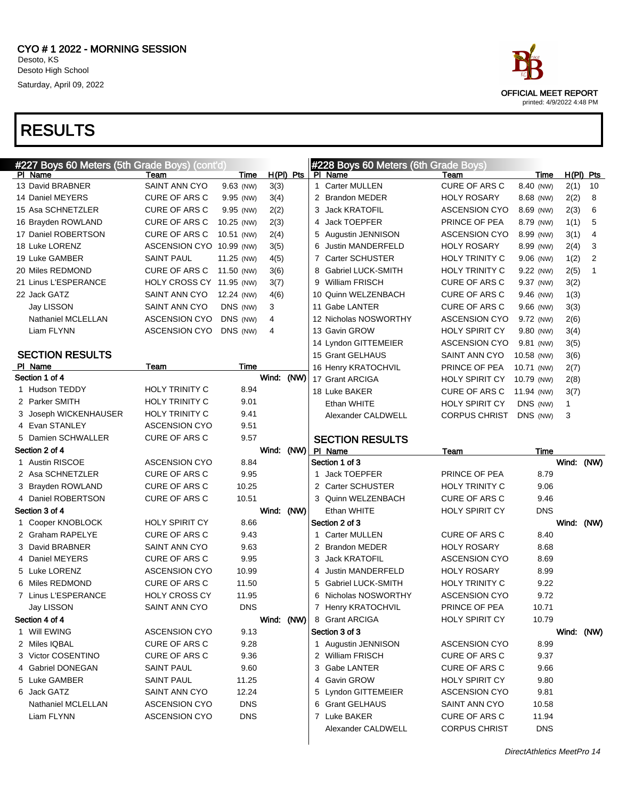| #227 Boys 60 Meters (5th Grade Boys) (cont'd) |                          |            |            |             | #228 Boys 60 Meters (6th Grade Boys) |                       |            |            |             |
|-----------------------------------------------|--------------------------|------------|------------|-------------|--------------------------------------|-----------------------|------------|------------|-------------|
| PI Name                                       | Team                     | Time       |            | $H(PI)$ Pts | PI Name                              | Team                  | Time       |            | $H(PI)$ Pts |
| 13 David BRABNER                              | SAINT ANN CYO            | 9.63 (NW)  | 3(3)       |             | 1 Carter MULLEN                      | <b>CURE OF ARS C</b>  | 8.40 (NW)  | 2(1)       | 10          |
| 14 Daniel MEYERS                              | CURE OF ARS C            | 9.95 (NW)  | 3(4)       |             | 2 Brandon MEDER                      | <b>HOLY ROSARY</b>    | 8.68 (NW)  | 2(2)       | 8           |
| 15 Asa SCHNETZLER                             | <b>CURE OF ARS C</b>     | 9.95 (NW)  | 2(2)       |             | 3 Jack KRATOFIL                      | <b>ASCENSION CYO</b>  | 8.69 (NW)  | 2(3)       | 6           |
| 16 Brayden ROWLAND                            | <b>CURE OF ARS C</b>     | 10.25 (NW) | 2(3)       |             | 4 Jack TOEPFER                       | PRINCE OF PEA         | 8.79 (NW)  | 1(1)       | 5           |
| 17 Daniel ROBERTSON                           | <b>CURE OF ARS C</b>     | 10.51 (NW) | 2(4)       |             | 5 Augustin JENNISON                  | <b>ASCENSION CYO</b>  | 8.99 (NW)  | 3(1)       | 4           |
| 18 Luke LORENZ                                | ASCENSION CYO 10.99 (NW) |            | 3(5)       |             | 6 Justin MANDERFELD                  | <b>HOLY ROSARY</b>    | 8.99 (NW)  | 2(4)       | 3           |
| 19 Luke GAMBER                                | <b>SAINT PAUL</b>        | 11.25 (NW) | 4(5)       |             | 7 Carter SCHUSTER                    | HOLY TRINITY C        | 9.06 (NW)  | 1(2)       | 2           |
| 20 Miles REDMOND                              | <b>CURE OF ARS C</b>     | 11.50 (NW) | 3(6)       |             | 8 Gabriel LUCK-SMITH                 | <b>HOLY TRINITY C</b> | 9.22 (NW)  | 2(5)       | 1           |
| 21 Linus L'ESPERANCE                          | HOLY CROSS CY 11.95 (NW) |            | 3(7)       |             | 9 William FRISCH                     | <b>CURE OF ARS C</b>  | 9.37 (NW)  | 3(2)       |             |
| 22 Jack GATZ                                  | SAINT ANN CYO            | 12.24 (NW) | 4(6)       |             | 10 Quinn WELZENBACH                  | <b>CURE OF ARS C</b>  | 9.46 (NW)  | 1(3)       |             |
| Jay LISSON                                    | SAINT ANN CYO            | DNS (NW)   | 3          |             | 11 Gabe LANTER                       | <b>CURE OF ARS C</b>  | 9.66 (NW)  | 3(3)       |             |
| Nathaniel MCLELLAN                            | <b>ASCENSION CYO</b>     | DNS (NW)   | 4          |             | 12 Nicholas NOSWORTHY                | <b>ASCENSION CYO</b>  | 9.72 (NW)  | 2(6)       |             |
| Liam FLYNN                                    | <b>ASCENSION CYO</b>     | DNS (NW)   | 4          |             | 13 Gavin GROW                        | <b>HOLY SPIRIT CY</b> | 9.80 (NW)  | 3(4)       |             |
|                                               |                          |            |            |             | 14 Lyndon GITTEMEIER                 | <b>ASCENSION CYO</b>  | 9.81 (NW)  | 3(5)       |             |
| <b>SECTION RESULTS</b>                        |                          |            |            |             | 15 Grant GELHAUS                     | SAINT ANN CYO         | 10.58 (NW) | 3(6)       |             |
| PI Name                                       | Team                     | Time       |            |             | 16 Henry KRATOCHVIL                  | PRINCE OF PEA         | 10.71 (NW) | 2(7)       |             |
| Section 1 of 4                                |                          |            | Wind:      | (NW)        | 17 Grant ARCIGA                      | <b>HOLY SPIRIT CY</b> | 10.79 (NW) | 2(8)       |             |
| 1 Hudson TEDDY                                | <b>HOLY TRINITY C</b>    | 8.94       |            |             | 18 Luke BAKER                        | CURE OF ARS C         | 11.94 (NW) | 3(7)       |             |
| 2 Parker SMITH                                | HOLY TRINITY C           | 9.01       |            |             | Ethan WHITE                          | <b>HOLY SPIRIT CY</b> | DNS (NW)   | 1          |             |
| Joseph WICKENHAUSER<br>3                      | <b>HOLY TRINITY C</b>    | 9.41       |            |             | Alexander CALDWELL                   | <b>CORPUS CHRIST</b>  | DNS (NW)   | 3          |             |
| 4 Evan STANLEY                                | <b>ASCENSION CYO</b>     | 9.51       |            |             |                                      |                       |            |            |             |
| 5 Damien SCHWALLER                            | CURE OF ARS C            | 9.57       |            |             | <b>SECTION RESULTS</b>               |                       |            |            |             |
| Section 2 of 4                                |                          |            | Wind:      | (NW)        | PI Name                              | Team                  | Time       |            |             |
| 1 Austin RISCOE                               | <b>ASCENSION CYO</b>     | 8.84       |            |             | Section 1 of 3                       |                       |            | Wind: (NW) |             |
| 2 Asa SCHNETZLER                              | CURE OF ARS C            | 9.95       |            |             | <b>Jack TOEPFER</b><br>1             | PRINCE OF PEA         | 8.79       |            |             |
| 3 Brayden ROWLAND                             | CURE OF ARS C            | 10.25      |            |             | 2 Carter SCHUSTER                    | <b>HOLY TRINITY C</b> | 9.06       |            |             |
| 4 Daniel ROBERTSON                            | CURE OF ARS C            | 10.51      |            |             | 3 Quinn WELZENBACH                   | <b>CURE OF ARS C</b>  | 9.46       |            |             |
| Section 3 of 4                                |                          |            | Wind:      | (NW)        | Ethan WHITE                          | <b>HOLY SPIRIT CY</b> | <b>DNS</b> |            |             |
| 1 Cooper KNOBLOCK                             | <b>HOLY SPIRIT CY</b>    | 8.66       |            |             | Section 2 of 3                       |                       |            | Wind:      | (NW)        |
| 2 Graham RAPELYE                              | <b>CURE OF ARS C</b>     | 9.43       |            |             | 1 Carter MULLEN                      | <b>CURE OF ARS C</b>  | 8.40       |            |             |
| 3 David BRABNER                               | SAINT ANN CYO            | 9.63       |            |             | 2 Brandon MEDER                      | <b>HOLY ROSARY</b>    | 8.68       |            |             |
| Daniel MEYERS<br>4                            | CURE OF ARS C            | 9.95       |            |             | <b>Jack KRATOFIL</b><br>3            | <b>ASCENSION CYO</b>  | 8.69       |            |             |
| 5 Luke LORENZ                                 | <b>ASCENSION CYO</b>     | 10.99      |            |             | Justin MANDERFELD<br>4               | <b>HOLY ROSARY</b>    | 8.99       |            |             |
| 6 Miles REDMOND                               | CURE OF ARS C            | 11.50      |            |             | 5 Gabriel LUCK-SMITH                 | <b>HOLY TRINITY C</b> | 9.22       |            |             |
| 7 Linus L'ESPERANCE                           | <b>HOLY CROSS CY</b>     | 11.95      |            |             | Nicholas NOSWORTHY<br>6              | <b>ASCENSION CYO</b>  | 9.72       |            |             |
| Jay LISSON                                    | SAINT ANN CYO            | <b>DNS</b> |            |             | 7 Henry KRATOCHVIL                   | PRINCE OF PEA         | 10.71      |            |             |
| Section 4 of 4                                |                          |            | Wind: (NW) |             | 8 Grant ARCIGA                       | <b>HOLY SPIRIT CY</b> | 10.79      |            |             |
| 1 Will EWING                                  | <b>ASCENSION CYO</b>     | 9.13       |            |             | Section 3 of 3                       |                       |            | Wind: (NW) |             |
| 2 Miles IQBAL                                 | CURE OF ARS C            | 9.28       |            |             | 1 Augustin JENNISON                  | <b>ASCENSION CYO</b>  | 8.99       |            |             |
| 3 Victor COSENTINO                            | CURE OF ARS C            | 9.36       |            |             | 2 William FRISCH                     | CURE OF ARS C         | 9.37       |            |             |
| 4 Gabriel DONEGAN                             | SAINT PAUL               | 9.60       |            |             | 3 Gabe LANTER                        | CURE OF ARS C         | 9.66       |            |             |
| 5 Luke GAMBER                                 | <b>SAINT PAUL</b>        | 11.25      |            |             | 4 Gavin GROW                         | HOLY SPIRIT CY        | 9.80       |            |             |
| 6 Jack GATZ                                   | SAINT ANN CYO            | 12.24      |            |             | 5 Lyndon GITTEMEIER                  | <b>ASCENSION CYO</b>  | 9.81       |            |             |
| Nathaniel MCLELLAN                            | <b>ASCENSION CYO</b>     | <b>DNS</b> |            |             | 6 Grant GELHAUS                      | SAINT ANN CYO         | 10.58      |            |             |
| Liam FLYNN                                    | <b>ASCENSION CYO</b>     | <b>DNS</b> |            |             | 7 Luke BAKER                         | CURE OF ARS C         | 11.94      |            |             |
|                                               |                          |            |            |             | Alexander CALDWELL                   | <b>CORPUS CHRIST</b>  | <b>DNS</b> |            |             |
|                                               |                          |            |            |             |                                      |                       |            |            |             |

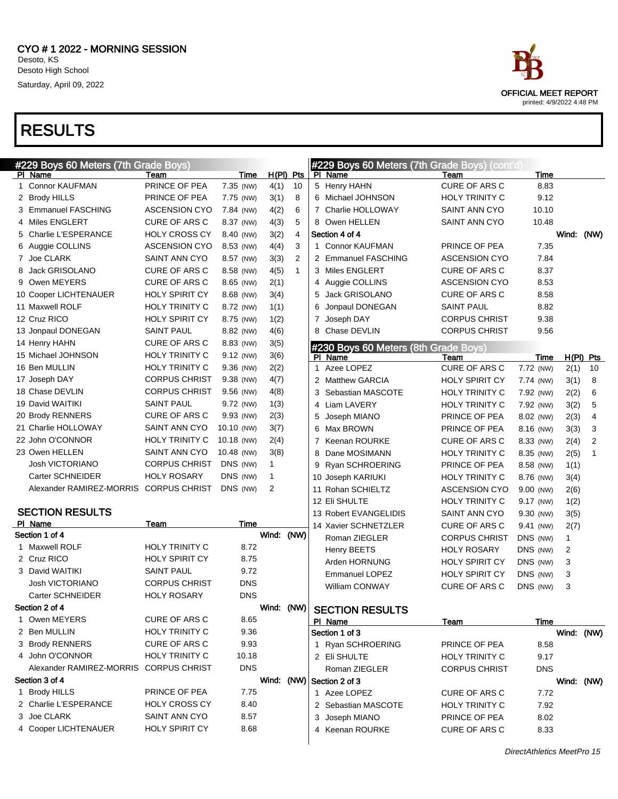

DirectAthletics MeetPro 15

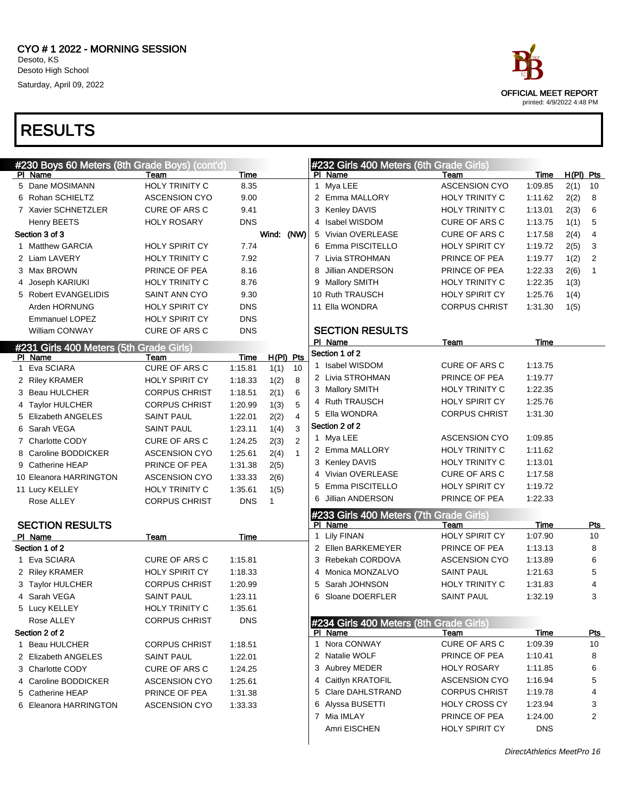

| #230 Boys 60 Meters (8th Grade Boys) (cont'd) |                       |            |              |              |    | #232 Girls 400 Meters (6th Grade Girls) |                       |             |             |            |
|-----------------------------------------------|-----------------------|------------|--------------|--------------|----|-----------------------------------------|-----------------------|-------------|-------------|------------|
| PI Name                                       | Team                  | Time       |              |              |    | PI Name                                 | Team                  | <b>Time</b> | $H(PI)$ Pts |            |
| 5 Dane MOSIMANN                               | <b>HOLY TRINITY C</b> | 8.35       |              |              |    | 1 Mya LEE                               | <b>ASCENSION CYO</b>  | 1:09.85     | 2(1)        | 10         |
| 6 Rohan SCHIELTZ                              | <b>ASCENSION CYO</b>  | 9.00       |              |              |    | 2 Emma MALLORY                          | <b>HOLY TRINITY C</b> | 1:11.62     | 2(2)        | 8          |
| 7 Xavier SCHNETZLER                           | <b>CURE OF ARS C</b>  | 9.41       |              |              |    | 3 Kenley DAVIS                          | <b>HOLY TRINITY C</b> | 1:13.01     | 2(3)        | 6          |
| Henry BEETS                                   | <b>HOLY ROSARY</b>    | <b>DNS</b> |              |              |    | 4 Isabel WISDOM                         | <b>CURE OF ARS C</b>  | 1:13.75     | 1(1)        | 5          |
| Section 3 of 3                                |                       |            | Wind: (NW)   |              |    | 5 Vivian OVERLEASE                      | <b>CURE OF ARS C</b>  | 1:17.58     | 2(4)        | 4          |
| 1 Matthew GARCIA                              | <b>HOLY SPIRIT CY</b> | 7.74       |              |              |    | 6 Emma PISCITELLO                       | <b>HOLY SPIRIT CY</b> | 1:19.72     | 2(5)        | 3          |
| 2 Liam LAVERY                                 | <b>HOLY TRINITY C</b> | 7.92       |              |              |    | 7 Livia STROHMAN                        | PRINCE OF PEA         | 1:19.77     | 1(2)        | 2          |
| 3 Max BROWN                                   | PRINCE OF PEA         | 8.16       |              |              | 8  | Jillian ANDERSON                        | PRINCE OF PEA         | 1:22.33     | 2(6)        | 1          |
| 4 Joseph KARIUKI                              | HOLY TRINITY C        | 8.76       |              |              |    | 9 Mallory SMITH                         | <b>HOLY TRINITY C</b> | 1:22.35     | 1(3)        |            |
| 5 Robert EVANGELIDIS                          | SAINT ANN CYO         | 9.30       |              |              |    | 10 Ruth TRAUSCH                         | <b>HOLY SPIRIT CY</b> | 1:25.76     | 1(4)        |            |
| Arden HORNUNG                                 | <b>HOLY SPIRIT CY</b> | <b>DNS</b> |              |              |    | 11 Ella WONDRA                          | <b>CORPUS CHRIST</b>  | 1:31.30     | 1(5)        |            |
| <b>Emmanuel LOPEZ</b>                         | <b>HOLY SPIRIT CY</b> | <b>DNS</b> |              |              |    |                                         |                       |             |             |            |
| William CONWAY                                | <b>CURE OF ARS C</b>  | <b>DNS</b> |              |              |    | <b>SECTION RESULTS</b>                  |                       |             |             |            |
| #231 Girls 400 Meters (5th Grade Girls)       |                       |            |              |              |    | PI Name                                 | Team                  | Time        |             |            |
| PI Name                                       | Team                  | Time       | $H(PI)$ Pts  |              |    | Section 1 of 2                          |                       |             |             |            |
| 1 Eva SCIARA                                  | CURE OF ARS C         | 1:15.81    | 1(1)         | 10           |    | 1 Isabel WISDOM                         | CURE OF ARS C         | 1:13.75     |             |            |
| 2 Riley KRAMER                                | HOLY SPIRIT CY        | 1:18.33    | 1(2)         | 8            |    | 2 Livia STROHMAN                        | PRINCE OF PEA         | 1:19.77     |             |            |
| 3 Beau HULCHER                                | <b>CORPUS CHRIST</b>  | 1:18.51    | 2(1)         | 6            |    | 3 Mallory SMITH                         | HOLY TRINITY C        | 1:22.35     |             |            |
| 4 Taylor HULCHER                              | <b>CORPUS CHRIST</b>  | 1:20.99    | 1(3)         | 5            |    | 4 Ruth TRAUSCH                          | HOLY SPIRIT CY        | 1:25.76     |             |            |
| 5 Elizabeth ANGELES                           | <b>SAINT PAUL</b>     | 1:22.01    | 2(2)         | 4            |    | 5 Ella WONDRA                           | <b>CORPUS CHRIST</b>  | 1:31.30     |             |            |
| 6 Sarah VEGA                                  | <b>SAINT PAUL</b>     | 1:23.11    | 1(4)         | 3            |    | Section 2 of 2                          |                       |             |             |            |
| 7 Charlotte CODY                              | CURE OF ARS C         | 1:24.25    | 2(3)         | 2            |    | 1 Mya LEE                               | <b>ASCENSION CYO</b>  | 1:09.85     |             |            |
| 8 Caroline BODDICKER                          | <b>ASCENSION CYO</b>  | 1:25.61    | 2(4)         | $\mathbf{1}$ |    | 2 Emma MALLORY                          | HOLY TRINITY C        | 1:11.62     |             |            |
| 9 Catherine HEAP                              | PRINCE OF PEA         | 1:31.38    | 2(5)         |              |    | 3 Kenley DAVIS                          | HOLY TRINITY C        | 1:13.01     |             |            |
| 10 Eleanora HARRINGTON                        | <b>ASCENSION CYO</b>  | 1:33.33    | 2(6)         |              |    | 4 Vivian OVERLEASE                      | <b>CURE OF ARS C</b>  | 1:17.58     |             |            |
| 11 Lucy KELLEY                                | HOLY TRINITY C        | 1:35.61    | 1(5)         |              | 5. | Emma PISCITELLO                         | HOLY SPIRIT CY        | 1:19.72     |             |            |
| Rose ALLEY                                    | <b>CORPUS CHRIST</b>  | <b>DNS</b> | $\mathbf{1}$ |              | 6  | Jillian ANDERSON                        | PRINCE OF PEA         | 1:22.33     |             |            |
|                                               |                       |            |              |              |    | #233 Girls 400 Meters (7th Grade Girls) |                       |             |             |            |
| <b>SECTION RESULTS</b>                        |                       |            |              |              |    | PI Name                                 | Team                  | Time        |             | <b>Pts</b> |
| PI Name                                       | Team                  | Time       |              |              |    | 1 Lily FINAN                            | <b>HOLY SPIRIT CY</b> | 1:07.90     |             | 10         |
| Section 1 of 2                                |                       |            |              |              |    | 2 Ellen BARKEMEYER                      | PRINCE OF PEA         | 1:13.13     |             | 8          |
| 1 Eva SCIARA                                  | <b>CURE OF ARS C</b>  | 1:15.81    |              |              |    | 3 Rebekah CORDOVA                       | <b>ASCENSION CYO</b>  | 1:13.89     |             | 6          |
| 2 Riley KRAMER                                | <b>HOLY SPIRIT CY</b> | 1:18.33    |              |              |    | 4 Monica MONZALVO                       | <b>SAINT PAUL</b>     | 1:21.63     |             | 5          |
| 3 Taylor HULCHER                              | <b>CORPUS CHRIST</b>  | 1:20.99    |              |              | 5  | Sarah JOHNSON                           | <b>HOLY TRINITY C</b> | 1:31.83     |             | 4          |
| 4 Sarah VEGA                                  | <b>SAINT PAUL</b>     | 1:23.11    |              |              |    | 6 Sloane DOERFLER                       | <b>SAINT PAUL</b>     | 1:32.19     |             | 3          |
| 5 Lucy KELLEY                                 | <b>HOLY TRINITY C</b> | 1:35.61    |              |              |    |                                         |                       |             |             |            |
| Rose ALLEY                                    | <b>CORPUS CHRIST</b>  | <b>DNS</b> |              |              |    | #234 Girls 400 Meters (8th Grade Girls) |                       |             |             |            |
| Section 2 of 2                                |                       |            |              |              |    | PI Name                                 | Team                  | <b>Time</b> |             | <u>Pts</u> |
| 1 Beau HULCHER                                | <b>CORPUS CHRIST</b>  | 1:18.51    |              |              |    | 1 Nora CONWAY                           | CURE OF ARS C         | 1:09.39     |             | 10         |
| 2 Elizabeth ANGELES                           | <b>SAINT PAUL</b>     | 1:22.01    |              |              |    | 2 Natalie WOLF                          | PRINCE OF PEA         | 1:10.41     |             | 8          |
| 3 Charlotte CODY                              | CURE OF ARS C         | 1:24.25    |              |              |    | 3 Aubrey MEDER                          | <b>HOLY ROSARY</b>    | 1:11.85     |             | 6          |
| 4 Caroline BODDICKER                          | <b>ASCENSION CYO</b>  | 1:25.61    |              |              |    | 4 Caitlyn KRATOFIL                      | <b>ASCENSION CYO</b>  | 1:16.94     |             | 5          |
| 5 Catherine HEAP                              | PRINCE OF PEA         | 1:31.38    |              |              |    | 5 Clare DAHLSTRAND                      | <b>CORPUS CHRIST</b>  | 1:19.78     |             | 4          |
| 6 Eleanora HARRINGTON                         | <b>ASCENSION CYO</b>  | 1:33.33    |              |              |    | 6 Alyssa BUSETTI                        | <b>HOLY CROSS CY</b>  | 1:23.94     |             | 3          |
|                                               |                       |            |              |              |    | 7 Mia IMLAY                             | PRINCE OF PEA         | 1:24.00     |             | 2          |
|                                               |                       |            |              |              |    | Amri EISCHEN                            | HOLY SPIRIT CY        | <b>DNS</b>  |             |            |
|                                               |                       |            |              |              |    |                                         |                       |             |             |            |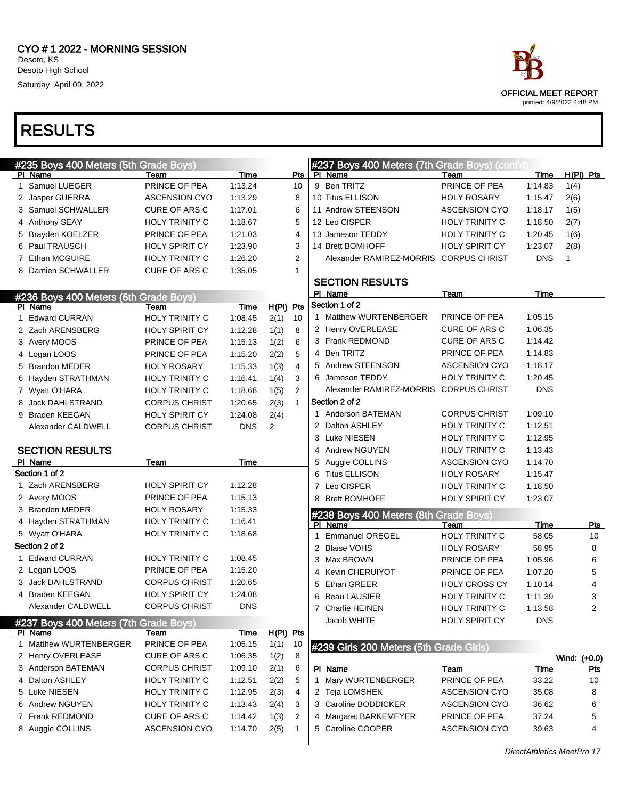

|   | #235 Boys 400 Meters (5th Grade Boys)            |                       |             |             |                | #237 Boys 400 Meters (7th Grade Boys) (cont'd)   |                       |            |                         |
|---|--------------------------------------------------|-----------------------|-------------|-------------|----------------|--------------------------------------------------|-----------------------|------------|-------------------------|
|   | PI Name                                          | Team                  | <u>Time</u> |             | Pts            | PI Name                                          | Team                  | Time       | H(PI) Pts               |
|   | 1 Samuel LUEGER                                  | PRINCE OF PEA         | 1:13.24     |             | 10             | 9 Ben TRITZ                                      | PRINCE OF PEA         | 1:14.83    | 1(4)                    |
|   | 2 Jasper GUERRA                                  | <b>ASCENSION CYO</b>  | 1:13.29     |             | 8              | 10 Titus ELLISON                                 | <b>HOLY ROSARY</b>    | 1:15.47    | 2(6)                    |
|   | 3 Samuel SCHWALLER                               | CURE OF ARS C         | 1:17.01     |             | 6              | 11 Andrew STEENSON                               | <b>ASCENSION CYO</b>  | 1:18.17    | 1(5)                    |
|   | 4 Anthony SEAY                                   | HOLY TRINITY C        | 1:18.67     |             | 5              | 12 Leo CISPER                                    | HOLY TRINITY C        | 1:18.50    | 2(7)                    |
|   | 5 Brayden KOELZER                                | PRINCE OF PEA         | 1:21.03     |             | $\overline{4}$ | 13 Jameson TEDDY                                 | HOLY TRINITY C        | 1:20.45    | 1(6)                    |
|   | 6 Paul TRAUSCH                                   | <b>HOLY SPIRIT CY</b> | 1:23.90     |             | 3              | 14 Brett BOMHOFF                                 | <b>HOLY SPIRIT CY</b> | 1:23.07    | 2(8)                    |
|   | 7 Ethan MCGUIRE                                  | <b>HOLY TRINITY C</b> | 1:26.20     |             | 2              | Alexander RAMIREZ-MORRIS CORPUS CHRIST           |                       | <b>DNS</b> | 1                       |
|   | 8 Damien SCHWALLER                               | CURE OF ARS C         | 1:35.05     |             | 1              |                                                  |                       |            |                         |
|   |                                                  |                       |             |             |                | <b>SECTION RESULTS</b>                           |                       |            |                         |
|   | #236 Boys 400 Meters (6th Grade Boys)            |                       |             |             |                | PI Name                                          | Team                  | Time       |                         |
|   | PI Name                                          | Team                  | Time        | $H(PI)$ Pts |                | Section 1 of 2                                   |                       |            |                         |
| 1 | <b>Edward CURRAN</b>                             | <b>HOLY TRINITY C</b> | 1:08.45     | 2(1)        | 10             | 1 Matthew WURTENBERGER                           | PRINCE OF PEA         | 1:05.15    |                         |
|   | 2 Zach ARENSBERG                                 | <b>HOLY SPIRIT CY</b> | 1:12.28     | 1(1)        | 8              | 2 Henry OVERLEASE                                | <b>CURE OF ARS C</b>  | 1:06.35    |                         |
|   | 3 Avery MOOS                                     | PRINCE OF PEA         | 1:15.13     | 1(2)        | 6              | 3 Frank REDMOND                                  | <b>CURE OF ARS C</b>  | 1:14.42    |                         |
|   | 4 Logan LOOS                                     | PRINCE OF PEA         | 1:15.20     | 2(2)        | 5              | 4 Ben TRITZ                                      | PRINCE OF PEA         | 1:14.83    |                         |
|   | 5 Brandon MEDER                                  | <b>HOLY ROSARY</b>    | 1:15.33     | 1(3)        | $\overline{4}$ | 5 Andrew STEENSON                                | <b>ASCENSION CYO</b>  | 1:18.17    |                         |
|   | 6 Hayden STRATHMAN                               | <b>HOLY TRINITY C</b> | 1:16.41     | 1(4)        | 3              | 6 Jameson TEDDY                                  | <b>HOLY TRINITY C</b> | 1:20.45    |                         |
|   | 7 Wyatt O'HARA                                   | <b>HOLY TRINITY C</b> | 1:18.68     | 1(5)        | 2              | Alexander RAMIREZ-MORRIS                         | <b>CORPUS CHRIST</b>  | <b>DNS</b> |                         |
| 8 | Jack DAHLSTRAND                                  | <b>CORPUS CHRIST</b>  | 1:20.65     | 2(3)        | $\mathbf{1}$   | Section 2 of 2                                   |                       |            |                         |
|   | 9 Braden KEEGAN                                  | <b>HOLY SPIRIT CY</b> | 1:24.08     | 2(4)        |                | 1 Anderson BATEMAN                               | <b>CORPUS CHRIST</b>  | 1:09.10    |                         |
|   | Alexander CALDWELL                               | <b>CORPUS CHRIST</b>  | <b>DNS</b>  | 2           |                | 2 Dalton ASHLEY                                  | <b>HOLY TRINITY C</b> | 1:12.51    |                         |
|   |                                                  |                       |             |             |                | 3 Luke NIESEN                                    | <b>HOLY TRINITY C</b> | 1:12.95    |                         |
|   | <b>SECTION RESULTS</b>                           |                       |             |             |                | 4 Andrew NGUYEN                                  | <b>HOLY TRINITY C</b> | 1:13.43    |                         |
|   |                                                  |                       |             |             |                |                                                  |                       |            |                         |
|   | PI Name                                          | Team                  | Time        |             |                | 5 Auggie COLLINS                                 | <b>ASCENSION CYO</b>  | 1:14.70    |                         |
|   | Section 1 of 2                                   |                       |             |             |                | <b>Titus ELLISON</b><br>6                        | <b>HOLY ROSARY</b>    | 1:15.47    |                         |
|   | 1 Zach ARENSBERG                                 | <b>HOLY SPIRIT CY</b> | 1:12.28     |             |                | 7 Leo CISPER                                     | <b>HOLY TRINITY C</b> | 1:18.50    |                         |
|   | 2 Avery MOOS                                     | PRINCE OF PEA         | 1:15.13     |             |                | 8 Brett BOMHOFF                                  | <b>HOLY SPIRIT CY</b> | 1:23.07    |                         |
|   | 3 Brandon MEDER                                  | <b>HOLY ROSARY</b>    | 1:15.33     |             |                |                                                  |                       |            |                         |
|   | 4 Hayden STRATHMAN                               | HOLY TRINITY C        | 1:16.41     |             |                | #238 Boys 400 Meters (8th Grade Boys)<br>PI Name | Team                  | Time       | <b>Pts</b>              |
|   | 5 Wyatt O'HARA                                   | HOLY TRINITY C        | 1:18.68     |             |                | 1 Emmanuel OREGEL                                | <b>HOLY TRINITY C</b> | 58.05      | 10                      |
|   | Section 2 of 2                                   |                       |             |             |                | 2 Blaise VOHS                                    | <b>HOLY ROSARY</b>    | 58.95      | 8                       |
|   | 1 Edward CURRAN                                  | <b>HOLY TRINITY C</b> | 1:08.45     |             |                | 3 Max BROWN                                      | PRINCE OF PEA         | 1:05.96    | 6                       |
|   | 2 Logan LOOS                                     | PRINCE OF PEA         | 1:15.20     |             |                | <b>Kevin CHERUIYOT</b><br>4                      | PRINCE OF PEA         | 1:07.20    | 5                       |
|   | 3 Jack DAHLSTRAND                                | <b>CORPUS CHRIST</b>  | 1:20.65     |             |                | Ethan GREER<br>5                                 | <b>HOLY CROSS CY</b>  | 1:10.14    | $\overline{4}$          |
|   | 4 Braden KEEGAN                                  | <b>HOLY SPIRIT CY</b> | 1:24.08     |             |                | Beau LAUSIER<br>6                                | HOLY TRINITY C        | 1:11.39    | 3                       |
|   | Alexander CALDWELL                               | <b>CORPUS CHRIST</b>  | <b>DNS</b>  |             |                | 7 Charlie HEINEN                                 | HOLY TRINITY C        | 1:13.58    | $\overline{\mathbf{c}}$ |
|   |                                                  |                       |             |             |                | Jacob WHITE                                      | <b>HOLY SPIRIT CY</b> | <b>DNS</b> |                         |
|   | #237 Boys 400 Meters (7th Grade Boys)<br>PI Name | Team                  | Time        | $H(PI)$ Pts |                |                                                  |                       |            |                         |
|   | 1 Matthew WURTENBERGER                           | PRINCE OF PEA         | 1:05.15     | 1(1)        | 10             |                                                  |                       |            |                         |
|   | 2 Henry OVERLEASE                                | CURE OF ARS C         | 1:06.35     | 1(2)        | 8              | #239 Girls 200 Meters (5th Grade Girls)          |                       |            | Wind: (+0.0)            |
|   | 3 Anderson BATEMAN                               | <b>CORPUS CHRIST</b>  | 1:09.10     | 2(1)        | 6              | PI Name                                          | Team                  | Time       | <u>Pts</u>              |
|   | 4 Dalton ASHLEY                                  | HOLY TRINITY C        | 1:12.51     | 2(2)        | 5              | 1 Mary WURTENBERGER                              | PRINCE OF PEA         | 33.22      | 10                      |
|   | 5 Luke NIESEN                                    | HOLY TRINITY C        | 1:12.95     | 2(3)        | 4              | 2 Teja LOMSHEK                                   | <b>ASCENSION CYO</b>  | 35.08      | 8                       |
|   | 6 Andrew NGUYEN                                  | HOLY TRINITY C        | 1:13.43     | 2(4)        | 3              | 3 Caroline BODDICKER                             | <b>ASCENSION CYO</b>  | 36.62      | 6                       |
|   | 7 Frank REDMOND                                  | CURE OF ARS C         | 1:14.42     | 1(3)        | 2              | 4 Margaret BARKEMEYER                            | PRINCE OF PEA         | 37.24      | 5                       |
|   | 8 Auggie COLLINS                                 | <b>ASCENSION CYO</b>  | 1:14.70     | 2(5)        | -1             | 5 Caroline COOPER                                | <b>ASCENSION CYO</b>  | 39.63      | 4                       |

DirectAthletics MeetPro 17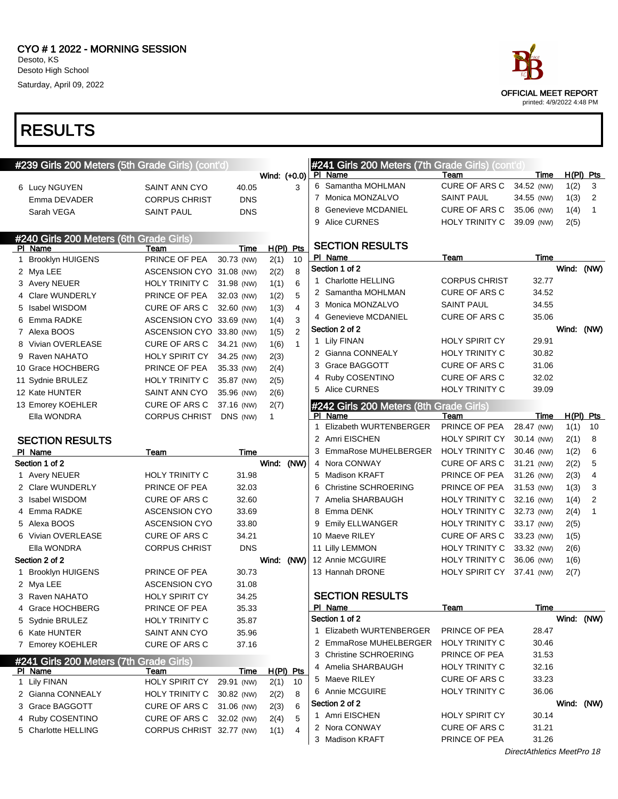

|   | #239 Girls 200 Meters (5th Grade Girls) (cont'd) |                          |                          |                      |                   |   | #241 Girls 200 Meters (7th Grade Girls) (cont'd)   |                           |                            |            |                |
|---|--------------------------------------------------|--------------------------|--------------------------|----------------------|-------------------|---|----------------------------------------------------|---------------------------|----------------------------|------------|----------------|
|   |                                                  |                          |                          | Wind: (+0.0)         |                   |   | PI Name                                            | Team                      | Time                       |            | $H(PI)$ Pts    |
|   | 6 Lucy NGUYEN                                    | SAINT ANN CYO            | 40.05                    |                      | 3                 |   | 6 Samantha MOHLMAN                                 | CURE OF ARS C             | 34.52 (NW)                 | 1(2)       | 3              |
|   | Emma DEVADER                                     | <b>CORPUS CHRIST</b>     | <b>DNS</b>               |                      |                   |   | 7 Monica MONZALVO                                  | SAINT PAUL                | 34.55 (NW)                 | 1(3)       | 2              |
|   | Sarah VEGA                                       | <b>SAINT PAUL</b>        | <b>DNS</b>               |                      |                   | 8 | <b>Genevieve MCDANIEL</b>                          | CURE OF ARS C             | 35.06 (NW)                 | 1(4)       | $\mathbf{1}$   |
|   |                                                  |                          |                          |                      |                   |   | 9 Alice CURNES                                     | HOLY TRINITY C            | 39.09 (NW)                 | 2(5)       |                |
|   | #240 Girls 200 Meters (6th Grade Girls)          |                          |                          |                      |                   |   | <b>SECTION RESULTS</b>                             |                           |                            |            |                |
|   | PI Name<br><b>Brooklyn HUIGENS</b>               | Team<br>PRINCE OF PEA    | Time<br>30.73 (NW)       |                      | $H(PI)$ Pts<br>10 |   | PI Name                                            | Team                      | Time                       |            |                |
| 1 |                                                  | ASCENSION CYO 31.08 (NW) |                          | 2(1)                 | 8                 |   | Section 1 of 2                                     |                           |                            | Wind: (NW) |                |
|   | 2 Mya LEE                                        | <b>HOLY TRINITY C</b>    | 31.98 (NW)               | 2(2)<br>1(1)         | 6                 |   | 1 Charlotte HELLING                                | <b>CORPUS CHRIST</b>      | 32.77                      |            |                |
|   | 3 Avery NEUER<br>4 Clare WUNDERLY                | PRINCE OF PEA            |                          |                      | 5                 |   | 2 Samantha MOHLMAN                                 | <b>CURE OF ARS C</b>      | 34.52                      |            |                |
|   | 5 Isabel WISDOM                                  | <b>CURE OF ARS C</b>     | 32.03 (NW)<br>32.60 (NW) | 1(2)                 | 4                 |   | 3 Monica MONZALVO                                  | <b>SAINT PAUL</b>         | 34.55                      |            |                |
|   | 6 Emma RADKE                                     | ASCENSION CYO 33.69 (NW) |                          | 1(3)                 | 3                 |   | 4 Genevieve MCDANIEL                               | <b>CURE OF ARS C</b>      | 35.06                      |            |                |
|   | 7 Alexa BOOS                                     | ASCENSION CYO 33.80 (NW) |                          | 1(4)                 | $\overline{2}$    |   | Section 2 of 2                                     |                           |                            | Wind: (NW) |                |
|   | 8 Vivian OVERLEASE                               | <b>CURE OF ARS C</b>     |                          | 1(5)                 | $\mathbf{1}$      |   | 1 Lily FINAN                                       | <b>HOLY SPIRIT CY</b>     | 29.91                      |            |                |
|   | 9 Raven NAHATO                                   | <b>HOLY SPIRIT CY</b>    | 34.21 (NW)<br>34.25 (NW) | 1(6)                 |                   |   | 2 Gianna CONNEALY                                  | <b>HOLY TRINITY C</b>     | 30.82                      |            |                |
|   | 10 Grace HOCHBERG                                | PRINCE OF PEA            |                          | 2(3)                 |                   |   | 3 Grace BAGGOTT                                    | <b>CURE OF ARS C</b>      | 31.06                      |            |                |
|   |                                                  | <b>HOLY TRINITY C</b>    | 35.33 (NW)               | 2(4)                 |                   |   | 4 Ruby COSENTINO                                   | <b>CURE OF ARS C</b>      | 32.02                      |            |                |
|   | 11 Sydnie BRULEZ<br>12 Kate HUNTER               | SAINT ANN CYO            | 35.87 (NW)               | 2(5)                 |                   |   | 5 Alice CURNES                                     | <b>HOLY TRINITY C</b>     | 39.09                      |            |                |
|   |                                                  | <b>CURE OF ARS C</b>     | 35.96 (NW)               | 2(6)                 |                   |   |                                                    |                           |                            |            |                |
|   | 13 Emorey KOEHLER<br>Ella WONDRA                 | <b>CORPUS CHRIST</b>     | 37.16 (NW)<br>DNS (NW)   | 2(7)<br>$\mathbf{1}$ |                   |   | #242 Girls 200 Meters (8th Grade Girls)<br>PI Name | Team                      | Time                       |            | $H(PI)$ Pts    |
|   |                                                  |                          |                          |                      |                   | 1 | Elizabeth WURTENBERGER                             | PRINCE OF PEA             | 28.47 (NW)                 | 1(1)       | 10             |
|   | <b>SECTION RESULTS</b>                           |                          |                          |                      |                   |   | 2 Amri EISCHEN                                     | <b>HOLY SPIRIT CY</b>     | 30.14 (NW)                 | 2(1)       | 8              |
|   | PI Name                                          | Team                     | Time                     |                      |                   |   | 3 EmmaRose MUHELBERGER                             | HOLY TRINITY C            | 30.46 (NW)                 | 1(2)       | 6              |
|   | Section 1 of 2                                   |                          |                          | Wind: (NW)           |                   |   | 4 Nora CONWAY                                      | CURE OF ARS C             | 31.21 (NW)                 | 2(2)       | 5              |
|   | 1 Avery NEUER                                    | <b>HOLY TRINITY C</b>    | 31.98                    |                      |                   |   | 5 Madison KRAFT                                    | PRINCE OF PEA             | 31.26 (NW)                 | 2(3)       | $\overline{4}$ |
|   | 2 Clare WUNDERLY                                 | PRINCE OF PEA            | 32.03                    |                      |                   | 6 | <b>Christine SCHROERING</b>                        | PRINCE OF PEA             | 31.53 (NW)                 | 1(3)       | 3              |
|   | 3 Isabel WISDOM                                  | <b>CURE OF ARS C</b>     | 32.60                    |                      |                   |   | 7 Amelia SHARBAUGH                                 | <b>HOLY TRINITY C</b>     | 32.16 (NW)                 | 1(4)       | $\overline{2}$ |
|   | 4 Emma RADKE                                     | <b>ASCENSION CYO</b>     | 33.69                    |                      |                   |   | 8 Emma DENK                                        | HOLY TRINITY C            | 32.73 (NW)                 | 2(4)       | 1              |
|   | 5 Alexa BOOS                                     | <b>ASCENSION CYO</b>     | 33.80                    |                      |                   |   | 9 Emily ELLWANGER                                  | <b>HOLY TRINITY C</b>     | 33.17 (NW)                 | 2(5)       |                |
|   | 6 Vivian OVERLEASE                               | CURE OF ARS C            | 34.21                    |                      |                   |   | 10 Maeve RILEY                                     | <b>CURE OF ARS C</b>      | 33.23 (NW)                 | 1(5)       |                |
|   | Ella WONDRA                                      | <b>CORPUS CHRIST</b>     | <b>DNS</b>               |                      |                   |   | 11 Lilly LEMMON                                    | <b>HOLY TRINITY C</b>     | 33.32 (NW)                 | 2(6)       |                |
|   | Section 2 of 2                                   |                          |                          | Wind: (NW)           |                   |   | 12 Annie MCGUIRE                                   | HOLY TRINITY C            | 36.06 (NW)                 | 1(6)       |                |
|   | 1 Brooklyn HUIGENS                               | PRINCE OF PEA            | 30.73                    |                      |                   |   | 13 Hannah DRONE                                    | HOLY SPIRIT CY 37.41 (NW) |                            | 2(7)       |                |
|   | 2 Mya LEE                                        | <b>ASCENSION CYO</b>     | 31.08                    |                      |                   |   |                                                    |                           |                            |            |                |
|   | 3 Raven NAHATO                                   | <b>HOLY SPIRIT CY</b>    | 34.25                    |                      |                   |   | <b>SECTION RESULTS</b>                             |                           |                            |            |                |
|   | 4 Grace HOCHBERG                                 | PRINCE OF PEA            | 35.33                    |                      |                   |   | PI Name                                            | <b>Team</b>               | <b>Time</b>                |            |                |
|   | 5 Sydnie BRULEZ                                  | HOLY TRINITY C           | 35.87                    |                      |                   |   | Section 1 of 2                                     |                           |                            |            | Wind: (NW)     |
|   | 6 Kate HUNTER                                    | SAINT ANN CYO            | 35.96                    |                      |                   |   | 1 Elizabeth WURTENBERGER                           | PRINCE OF PEA             | 28.47                      |            |                |
|   | 7 Emorey KOEHLER                                 | CURE OF ARS C            | 37.16                    |                      |                   |   | 2 EmmaRose MUHELBERGER                             | <b>HOLY TRINITY C</b>     | 30.46                      |            |                |
|   | #241 Girls 200 Meters (7th Grade Girls)          |                          |                          |                      |                   |   | 3 Christine SCHROERING                             | PRINCE OF PEA             | 31.53                      |            |                |
|   | PI Name                                          | Team                     | Time                     |                      | $H(PI)$ Pts       |   | 4 Amelia SHARBAUGH                                 | <b>HOLY TRINITY C</b>     | 32.16                      |            |                |
|   | 1 Lily FINAN                                     | <b>HOLY SPIRIT CY</b>    | 29.91 (NW)               | 2(1)                 | 10                |   | 5 Maeve RILEY                                      | <b>CURE OF ARS C</b>      | 33.23                      |            |                |
|   | 2 Gianna CONNEALY                                | HOLY TRINITY C           | 30.82 (NW)               | 2(2)                 | 8                 |   | 6 Annie MCGUIRE                                    | <b>HOLY TRINITY C</b>     | 36.06                      |            |                |
|   | 3 Grace BAGGOTT                                  | CURE OF ARS C            | 31.06 (NW)               | 2(3)                 | 6                 |   | Section 2 of 2                                     |                           |                            |            | Wind: (NW)     |
|   | 4 Ruby COSENTINO                                 | CURE OF ARS C            | 32.02 (NW)               | 2(4)                 | 5                 |   | 1 Amri EISCHEN                                     | <b>HOLY SPIRIT CY</b>     | 30.14                      |            |                |
|   | 5 Charlotte HELLING                              | CORPUS CHRIST 32.77 (NW) |                          | 1(1)                 | 4                 |   | 2 Nora CONWAY                                      | <b>CURE OF ARS C</b>      | 31.21                      |            |                |
|   |                                                  |                          |                          |                      |                   |   | 3 Madison KRAFT                                    | PRINCE OF PEA             | 31.26                      |            |                |
|   |                                                  |                          |                          |                      |                   |   |                                                    |                           | DirectAthletics MeetPro 18 |            |                |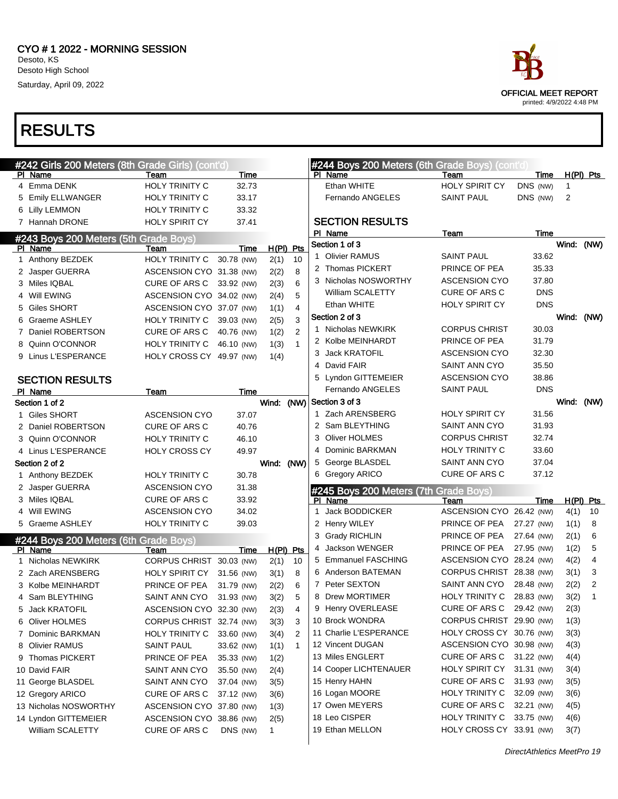

|   | #242 Girls 200 Meters (8th Grade Girls) (cont'd) |                          |             |              |                |              | #244 Boys 200 Meters (6th Grade Boys) (cont'd) |                           |            |            |                |
|---|--------------------------------------------------|--------------------------|-------------|--------------|----------------|--------------|------------------------------------------------|---------------------------|------------|------------|----------------|
|   | PI Name                                          | Team                     | Time        |              |                |              | PI Name                                        | Team                      | Time       |            | $H(PI)$ Pts    |
|   | 4 Emma DENK                                      | <b>HOLY TRINITY C</b>    | 32.73       |              |                |              | Ethan WHITE                                    | <b>HOLY SPIRIT CY</b>     | DNS (NW)   | 1          |                |
|   | 5 Emily ELLWANGER                                | HOLY TRINITY C           | 33.17       |              |                |              | Fernando ANGELES                               | <b>SAINT PAUL</b>         | DNS (NW)   | 2          |                |
|   | 6 Lilly LEMMON                                   | HOLY TRINITY C           | 33.32       |              |                |              |                                                |                           |            |            |                |
|   | 7 Hannah DRONE                                   | <b>HOLY SPIRIT CY</b>    | 37.41       |              |                |              | <b>SECTION RESULTS</b>                         |                           |            |            |                |
|   | #243 Boys 200 Meters (5th Grade Boys)            |                          |             |              |                |              | PI Name                                        | Team                      | Time       |            |                |
|   | PI Name                                          | Team                     | Time        |              | H(PI) Pts      |              | Section 1 of 3                                 |                           |            | Wind: (NW) |                |
|   | 1 Anthony BEZDEK                                 | HOLY TRINITY C           | 30.78 (NW)  | 2(1)         | 10             |              | 1 Olivier RAMUS                                | <b>SAINT PAUL</b>         | 33.62      |            |                |
|   | 2 Jasper GUERRA                                  | ASCENSION CYO 31.38 (NW) |             | 2(2)         | 8              |              | 2 Thomas PICKERT                               | PRINCE OF PEA             | 35.33      |            |                |
|   | 3 Miles IQBAL                                    | CURE OF ARS C            | 33.92 (NW)  | 2(3)         | 6              |              | 3 Nicholas NOSWORTHY                           | <b>ASCENSION CYO</b>      | 37.80      |            |                |
|   | 4 Will EWING                                     | ASCENSION CYO 34.02 (NW) |             | 2(4)         | 5              |              | William SCALETTY                               | <b>CURE OF ARS C</b>      | <b>DNS</b> |            |                |
|   | 5 Giles SHORT                                    | ASCENSION CYO 37.07 (NW) |             | 1(1)         | $\overline{4}$ |              | Ethan WHITE                                    | <b>HOLY SPIRIT CY</b>     | <b>DNS</b> |            |                |
| 6 | Graeme ASHLEY                                    | HOLY TRINITY C           | 39.03 (NW)  | 2(5)         | 3              |              | Section 2 of 3                                 |                           |            | Wind: (NW) |                |
|   | 7 Daniel ROBERTSON                               | CURE OF ARS C            | 40.76 (NW)  | 1(2)         | $\overline{2}$ |              | 1 Nicholas NEWKIRK                             | <b>CORPUS CHRIST</b>      | 30.03      |            |                |
| 8 | Quinn O'CONNOR                                   | HOLY TRINITY C           | 46.10 (NW)  | 1(3)         | $\mathbf{1}$   |              | 2 Kolbe MEINHARDT                              | PRINCE OF PEA             | 31.79      |            |                |
|   | 9 Linus L'ESPERANCE                              | HOLY CROSS CY 49.97 (NW) |             | 1(4)         |                |              | 3 Jack KRATOFIL                                | <b>ASCENSION CYO</b>      | 32.30      |            |                |
|   |                                                  |                          |             |              |                |              | 4 David FAIR                                   | <b>SAINT ANN CYO</b>      | 35.50      |            |                |
|   | <b>SECTION RESULTS</b>                           |                          |             |              |                |              | 5 Lyndon GITTEMEIER                            | <b>ASCENSION CYO</b>      | 38.86      |            |                |
|   | PI Name                                          | Team                     | <b>Time</b> |              |                |              | <b>Fernando ANGELES</b>                        | <b>SAINT PAUL</b>         | <b>DNS</b> |            |                |
|   | Section 1 of 2                                   |                          |             | Wind: (NW)   |                |              | Section 3 of 3                                 |                           |            | Wind: (NW) |                |
|   | 1 Giles SHORT                                    | <b>ASCENSION CYO</b>     | 37.07       |              |                |              | 1 Zach ARENSBERG                               | <b>HOLY SPIRIT CY</b>     | 31.56      |            |                |
|   | 2 Daniel ROBERTSON                               | CURE OF ARS C            | 40.76       |              |                |              | 2 Sam BLEYTHING                                | <b>SAINT ANN CYO</b>      | 31.93      |            |                |
|   | 3 Quinn O'CONNOR                                 | <b>HOLY TRINITY C</b>    | 46.10       |              |                |              | 3 Oliver HOLMES                                | <b>CORPUS CHRIST</b>      | 32.74      |            |                |
|   | 4 Linus L'ESPERANCE                              | <b>HOLY CROSS CY</b>     | 49.97       |              |                |              | 4 Dominic BARKMAN                              | <b>HOLY TRINITY C</b>     | 33.60      |            |                |
|   | Section 2 of 2                                   |                          |             | Wind: (NW)   |                |              | 5 George BLASDEL                               | <b>SAINT ANN CYO</b>      | 37.04      |            |                |
|   | 1 Anthony BEZDEK                                 | <b>HOLY TRINITY C</b>    | 30.78       |              |                |              | 6 Gregory ARICO                                | <b>CURE OF ARS C</b>      | 37.12      |            |                |
|   | 2 Jasper GUERRA                                  | <b>ASCENSION CYO</b>     | 31.38       |              |                |              | #245 Boys 200 Meters (7th Grade Boys)          |                           |            |            |                |
|   | 3 Miles IQBAL                                    | CURE OF ARS C            | 33.92       |              |                |              | PI Name                                        | Team                      | Time       |            | $H(PI)$ Pts    |
|   | 4 Will EWING                                     | <b>ASCENSION CYO</b>     | 34.02       |              |                | $\mathbf{1}$ | <b>Jack BODDICKER</b>                          | ASCENSION CYO 26.42 (NW)  |            | 4(1)       | 10             |
|   | 5 Graeme ASHLEY                                  | HOLY TRINITY C           | 39.03       |              |                |              | 2 Henry WILEY                                  | PRINCE OF PEA             | 27.27 (NW) | 1(1)       | 8              |
|   |                                                  |                          |             |              |                |              | 3 Grady RICHLIN                                | PRINCE OF PEA             | 27.64 (NW) | 2(1)       | 6              |
|   | #244 Boys 200 Meters (6th Grade Boys)<br>PI Name | Team                     | Time        | H(PI) Pts    |                |              | 4 Jackson WENGER                               | PRINCE OF PEA             | 27.95 (NW) | 1(2)       | 5              |
|   | 1 Nicholas NEWKIRK                               | <b>CORPUS CHRIST</b>     | 30.03 (NW)  | 2(1)         | 10             |              | 5 Emmanuel FASCHING                            | ASCENSION CYO 28.24 (NW)  |            | 4(2)       | $\overline{4}$ |
|   | 2 Zach ARENSBERG                                 | <b>HOLY SPIRIT CY</b>    | 31.56 (NW)  | 3(1)         | 8              |              | 6 Anderson BATEMAN                             | CORPUS CHRIST 28.38 (NW)  |            | 3(1)       | 3              |
|   | 3 Kolbe MEINHARDT                                | PRINCE OF PEA            | 31.79 (NW)  | 2(2)         | 6              |              | 7 Peter SEXTON                                 | SAINT ANN CYO             | 28.48 (NW) | 2(2)       | 2              |
|   | 4 Sam BLEYTHING                                  | SAINT ANN CYO            | 31.93 (NW)  | 3(2)         | 5              |              | 8 Drew MORTIMER                                | HOLY TRINITY C            | 28.83 (NW) | 3(2)       | $\mathbf{1}$   |
|   | 5 Jack KRATOFIL                                  | ASCENSION CYO 32.30 (NW) |             | 2(3)         | 4              |              | 9 Henry OVERLEASE                              | CURE OF ARS C 29.42 (NW)  |            | 2(3)       |                |
|   | 6 Oliver HOLMES                                  | CORPUS CHRIST 32.74 (NW) |             | 3(3)         | 3              |              | 10 Brock WONDRA                                | CORPUS CHRIST 29.90 (NW)  |            | 1(3)       |                |
|   | 7 Dominic BARKMAN                                | HOLY TRINITY C           | 33.60 (NW)  | 3(4)         | 2              |              | 11 Charlie L'ESPERANCE                         | HOLY CROSS CY 30.76 (NW)  |            | 3(3)       |                |
|   | 8 Olivier RAMUS                                  | <b>SAINT PAUL</b>        | 33.62 (NW)  | 1(1)         | $\overline{1}$ |              | 12 Vincent DUGAN                               | ASCENSION CYO 30.98 (NW)  |            | 4(3)       |                |
|   | 9 Thomas PICKERT                                 | PRINCE OF PEA            | 35.33 (NW)  | 1(2)         |                |              | 13 Miles ENGLERT                               | CURE OF ARS C 31.22 (NW)  |            | 4(4)       |                |
|   | 10 David FAIR                                    | SAINT ANN CYO            | 35.50 (NW)  | 2(4)         |                |              | 14 Cooper LICHTENAUER                          | HOLY SPIRIT CY 31.31 (NW) |            | 3(4)       |                |
|   | 11 George BLASDEL                                | SAINT ANN CYO            | 37.04 (NW)  | 3(5)         |                |              | 15 Henry HAHN                                  | CURE OF ARS C             | 31.93 (NW) | 3(5)       |                |
|   | 12 Gregory ARICO                                 | CURE OF ARS C            | 37.12 (NW)  | 3(6)         |                |              | 16 Logan MOORE                                 | HOLY TRINITY C 32.09 (NW) |            | 3(6)       |                |
|   | 13 Nicholas NOSWORTHY                            | ASCENSION CYO 37.80 (NW) |             | 1(3)         |                |              | 17 Owen MEYERS                                 | CURE OF ARS C             | 32.21 (NW) | 4(5)       |                |
|   | 14 Lyndon GITTEMEIER                             | ASCENSION CYO 38.86 (NW) |             | 2(5)         |                |              | 18 Leo CISPER                                  | HOLY TRINITY C 33.75 (NW) |            | 4(6)       |                |
|   | William SCALETTY                                 | CURE OF ARS C            | DNS (NW)    | $\mathbf{1}$ |                |              | 19 Ethan MELLON                                | HOLY CROSS CY 33.91 (NW)  |            | 3(7)       |                |
|   |                                                  |                          |             |              |                |              |                                                |                           |            |            |                |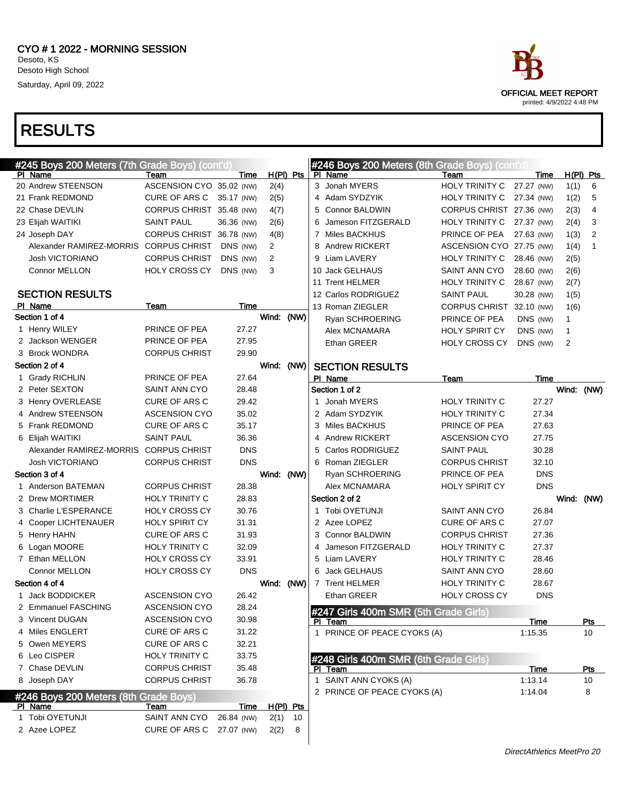| #245 Boys 200 Meters (7th Grade Boys) (cont'd) |                          |             |             |    |   | #246 Boys 200 Meters (8th Grade Boys) (cont'd) |                          |             |            |                |
|------------------------------------------------|--------------------------|-------------|-------------|----|---|------------------------------------------------|--------------------------|-------------|------------|----------------|
| PI Name                                        | Team                     | Time        | $H(PI)$ Pts |    |   | PI Name                                        | Team                     | Time        |            | $H(PI)$ Pts    |
| 20 Andrew STEENSON                             | ASCENSION CYO 35.02 (NW) |             | 2(4)        |    |   | 3 Jonah MYERS                                  | HOLY TRINITY C           | 27.27 (NW)  | 1(1)       | 6              |
| 21 Frank REDMOND                               | CURE OF ARS C            | 35.17 (NW)  | 2(5)        |    |   | 4 Adam SYDZYIK                                 | HOLY TRINITY C           | 27.34 (NW)  | 1(2)       | 5              |
| 22 Chase DEVLIN                                | CORPUS CHRIST 35.48 (NW) |             | 4(7)        |    |   | 5 Connor BALDWIN                               | CORPUS CHRIST 27.36 (NW) |             | 2(3)       | $\overline{4}$ |
| 23 Elijah WAITIKI                              | <b>SAINT PAUL</b>        | 36.36 (NW)  | 2(6)        |    |   | 6 Jameson FITZGERALD                           | HOLY TRINITY C           | 27.37 (NW)  | 2(4)       | 3              |
| 24 Joseph DAY                                  | CORPUS CHRIST 36.78 (NW) |             | 4(8)        |    |   | 7 Miles BACKHUS                                | PRINCE OF PEA            | 27.63 (NW)  | 1(3)       | 2              |
| Alexander RAMIREZ-MORRIS                       | <b>CORPUS CHRIST</b>     | DNS (NW)    | 2           |    |   | 8 Andrew RICKERT                               | ASCENSION CYO 27.75 (NW) |             | 1(4)       | $\mathbf{1}$   |
| <b>Josh VICTORIANO</b>                         | <b>CORPUS CHRIST</b>     | DNS (NW)    | 2           |    |   | 9 Liam LAVERY                                  | HOLY TRINITY C           | 28.46 (NW)  | 2(5)       |                |
| <b>Connor MELLON</b>                           | <b>HOLY CROSS CY</b>     | DNS (NW)    | 3           |    |   | 10 Jack GELHAUS                                | <b>SAINT ANN CYO</b>     | 28.60 (NW)  | 2(6)       |                |
|                                                |                          |             |             |    |   | 11 Trent HELMER                                | HOLY TRINITY C           | 28.67 (NW)  | 2(7)       |                |
| <b>SECTION RESULTS</b>                         |                          |             |             |    |   | 12 Carlos RODRIGUEZ                            | SAINT PAUL               | 30.28 (NW)  | 1(5)       |                |
| PI Name                                        | Team                     | Time        |             |    |   | 13 Roman ZIEGLER                               | CORPUS CHRIST 32.10 (NW) |             | 1(6)       |                |
| Section 1 of 4                                 |                          |             | Wind: (NW)  |    |   | Ryan SCHROERING                                | PRINCE OF PEA            | DNS (NW)    | 1          |                |
| 1 Henry WILEY                                  | PRINCE OF PEA            | 27.27       |             |    |   | Alex MCNAMARA                                  | <b>HOLY SPIRIT CY</b>    | DNS (NW)    | 1          |                |
| 2 Jackson WENGER                               | PRINCE OF PEA            | 27.95       |             |    |   | Ethan GREER                                    | <b>HOLY CROSS CY</b>     | DNS (NW)    | 2          |                |
| 3 Brock WONDRA                                 | <b>CORPUS CHRIST</b>     | 29.90       |             |    |   |                                                |                          |             |            |                |
| Section 2 of 4                                 |                          |             | Wind: (NW)  |    |   | <b>SECTION RESULTS</b>                         |                          |             |            |                |
| 1 Grady RICHLIN                                | PRINCE OF PEA            | 27.64       |             |    |   | PI Name                                        | Team                     | Time        |            |                |
| 2 Peter SEXTON                                 | <b>SAINT ANN CYO</b>     | 28.48       |             |    |   | Section 1 of 2                                 |                          |             | Wind: (NW) |                |
| 3 Henry OVERLEASE                              | CURE OF ARS C            | 29.42       |             |    |   | 1 Jonah MYERS                                  | <b>HOLY TRINITY C</b>    | 27.27       |            |                |
| 4 Andrew STEENSON                              | <b>ASCENSION CYO</b>     | 35.02       |             |    |   | 2 Adam SYDZYIK                                 | <b>HOLY TRINITY C</b>    | 27.34       |            |                |
| 5 Frank REDMOND                                | <b>CURE OF ARS C</b>     | 35.17       |             |    |   | 3 Miles BACKHUS                                | PRINCE OF PEA            | 27.63       |            |                |
| 6 Elijah WAITIKI                               | <b>SAINT PAUL</b>        | 36.36       |             |    |   | 4 Andrew RICKERT                               | <b>ASCENSION CYO</b>     | 27.75       |            |                |
| Alexander RAMIREZ-MORRIS CORPUS CHRIST         |                          | <b>DNS</b>  |             |    | 5 | Carlos RODRIGUEZ                               | <b>SAINT PAUL</b>        | 30.28       |            |                |
| Josh VICTORIANO                                | <b>CORPUS CHRIST</b>     | <b>DNS</b>  |             |    |   | 6 Roman ZIEGLER                                | <b>CORPUS CHRIST</b>     | 32.10       |            |                |
| Section 3 of 4                                 |                          |             | Wind: (NW)  |    |   | Ryan SCHROERING                                | PRINCE OF PEA            | <b>DNS</b>  |            |                |
| 1 Anderson BATEMAN                             | <b>CORPUS CHRIST</b>     | 28.38       |             |    |   | Alex MCNAMARA                                  | HOLY SPIRIT CY           | <b>DNS</b>  |            |                |
| 2 Drew MORTIMER                                | <b>HOLY TRINITY C</b>    | 28.83       |             |    |   | Section 2 of 2                                 |                          |             | Wind: (NW) |                |
| 3 Charlie L'ESPERANCE                          | <b>HOLY CROSS CY</b>     | 30.76       |             |    |   | 1 Tobi OYETUNJI                                | <b>SAINT ANN CYO</b>     | 26.84       |            |                |
| 4 Cooper LICHTENAUER                           | HOLY SPIRIT CY           | 31.31       |             |    |   | 2 Azee LOPEZ                                   | <b>CURE OF ARS C</b>     | 27.07       |            |                |
| 5 Henry HAHN                                   | <b>CURE OF ARS C</b>     | 31.93       |             |    |   | 3 Connor BALDWIN                               | <b>CORPUS CHRIST</b>     | 27.36       |            |                |
| 6 Logan MOORE                                  | HOLY TRINITY C           | 32.09       |             |    | 4 | Jameson FITZGERALD                             | HOLY TRINITY C           | 27.37       |            |                |
| 7 Ethan MELLON                                 | <b>HOLY CROSS CY</b>     | 33.91       |             |    |   | 5 Liam LAVERY                                  | HOLY TRINITY C           | 28.46       |            |                |
| Connor MELLON                                  | HOLY CROSS CY            | <b>DNS</b>  |             |    |   | 6 Jack GELHAUS                                 | SAINT ANN CYO            | 28.60       |            |                |
| Section 4 of 4                                 |                          |             | Wind: (NW)  |    |   | 7 Trent HELMER                                 | HOLY TRINITY C           | 28.67       |            |                |
| <b>Jack BODDICKER</b>                          | <b>ASCENSION CYO</b>     | 26.42       |             |    |   | Ethan GREER                                    | <b>HOLY CROSS CY</b>     | <b>DNS</b>  |            |                |
| 2 Emmanuel FASCHING                            | <b>ASCENSION CYO</b>     | 28.24       |             |    |   | #247 Girls 400m SMR (5th Grade Girls)          |                          |             |            |                |
| 3 Vincent DUGAN                                | <b>ASCENSION CYO</b>     | 30.98       |             |    |   | PI Team                                        |                          | <b>Time</b> |            | <u>Pts</u>     |
| 4 Miles ENGLERT                                | CURE OF ARS C            | 31.22       |             |    |   | 1 PRINCE OF PEACE CYOKS (A)                    |                          | 1:15.35     |            | 10             |
| 5 Owen MEYERS                                  | <b>CURE OF ARS C</b>     | 32.21       |             |    |   |                                                |                          |             |            |                |
| 6 Leo CISPER                                   | HOLY TRINITY C           | 33.75       |             |    |   | #248 Girls 400m SMR (6th Grade Girls)          |                          |             |            |                |
| 7 Chase DEVLIN                                 | <b>CORPUS CHRIST</b>     | 35.48       |             |    |   | PI Team                                        |                          | Time        |            | <u>Pts</u>     |
| 8 Joseph DAY                                   | <b>CORPUS CHRIST</b>     | 36.78       |             |    |   | 1 SAINT ANN CYOKS (A)                          |                          | 1:13.14     |            | 10             |
| #246 Boys 200 Meters (8th Grade Boys)          |                          |             |             |    |   | 2 PRINCE OF PEACE CYOKS (A)                    |                          | 1:14.04     |            | 8              |
| PI Name                                        | Team                     | <b>Time</b> | H(PI) Pts   |    |   |                                                |                          |             |            |                |
| 1 Tobi OYETUNJI                                | SAINT ANN CYO            | 26.84 (NW)  | 2(1)        | 10 |   |                                                |                          |             |            |                |
| 2 Azee LOPEZ                                   | CURE OF ARS C            | 27.07 (NW)  | 2(2)        | 8  |   |                                                |                          |             |            |                |
|                                                |                          |             |             |    |   |                                                |                          |             |            |                |

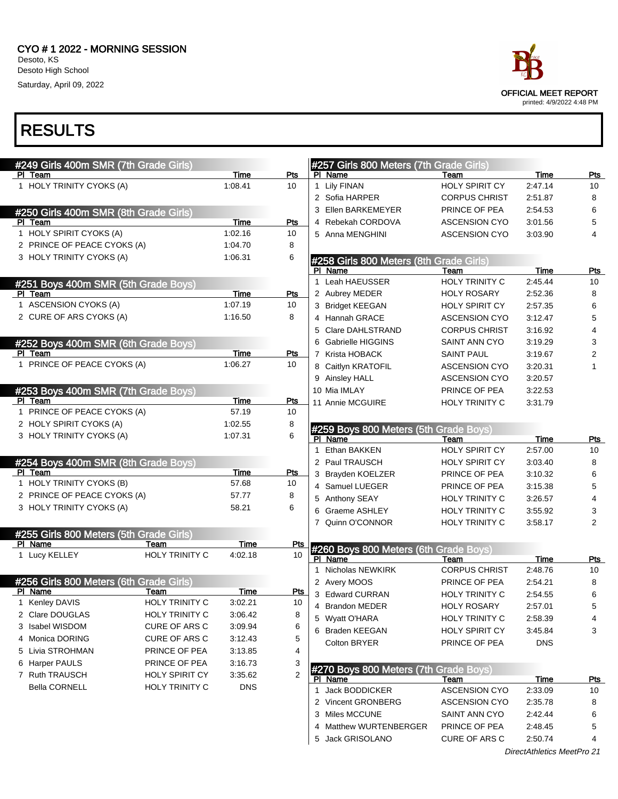

| #249 Girls 400m SMR (7th Grade Girls)              |                               |             |                  |              | #257 Girls 800 Meters (7th Grade Girls) |                       |                            |                |
|----------------------------------------------------|-------------------------------|-------------|------------------|--------------|-----------------------------------------|-----------------------|----------------------------|----------------|
| PI Team                                            |                               | Time        | Pts              |              | PI Name                                 | Team                  | Time                       | Pts            |
| 1 HOLY TRINITY CYOKS (A)                           |                               | 1:08.41     | 10               |              | 1 Lily FINAN                            | <b>HOLY SPIRIT CY</b> | 2:47.14                    | 10             |
|                                                    |                               |             |                  |              | 2 Sofia HARPER                          | <b>CORPUS CHRIST</b>  | 2:51.87                    | 8              |
| #250 Girls 400m SMR (8th Grade Girls)              |                               |             |                  |              | 3 Ellen BARKEMEYER                      | PRINCE OF PEA         | 2:54.53                    | 6              |
| PI Team                                            |                               | <b>Time</b> | <b>Pts</b>       |              | 4 Rebekah CORDOVA                       | <b>ASCENSION CYO</b>  | 3:01.56                    | 5              |
| 1 HOLY SPIRIT CYOKS (A)                            |                               | 1:02.16     | 10               |              | 5 Anna MENGHINI                         | <b>ASCENSION CYO</b>  | 3:03.90                    | $\overline{4}$ |
| 2 PRINCE OF PEACE CYOKS (A)                        |                               | 1:04.70     | 8                |              |                                         |                       |                            |                |
| 3 HOLY TRINITY CYOKS (A)                           |                               | 1:06.31     | 6                |              | #258 Girls 800 Meters (8th Grade Girls) |                       |                            |                |
|                                                    |                               |             |                  |              | PI Name                                 | Team                  | <b>Time</b>                | <b>Pts</b>     |
| #251 Boys 400m SMR (5th Grade Boys)                |                               |             |                  |              | 1 Leah HAEUSSER                         | HOLY TRINITY C        | 2:45.44                    | 10             |
| PI Team                                            |                               | Time        | Pts              |              | 2 Aubrey MEDER                          | <b>HOLY ROSARY</b>    | 2:52.36                    | 8              |
| 1 ASCENSION CYOKS (A)                              |                               | 1:07.19     | 10               |              | 3 Bridget KEEGAN                        | <b>HOLY SPIRIT CY</b> | 2:57.35                    | 6              |
| 2 CURE OF ARS CYOKS (A)                            |                               | 1:16.50     | 8                |              | 4 Hannah GRACE                          | <b>ASCENSION CYO</b>  | 3:12.47                    | 5              |
|                                                    |                               |             |                  |              | 5 Clare DAHLSTRAND                      | <b>CORPUS CHRIST</b>  | 3:16.92                    | 4              |
| #252 Boys 400m SMR (6th Grade Boys)                |                               |             |                  |              | 6 Gabrielle HIGGINS                     | <b>SAINT ANN CYO</b>  | 3:19.29                    | 3              |
| PI Team                                            |                               | Time        | Pts              |              | 7 Krista HOBACK                         | <b>SAINT PAUL</b>     | 3:19.67                    | $\overline{2}$ |
| 1 PRINCE OF PEACE CYOKS (A)                        |                               | 1:06.27     | 10               |              | 8 Caitlyn KRATOFIL                      | <b>ASCENSION CYO</b>  | 3:20.31                    | 1              |
|                                                    |                               |             |                  |              | 9 Ainsley HALL                          | <b>ASCENSION CYO</b>  | 3:20.57                    |                |
| #253 Boys 400m SMR (7th Grade Boys)                |                               |             |                  |              | 10 Mia IMLAY                            | PRINCE OF PEA         | 3:22.53                    |                |
| PI Team                                            |                               | Time        | <b>Pts</b>       |              | 11 Annie MCGUIRE                        | <b>HOLY TRINITY C</b> | 3:31.79                    |                |
| 1 PRINCE OF PEACE CYOKS (A)                        |                               | 57.19       | 10               |              |                                         |                       |                            |                |
| 2 HOLY SPIRIT CYOKS (A)                            |                               | 1:02.55     | 8                |              | #259 Boys 800 Meters (5th Grade Boys)   |                       |                            |                |
| 3 HOLY TRINITY CYOKS (A)                           |                               | 1:07.31     | 6                |              | PI Name                                 | Team                  | <b>Time</b>                | Pts            |
|                                                    |                               |             |                  | $\mathbf{1}$ | Ethan BAKKEN                            | HOLY SPIRIT CY        | 2:57.00                    | 10             |
| #254 Boys 400m SMR (8th Grade Boys)                |                               |             |                  |              | 2 Paul TRAUSCH                          | <b>HOLY SPIRIT CY</b> | 3:03.40                    | 8              |
| PI Team                                            |                               | Time        | Pts              |              | 3 Brayden KOELZER                       | PRINCE OF PEA         | 3:10.32                    | 6              |
| 1 HOLY TRINITY CYOKS (B)                           |                               | 57.68       | 10               |              | 4 Samuel LUEGER                         | PRINCE OF PEA         | 3:15.38                    | 5              |
| 2 PRINCE OF PEACE CYOKS (A)                        |                               | 57.77       | 8                |              | 5 Anthony SEAY                          | <b>HOLY TRINITY C</b> | 3:26.57                    | $\overline{4}$ |
| 3 HOLY TRINITY CYOKS (A)                           |                               | 58.21       | 6                |              | 6 Graeme ASHLEY                         | <b>HOLY TRINITY C</b> | 3:55.92                    | 3              |
|                                                    |                               |             |                  |              | 7 Quinn O'CONNOR                        | <b>HOLY TRINITY C</b> | 3:58.17                    | $\overline{2}$ |
| #255 Girls 800 Meters (5th Grade Girls)<br>PI Name |                               | Time        |                  |              |                                         |                       |                            |                |
| 1 Lucy KELLEY                                      | Team<br><b>HOLY TRINITY C</b> | 4:02.18     | <u>Pts</u><br>10 |              | #260 Boys 800 Meters (6th Grade Boys)   |                       |                            |                |
|                                                    |                               |             |                  |              | PI Name                                 | Team                  | Time                       | Pts            |
|                                                    |                               |             |                  |              | 1 Nicholas NEWKIRK                      | <b>CORPUS CHRIST</b>  | 2:48.76                    | 10             |
| #256 Girls 800 Meters (6th Grade Girls)<br>PI Name | Team                          | Time        | <b>Pts</b>       |              | 2 Avery MOOS                            | PRINCE OF PEA         | 2:54.21                    | 8              |
| 1 Kenley DAVIS                                     | <b>HOLY TRINITY C</b>         | 3:02.21     | 10               |              | 3 Edward CURRAN                         | <b>HOLY TRINITY C</b> | 2:54.55                    | 6              |
| 2 Clare DOUGLAS                                    | HOLY TRINITY C                | 3:06.42     | 8                |              | 4 Brandon MEDER                         | <b>HOLY ROSARY</b>    | 2:57.01                    | 5              |
| 3 Isabel WISDOM                                    | CURE OF ARS C                 | 3:09.94     | 6                |              | 5 Wyatt O'HARA                          | HOLY TRINITY C        | 2:58.39                    | 4              |
| 4 Monica DORING                                    | CURE OF ARS C                 | 3:12.43     | 5                |              | 6 Braden KEEGAN                         | <b>HOLY SPIRIT CY</b> | 3:45.84                    | 3              |
| 5 Livia STROHMAN                                   | PRINCE OF PEA                 | 3:13.85     | 4                |              | Colton BRYER                            | PRINCE OF PEA         | <b>DNS</b>                 |                |
| 6 Harper PAULS                                     | PRINCE OF PEA                 | 3:16.73     | 3                |              |                                         |                       |                            |                |
| 7 Ruth TRAUSCH                                     | <b>HOLY SPIRIT CY</b>         | 3:35.62     | 2                |              | #270 Boys 800 Meters (7th Grade Boys)   |                       |                            |                |
| <b>Bella CORNELL</b>                               | HOLY TRINITY C                | <b>DNS</b>  |                  |              | PI Name                                 | Team                  | <u>Time</u>                | <u>Pts</u>     |
|                                                    |                               |             |                  |              | 1 Jack BODDICKER                        | <b>ASCENSION CYO</b>  | 2:33.09                    | 10             |
|                                                    |                               |             |                  |              | 2 Vincent GRONBERG                      | ASCENSION CYO         | 2:35.78                    | 8              |
|                                                    |                               |             |                  |              | 3 Miles MCCUNE                          | SAINT ANN CYO         | 2:42.44                    | 6              |
|                                                    |                               |             |                  |              | 4 Matthew WURTENBERGER                  | PRINCE OF PEA         | 2:48.45                    | 5              |
|                                                    |                               |             |                  |              | 5 Jack GRISOLANO                        | CURE OF ARS C         | 2:50.74                    | 4              |
|                                                    |                               |             |                  |              |                                         |                       | DirectAthletics MeetPro 21 |                |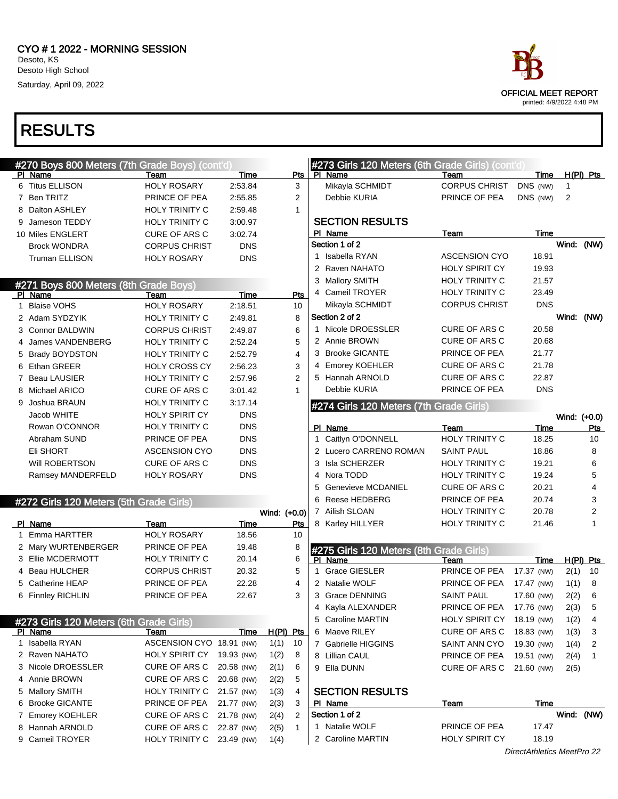# OFFICIAL MEET REPORT printed: 4/9/2022 4:48 PM

| $H(PI)$ Pts |              | Time                       | Team                  | #273 Girls 120 Meters (6th Grade Girls) (cont'd)<br>PI Name | Pts               |              | Time       | Team                      | PI Name                                          |
|-------------|--------------|----------------------------|-----------------------|-------------------------------------------------------------|-------------------|--------------|------------|---------------------------|--------------------------------------------------|
|             | 1            | DNS (NW)                   | <b>CORPUS CHRIST</b>  | Mikayla SCHMIDT                                             | 3                 |              | 2:53.84    | <b>HOLY ROSARY</b>        | 6 Titus ELLISON                                  |
|             | 2            | DNS (NW)                   | PRINCE OF PEA         | Debbie KURIA                                                | 2                 |              | 2:55.85    | PRINCE OF PEA             | 7 Ben TRITZ                                      |
|             |              |                            |                       |                                                             | 1                 |              | 2:59.48    | HOLY TRINITY C            | 8 Dalton ASHLEY                                  |
|             |              |                            |                       | <b>SECTION RESULTS</b>                                      |                   |              | 3:00.97    | <b>HOLY TRINITY C</b>     | 9 Jameson TEDDY                                  |
|             |              | <b>Time</b>                | Team                  | PI Name                                                     |                   |              | 3:02.74    | CURE OF ARS C             | 10 Miles ENGLERT                                 |
|             | Wind: (NW)   |                            |                       | Section 1 of 2                                              |                   |              | <b>DNS</b> | <b>CORPUS CHRIST</b>      | <b>Brock WONDRA</b>                              |
|             |              | 18.91                      | <b>ASCENSION CYO</b>  | Isabella RYAN                                               | 1                 |              | <b>DNS</b> | <b>HOLY ROSARY</b>        | <b>Truman ELLISON</b>                            |
|             |              | 19.93                      | <b>HOLY SPIRIT CY</b> | 2 Raven NAHATO                                              |                   |              |            |                           |                                                  |
|             |              | 21.57                      | <b>HOLY TRINITY C</b> | <b>Mallory SMITH</b>                                        | 3                 |              |            |                           |                                                  |
|             |              | 23.49                      | <b>HOLY TRINITY C</b> | Cameil TROYER                                               | 4<br>Pts          |              | Time       | Team                      | #271 Boys 800 Meters (8th Grade Boys)<br>PI Name |
|             |              | <b>DNS</b>                 | <b>CORPUS CHRIST</b>  | Mikayla SCHMIDT                                             | 10                |              | 2:18.51    | <b>HOLY ROSARY</b>        | <b>Blaise VOHS</b>                               |
|             | Wind: (NW)   |                            |                       | Section 2 of 2                                              | 8                 |              | 2:49.81    | <b>HOLY TRINITY C</b>     | 2 Adam SYDZYIK                                   |
|             |              | 20.58                      | <b>CURE OF ARS C</b>  | Nicole DROESSLER                                            | 1<br>6            |              | 2:49.87    | <b>CORPUS CHRIST</b>      | 3 Connor BALDWIN                                 |
|             |              | 20.68                      | <b>CURE OF ARS C</b>  | 2 Annie BROWN                                               | 5                 |              | 2:52.24    | <b>HOLY TRINITY C</b>     | James VANDENBERG<br>4                            |
|             |              | 21.77                      | PRINCE OF PEA         | <b>Brooke GICANTE</b>                                       | 3<br>4            |              | 2:52.79    | <b>HOLY TRINITY C</b>     | 5 Brady BOYDSTON                                 |
|             |              | 21.78                      | <b>CURE OF ARS C</b>  | Emorey KOEHLER                                              | 3<br>4            |              | 2:56.23    | <b>HOLY CROSS CY</b>      |                                                  |
|             |              | 22.87                      | <b>CURE OF ARS C</b>  | <b>Hannah ARNOLD</b>                                        | 5                 |              |            |                           | 6 Ethan GREER                                    |
|             |              | <b>DNS</b>                 | PRINCE OF PEA         | Debbie KURIA                                                | $\overline{2}$    |              | 2:57.96    | HOLY TRINITY C            | 7 Beau LAUSIER                                   |
|             |              |                            |                       |                                                             | $\mathbf{1}$      |              | 3:01.42    | <b>CURE OF ARS C</b>      | 8 Michael ARICO                                  |
|             |              |                            |                       | #274 Girls 120 Meters (7th Grade Girls)                     |                   |              | 3:17.14    | <b>HOLY TRINITY C</b>     | Joshua BRAUN                                     |
|             | Wind: (+0.0) |                            |                       |                                                             |                   |              | <b>DNS</b> | <b>HOLY SPIRIT CY</b>     | Jacob WHITE                                      |
| <b>Pts</b>  |              | Time                       | Team                  | PI Name                                                     |                   |              | <b>DNS</b> | <b>HOLY TRINITY C</b>     | Rowan O'CONNOR                                   |
| 10          |              | 18.25                      | HOLY TRINITY C        | Caitlyn O'DONNELL                                           | $\mathbf{1}$      |              | <b>DNS</b> | PRINCE OF PEA             | Abraham SUND                                     |
| 8           |              | 18.86                      | <b>SAINT PAUL</b>     | Lucero CARRENO ROMAN                                        | 2                 |              | <b>DNS</b> | <b>ASCENSION CYO</b>      | Eli SHORT                                        |
| 6           |              | 19.21                      | <b>HOLY TRINITY C</b> | Isla SCHERZER                                               | 3                 |              | <b>DNS</b> | <b>CURE OF ARS C</b>      | Will ROBERTSON                                   |
| 5           |              | 19.24                      | <b>HOLY TRINITY C</b> | Nora TODD                                                   | 4                 |              | <b>DNS</b> | <b>HOLY ROSARY</b>        | Ramsey MANDERFELD                                |
| 4           |              | 20.21                      | <b>CURE OF ARS C</b>  | Genevieve MCDANIEL                                          | 5                 |              |            |                           |                                                  |
| 3           |              | 20.74                      | PRINCE OF PEA         | <b>Reese HEDBERG</b>                                        | 6                 |              |            |                           | #272 Girls 120 Meters (5th Grade Girls)          |
| 2           |              | 20.78                      | <b>HOLY TRINITY C</b> | 7 Ailish SLOAN                                              |                   | Wind: (+0.0) |            |                           |                                                  |
| 1           |              | 21.46                      | <b>HOLY TRINITY C</b> | 8 Karley HILLYER                                            | <u>Pts</u>        |              | Time       | Team                      | PI Name                                          |
|             |              |                            |                       |                                                             | 10                |              | 18.56      | <b>HOLY ROSARY</b>        | Emma HARTTER<br>1                                |
|             |              |                            |                       | #275 Girls 120 Meters (8th Grade Girls)                     | 8                 |              | 19.48      | PRINCE OF PEA             | 2 Mary WURTENBERGER                              |
| $H(PI)$ Pts |              | Time                       | Team                  | PI Name                                                     | 6                 |              | 20.14      | <b>HOLY TRINITY C</b>     | 3 Ellie MCDERMOTT                                |
| 10          | 2(1)         | 17.37 (NW)                 | PRINCE OF PEA         | <b>Grace GIESLER</b>                                        | 5<br>$\mathbf{1}$ |              | 20.32      | <b>CORPUS CHRIST</b>      | 4 Beau HULCHER                                   |
| 8           | 1(1)         | 17.47 (NW)                 | PRINCE OF PEA         | 2 Natalie WOLF                                              | 4                 |              | 22.28      | PRINCE OF PEA             | 5 Catherine HEAP                                 |
| 6           | 2(2)         | 17.60 (NW)                 | <b>SAINT PAUL</b>     | Grace DENNING                                               | ٩<br>3            |              | 22.67      | PRINCE OF PEA             | 6 Finnley RICHLIN                                |
| 5           | 2(3)         | 17.76 (NW)                 | PRINCE OF PEA         | 4 Kayla ALEXANDER                                           |                   |              |            |                           |                                                  |
| 4           | 1(2)         | 18.19 (NW)                 | HOLY SPIRIT CY        | 5 Caroline MARTIN                                           |                   |              |            |                           | #273 Girls 120 Meters (6th Grade Girls)          |
| 3           | 1(3)         | 18.83 (NW)                 | CURE OF ARS C         | 6 Maeve RILEY                                               |                   | $H(PI)$ Pts  | Time       | Team                      | PI Name                                          |
| 2           | 1(4)         | 19.30 (NW)                 | SAINT ANN CYO         | 7 Gabrielle HIGGINS                                         | 10                | 1(1)         |            | ASCENSION CYO 18.91 (NW)  | 1 Isabella RYAN                                  |
| 1           | 2(4)         | 19.51 (NW)                 | PRINCE OF PEA         | 8 Lillian CAUL                                              | 8                 | 1(2)         | 19.93 (NW) | HOLY SPIRIT CY            | 2 Raven NAHATO                                   |
|             | 2(5)         | 21.60 (NW)                 | CURE OF ARS C         | 9 Ella DUNN                                                 | 6                 | 2(1)         | 20.58 (NW) | CURE OF ARS C             | 3 Nicole DROESSLER                               |
|             |              |                            |                       |                                                             | 5                 | 2(2)         | 20.68 (NW) | CURE OF ARS C             | 4 Annie BROWN                                    |
|             |              |                            |                       | <b>SECTION RESULTS</b>                                      | 4                 | 1(3)         | 21.57 (NW) | <b>HOLY TRINITY C</b>     | 5 Mallory SMITH                                  |
|             |              | Time                       | <u>Team</u>           | <b>PI</b> Name                                              | 3                 | 2(3)         | 21.77 (NW) | PRINCE OF PEA             | 6 Brooke GICANTE                                 |
|             | Wind: (NW)   |                            |                       | Section 1 of 2                                              | 2                 | 2(4)         | 21.78 (NW) | CURE OF ARS C             | 7 Emorey KOEHLER                                 |
|             |              | 17.47                      | PRINCE OF PEA         | 1 Natalie WOLF                                              | -1                | 2(5)         | 22.87 (NW) | CURE OF ARS C             | 8 Hannah ARNOLD                                  |
|             |              | 18.19                      | <b>HOLY SPIRIT CY</b> | 2 Caroline MARTIN                                           |                   | 1(4)         |            | HOLY TRINITY C 23.49 (NW) | 9 Cameil TROYER                                  |
|             |              | DirectAthletics MeetPro 22 |                       |                                                             |                   |              |            |                           |                                                  |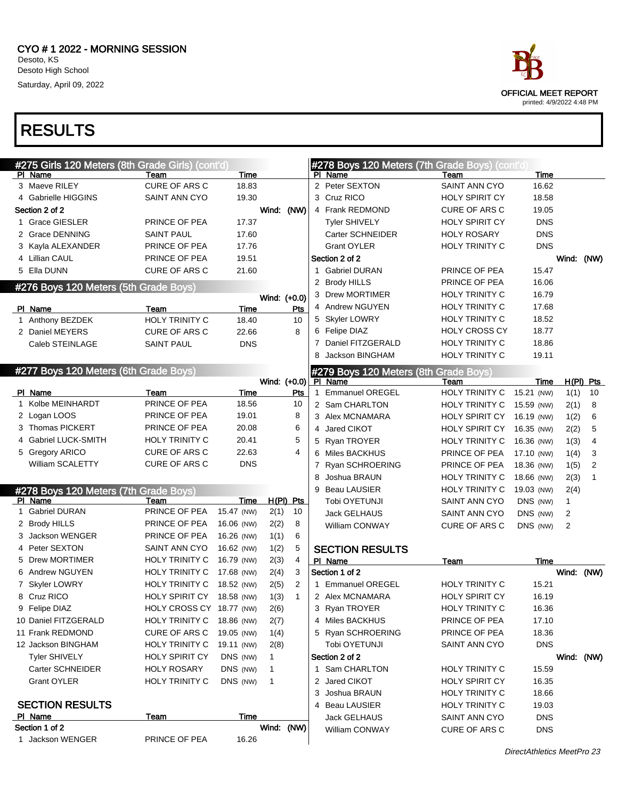

| #275 Girls 120 Meters (8th Grade Girls) (cont'd) |                           |            |              |              |              | #278 Boys 120 Meters (7th Grade Boys) (cont'd |                       |            |              |              |
|--------------------------------------------------|---------------------------|------------|--------------|--------------|--------------|-----------------------------------------------|-----------------------|------------|--------------|--------------|
| PI Name                                          | Team                      | Time       |              |              |              | PI Name                                       | Team                  | Time       |              |              |
| 3 Maeve RILEY                                    | CURE OF ARS C             | 18.83      |              |              |              | 2 Peter SEXTON                                | <b>SAINT ANN CYO</b>  | 16.62      |              |              |
| 4 Gabrielle HIGGINS                              | <b>SAINT ANN CYO</b>      | 19.30      |              |              |              | 3 Cruz RICO                                   | <b>HOLY SPIRIT CY</b> | 18.58      |              |              |
| Section 2 of 2                                   |                           |            | Wind: (NW)   |              |              | 4 Frank REDMOND                               | <b>CURE OF ARS C</b>  | 19.05      |              |              |
| 1 Grace GIESLER                                  | PRINCE OF PEA             | 17.37      |              |              |              | <b>Tyler SHIVELY</b>                          | <b>HOLY SPIRIT CY</b> | <b>DNS</b> |              |              |
| 2 Grace DENNING                                  | <b>SAINT PAUL</b>         | 17.60      |              |              |              | Carter SCHNEIDER                              | <b>HOLY ROSARY</b>    | <b>DNS</b> |              |              |
| 3 Kayla ALEXANDER                                | PRINCE OF PEA             | 17.76      |              |              |              | <b>Grant OYLER</b>                            | HOLY TRINITY C        | <b>DNS</b> |              |              |
| 4 Lillian CAUL                                   | PRINCE OF PEA             | 19.51      |              |              |              | Section 2 of 2                                |                       |            |              | Wind: (NW)   |
| 5 Ella DUNN                                      | <b>CURE OF ARS C</b>      | 21.60      |              |              |              | 1 Gabriel DURAN                               | PRINCE OF PEA         | 15.47      |              |              |
| #276 Boys 120 Meters (5th Grade Boys)            |                           |            |              |              |              | 2 Brody HILLS                                 | PRINCE OF PEA         | 16.06      |              |              |
|                                                  |                           |            | Wind: (+0.0) |              |              | 3 Drew MORTIMER                               | HOLY TRINITY C        | 16.79      |              |              |
| PI Name                                          | Team                      | Time       |              | Pts          |              | 4 Andrew NGUYEN                               | HOLY TRINITY C        | 17.68      |              |              |
| 1 Anthony BEZDEK                                 | HOLY TRINITY C            | 18.40      |              | 10           |              | 5 Skyler LOWRY                                | HOLY TRINITY C        | 18.52      |              |              |
| 2 Daniel MEYERS                                  | <b>CURE OF ARS C</b>      | 22.66      |              | 8            |              | 6 Felipe DIAZ                                 | <b>HOLY CROSS CY</b>  | 18.77      |              |              |
| Caleb STEINLAGE                                  | <b>SAINT PAUL</b>         | <b>DNS</b> |              |              |              | 7 Daniel FITZGERALD                           | HOLY TRINITY C        | 18.86      |              |              |
|                                                  |                           |            |              |              |              | 8 Jackson BINGHAM                             | <b>HOLY TRINITY C</b> | 19.11      |              |              |
| #277 Boys 120 Meters (6th Grade Boys)            |                           |            |              |              |              | #279 Boys 120 Meters (8th Grade Boys)         |                       |            |              |              |
|                                                  |                           |            | Wind: (+0.0) |              |              | PI Name                                       | Team                  | Time       |              | $H(PI)$ Pts  |
| PI Name                                          | Team                      | Time       |              | Pts          | $\mathbf{1}$ | <b>Emmanuel OREGEL</b>                        | HOLY TRINITY C        | 15.21 (NW) | 1(1)         | 10           |
| 1 Kolbe MEINHARDT                                | PRINCE OF PEA             | 18.56      |              | 10           |              | 2 Sam CHARLTON                                | HOLY TRINITY C        | 15.59 (NW) | 2(1)         | 8            |
| 2 Logan LOOS                                     | PRINCE OF PEA             | 19.01      |              | 8            |              | 3 Alex MCNAMARA                               | HOLY SPIRIT CY        | 16.19 (NW) | 1(2)         | 6            |
| 3 Thomas PICKERT                                 | PRINCE OF PEA             | 20.08      |              | 6            |              | 4 Jared CIKOT                                 | HOLY SPIRIT CY        | 16.35 (NW) | 2(2)         | 5            |
| 4 Gabriel LUCK-SMITH                             | <b>HOLY TRINITY C</b>     | 20.41      |              | 5            |              | 5 Ryan TROYER                                 | HOLY TRINITY C        | 16.36 (NW) | 1(3)         | 4            |
| 5 Gregory ARICO                                  | CURE OF ARS C             | 22.63      |              | 4            |              | 6 Miles BACKHUS                               | PRINCE OF PEA         | 17.10 (NW) | 1(4)         | 3            |
| William SCALETTY                                 | <b>CURE OF ARS C</b>      | <b>DNS</b> |              |              |              | 7 Ryan SCHROERING                             | PRINCE OF PEA         | 18.36 (NW) | 1(5)         | 2            |
|                                                  |                           |            |              |              | 8            | Joshua BRAUN                                  | HOLY TRINITY C        | 18.66 (NW) | 2(3)         | $\mathbf{1}$ |
| #278 Boys 120 Meters (7th Grade Boys)            |                           |            |              |              |              | 9 Beau LAUSIER                                | HOLY TRINITY C        | 19.03 (NW) | 2(4)         |              |
| PI Name                                          | Team                      | Time       | $H(PI)$ Pts  |              |              | Tobi OYETUNJI                                 | SAINT ANN CYO         | DNS (NW)   | $\mathbf{1}$ |              |
| 1 Gabriel DURAN                                  | PRINCE OF PEA             | 15.47 (NW) | 2(1)         | 10           |              | Jack GELHAUS                                  | SAINT ANN CYO         | DNS (NW)   | 2            |              |
| 2 Brody HILLS                                    | PRINCE OF PEA             | 16.06 (NW) | 2(2)         | 8            |              | William CONWAY                                | CURE OF ARS C         | DNS (NW)   | 2            |              |
| 3 Jackson WENGER                                 | PRINCE OF PEA             | 16.26 (NW) | 1(1)         | 6            |              |                                               |                       |            |              |              |
| 4 Peter SEXTON                                   | SAINT ANN CYO             | 16.62 (NW) | 1(2)         | 5            |              | <b>SECTION RESULTS</b>                        |                       |            |              |              |
| 5 Drew MORTIMER                                  | HOLY TRINITY C            | 16.79 (NW) | 2(3)         | 4            |              | PI Name                                       | Team                  | Time       |              |              |
| 6 Andrew NGUYEN                                  | HOLY TRINITY C            | 17.68 (NW) | 2(4)         | 3            |              | Section 1 of 2                                |                       |            |              | Wind: (NW)   |
| 7 Skyler LOWRY                                   | HOLY TRINITY C            | 18.52 (NW) | 2(5)         | 2            |              | 1 Emmanuel OREGEL                             | HOLY TRINITY C        | 15.21      |              |              |
| 8 Cruz RICO                                      | HOLY SPIRIT CY 18.58 (NW) |            | 1(3)         | $\mathbf{1}$ |              | 2 Alex MCNAMARA                               | <b>HOLY SPIRIT CY</b> | 16.19      |              |              |
| 9 Felipe DIAZ                                    | HOLY CROSS CY 18.77 (NW)  |            | 2(6)         |              |              | 3 Ryan TROYER                                 | HOLY TRINITY C        | 16.36      |              |              |
| 10 Daniel FITZGERALD                             | <b>HOLY TRINITY C</b>     | 18.86 (NW) | 2(7)         |              |              | 4 Miles BACKHUS                               | PRINCE OF PEA         | 17.10      |              |              |
| 11 Frank REDMOND                                 | CURE OF ARS C             | 19.05 (NW) | 1(4)         |              |              | 5 Ryan SCHROERING                             | PRINCE OF PEA         | 18.36      |              |              |
| 12 Jackson BINGHAM                               | HOLY TRINITY C            | 19.11 (NW) | 2(8)         |              |              | Tobi OYETUNJI                                 | SAINT ANN CYO         | <b>DNS</b> |              |              |
| <b>Tyler SHIVELY</b>                             | <b>HOLY SPIRIT CY</b>     | DNS (NW)   | 1            |              |              | Section 2 of 2                                |                       |            |              | Wind: (NW)   |
| Carter SCHNEIDER                                 | <b>HOLY ROSARY</b>        | DNS (NW)   | 1            |              |              | 1 Sam CHARLTON                                | HOLY TRINITY C        | 15.59      |              |              |
| <b>Grant OYLER</b>                               | HOLY TRINITY C            | DNS (NW)   | $\mathbf{1}$ |              |              | 2 Jared CIKOT                                 | HOLY SPIRIT CY        | 16.35      |              |              |
|                                                  |                           |            |              |              |              | 3 Joshua BRAUN                                | HOLY TRINITY C        | 18.66      |              |              |
| <b>SECTION RESULTS</b>                           |                           |            |              |              |              | 4 Beau LAUSIER                                | HOLY TRINITY C        | 19.03      |              |              |
| PI Name                                          | <b>Team</b>               | Time       |              |              |              | <b>Jack GELHAUS</b>                           | SAINT ANN CYO         | <b>DNS</b> |              |              |
| Section 1 of 2                                   |                           |            | Wind: (NW)   |              |              | William CONWAY                                | CURE OF ARS C         | <b>DNS</b> |              |              |
| 1 Jackson WENGER                                 | PRINCE OF PEA             | 16.26      |              |              |              |                                               |                       |            |              |              |